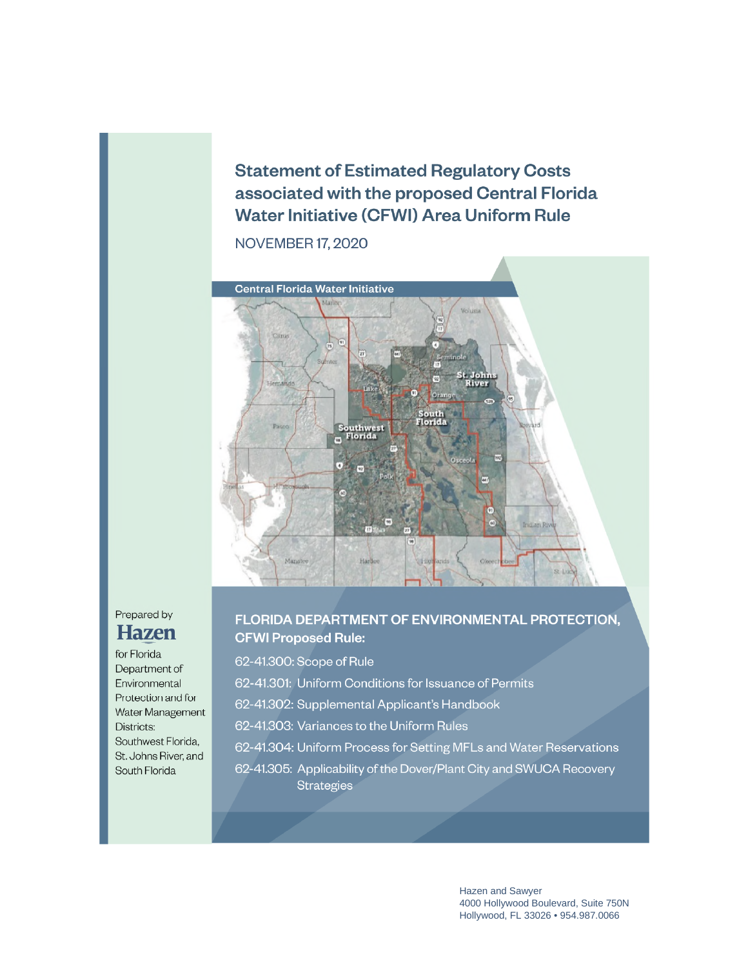**Statement of Estimated Regulatory Costs** associated with the proposed Central Florida **Water Initiative (CFWI) Area Uniform Rule** 

**NOVEMBER 17, 2020** 



# Prepared by **Hazen**

for Florida Department of Environmental Protection and for Water Management Districts: Southwest Florida, St. Johns River, and South Florida

### FLORIDA DEPARTMENT OF ENVIRONMENTAL PROTECTION. **CFWI Proposed Rule:**

62-41.300: Scope of Rule

- 62-41.301: Uniform Conditions for Issuance of Permits
- 62-41.302: Supplemental Applicant's Handbook
- 62-41.303: Variances to the Uniform Rules
- 62-41.304: Uniform Process for Setting MFLs and Water Reservations
- 62-41.305: Applicability of the Dover/Plant City and SWUCA Recovery **Strategies**

Hazen and Sawyer 4000 Hollywood Boulevard, Suite 750N Hollywood, FL 33026 • 954.987.0066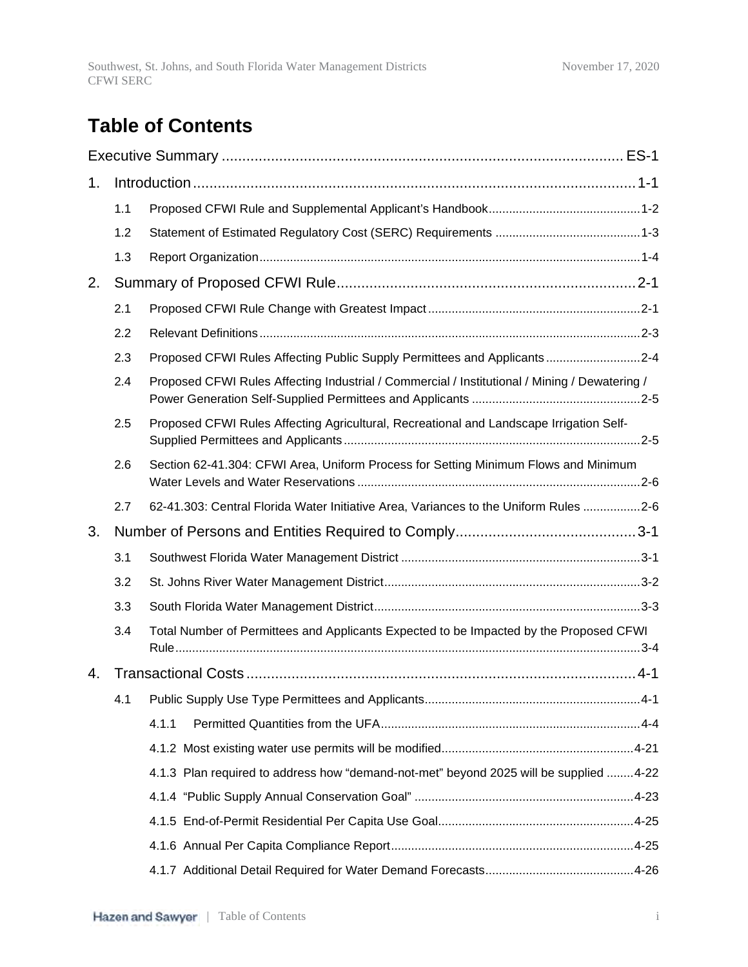# **Table of Contents**

| 1. |     |                                                                                               |
|----|-----|-----------------------------------------------------------------------------------------------|
|    | 1.1 |                                                                                               |
|    | 1.2 |                                                                                               |
|    | 1.3 |                                                                                               |
| 2. |     |                                                                                               |
|    | 2.1 |                                                                                               |
|    | 2.2 |                                                                                               |
|    | 2.3 | Proposed CFWI Rules Affecting Public Supply Permittees and Applicants2-4                      |
|    | 2.4 | Proposed CFWI Rules Affecting Industrial / Commercial / Institutional / Mining / Dewatering / |
|    | 2.5 | Proposed CFWI Rules Affecting Agricultural, Recreational and Landscape Irrigation Self-       |
|    | 2.6 | Section 62-41.304: CFWI Area, Uniform Process for Setting Minimum Flows and Minimum           |
|    | 2.7 | 62-41.303: Central Florida Water Initiative Area, Variances to the Uniform Rules 2-6          |
| 3. |     |                                                                                               |
|    | 3.1 |                                                                                               |
|    | 3.2 |                                                                                               |
|    | 3.3 |                                                                                               |
|    | 3.4 | Total Number of Permittees and Applicants Expected to be Impacted by the Proposed CFWI        |
| 4. |     |                                                                                               |
|    | 4.1 |                                                                                               |
|    |     | 4.1.1                                                                                         |
|    |     |                                                                                               |
|    |     | 4.1.3 Plan required to address how "demand-not-met" beyond 2025 will be supplied 4-22         |
|    |     |                                                                                               |
|    |     |                                                                                               |
|    |     |                                                                                               |
|    |     |                                                                                               |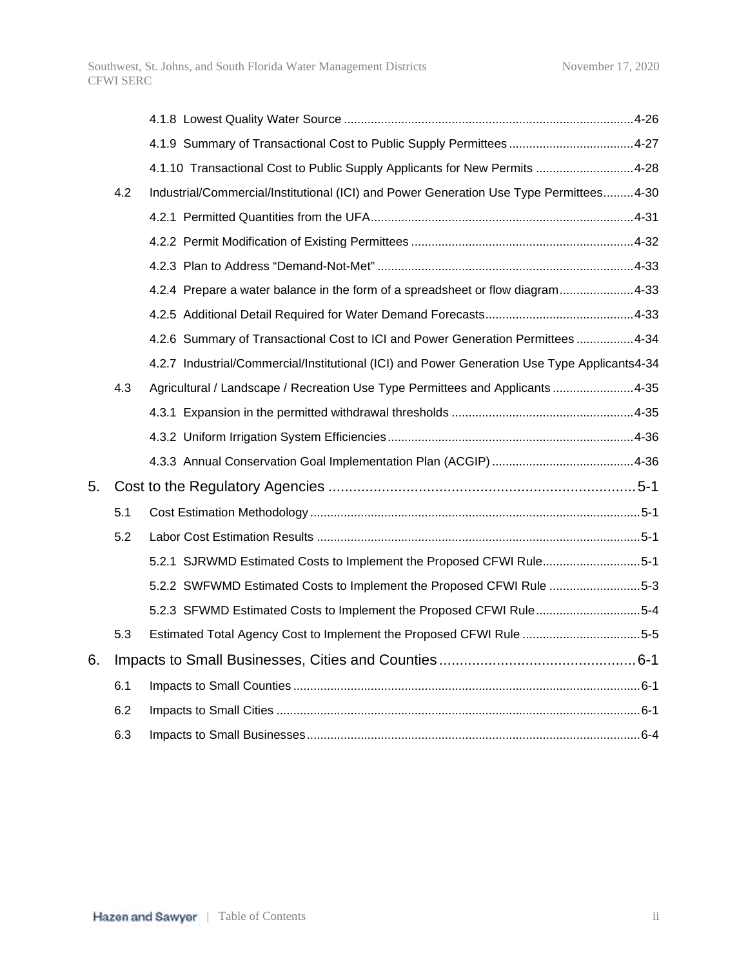|    |     | 4.1.10 Transactional Cost to Public Supply Applicants for New Permits 4-28                   |  |
|----|-----|----------------------------------------------------------------------------------------------|--|
|    | 4.2 | Industrial/Commercial/Institutional (ICI) and Power Generation Use Type Permittees4-30       |  |
|    |     |                                                                                              |  |
|    |     |                                                                                              |  |
|    |     |                                                                                              |  |
|    |     | 4.2.4 Prepare a water balance in the form of a spreadsheet or flow diagram4-33               |  |
|    |     |                                                                                              |  |
|    |     | 4.2.6 Summary of Transactional Cost to ICI and Power Generation Permittees 4-34              |  |
|    |     | 4.2.7 Industrial/Commercial/Institutional (ICI) and Power Generation Use Type Applicants4-34 |  |
|    | 4.3 | Agricultural / Landscape / Recreation Use Type Permittees and Applicants 4-35                |  |
|    |     |                                                                                              |  |
|    |     |                                                                                              |  |
|    |     |                                                                                              |  |
| 5. |     |                                                                                              |  |
|    | 5.1 |                                                                                              |  |
|    | 5.2 |                                                                                              |  |
|    |     | 5.2.1 SJRWMD Estimated Costs to Implement the Proposed CFWI Rule5-1                          |  |
|    |     | 5.2.2 SWFWMD Estimated Costs to Implement the Proposed CFWI Rule 5-3                         |  |
|    |     | 5.2.3 SFWMD Estimated Costs to Implement the Proposed CFWI Rule5-4                           |  |
|    | 5.3 | Estimated Total Agency Cost to Implement the Proposed CFWI Rule 5-5                          |  |
| 6. |     |                                                                                              |  |
|    | 6.1 |                                                                                              |  |
|    | 6.2 |                                                                                              |  |
|    | 6.3 |                                                                                              |  |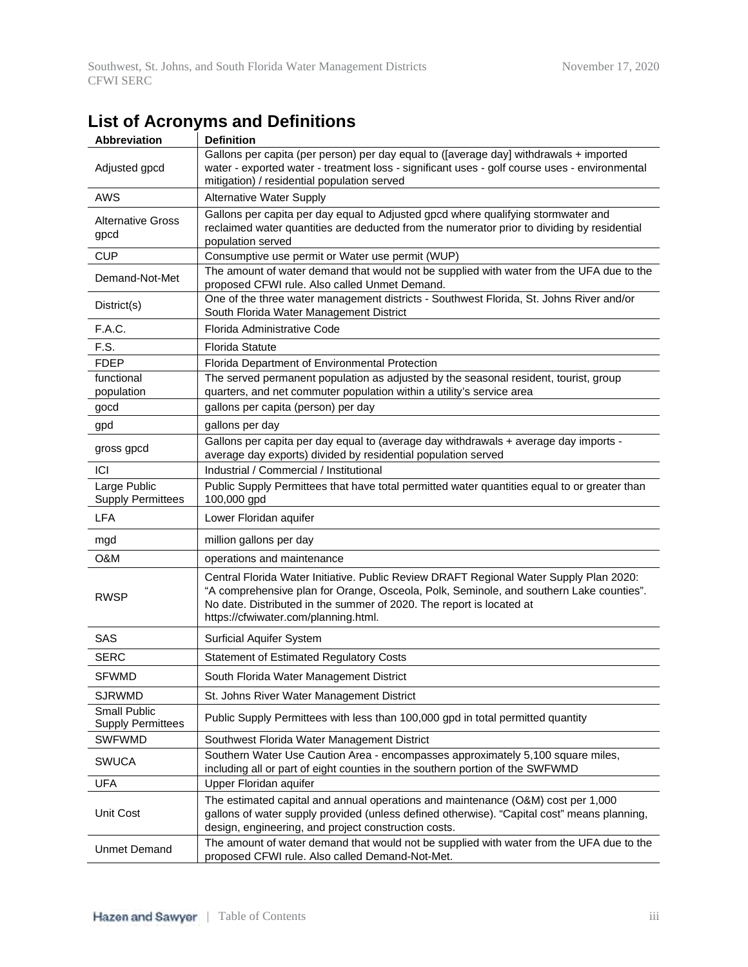| <b>Abbreviation</b>                             | <b>Definition</b>                                                                                                                                                                                                                                                                                 |
|-------------------------------------------------|---------------------------------------------------------------------------------------------------------------------------------------------------------------------------------------------------------------------------------------------------------------------------------------------------|
| Adjusted gpcd                                   | Gallons per capita (per person) per day equal to ([average day] withdrawals + imported<br>water - exported water - treatment loss - significant uses - golf course uses - environmental<br>mitigation) / residential population served                                                            |
| <b>AWS</b>                                      | <b>Alternative Water Supply</b>                                                                                                                                                                                                                                                                   |
| <b>Alternative Gross</b><br>gpcd                | Gallons per capita per day equal to Adjusted gpcd where qualifying stormwater and<br>reclaimed water quantities are deducted from the numerator prior to dividing by residential<br>population served                                                                                             |
| <b>CUP</b>                                      | Consumptive use permit or Water use permit (WUP)                                                                                                                                                                                                                                                  |
| Demand-Not-Met                                  | The amount of water demand that would not be supplied with water from the UFA due to the<br>proposed CFWI rule. Also called Unmet Demand.                                                                                                                                                         |
| District(s)                                     | One of the three water management districts - Southwest Florida, St. Johns River and/or<br>South Florida Water Management District                                                                                                                                                                |
| F.A.C.                                          | Florida Administrative Code                                                                                                                                                                                                                                                                       |
| F.S.                                            | <b>Florida Statute</b>                                                                                                                                                                                                                                                                            |
| <b>FDEP</b>                                     | Florida Department of Environmental Protection                                                                                                                                                                                                                                                    |
| functional<br>population                        | The served permanent population as adjusted by the seasonal resident, tourist, group<br>quarters, and net commuter population within a utility's service area                                                                                                                                     |
| gocd                                            | gallons per capita (person) per day                                                                                                                                                                                                                                                               |
| gpd                                             | gallons per day                                                                                                                                                                                                                                                                                   |
| gross gpcd                                      | Gallons per capita per day equal to (average day withdrawals + average day imports -<br>average day exports) divided by residential population served                                                                                                                                             |
| ICI                                             | Industrial / Commercial / Institutional                                                                                                                                                                                                                                                           |
| Large Public<br><b>Supply Permittees</b>        | Public Supply Permittees that have total permitted water quantities equal to or greater than<br>100,000 gpd                                                                                                                                                                                       |
| <b>LFA</b>                                      | Lower Floridan aquifer                                                                                                                                                                                                                                                                            |
| mgd                                             | million gallons per day                                                                                                                                                                                                                                                                           |
| O&M                                             | operations and maintenance                                                                                                                                                                                                                                                                        |
| <b>RWSP</b>                                     | Central Florida Water Initiative. Public Review DRAFT Regional Water Supply Plan 2020:<br>"A comprehensive plan for Orange, Osceola, Polk, Seminole, and southern Lake counties".<br>No date. Distributed in the summer of 2020. The report is located at<br>https://cfwiwater.com/planning.html. |
| SAS                                             | <b>Surficial Aquifer System</b>                                                                                                                                                                                                                                                                   |
| <b>SERC</b>                                     | <b>Statement of Estimated Regulatory Costs</b>                                                                                                                                                                                                                                                    |
| <b>SFWMD</b>                                    | South Florida Water Management District                                                                                                                                                                                                                                                           |
| <b>SJRWMD</b>                                   | St. Johns River Water Management District                                                                                                                                                                                                                                                         |
| <b>Small Public</b><br><b>Supply Permittees</b> | Public Supply Permittees with less than 100,000 gpd in total permitted quantity                                                                                                                                                                                                                   |
| <b>SWFWMD</b>                                   | Southwest Florida Water Management District                                                                                                                                                                                                                                                       |
| <b>SWUCA</b>                                    | Southern Water Use Caution Area - encompasses approximately 5,100 square miles,<br>including all or part of eight counties in the southern portion of the SWFWMD                                                                                                                                  |
| <b>UFA</b>                                      | Upper Floridan aquifer                                                                                                                                                                                                                                                                            |
| Unit Cost                                       | The estimated capital and annual operations and maintenance (O&M) cost per 1,000<br>gallons of water supply provided (unless defined otherwise). "Capital cost" means planning,<br>design, engineering, and project construction costs.                                                           |
| <b>Unmet Demand</b>                             | The amount of water demand that would not be supplied with water from the UFA due to the<br>proposed CFWI rule. Also called Demand-Not-Met.                                                                                                                                                       |

# **List of Acronyms and Definitions**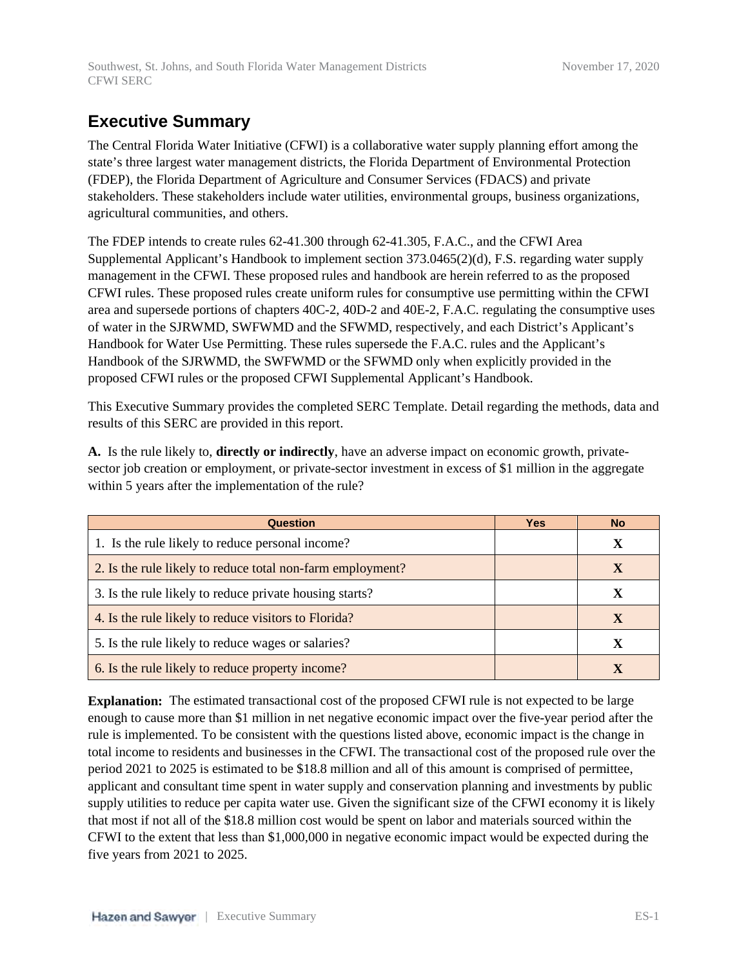# **Executive Summary**

The Central Florida Water Initiative (CFWI) is a collaborative water supply planning effort among the state's three largest water management districts, the Florida Department of Environmental Protection (FDEP), the Florida Department of Agriculture and Consumer Services (FDACS) and private stakeholders. These stakeholders include water utilities, environmental groups, business organizations, agricultural communities, and others.

The FDEP intends to create rules 62-41.300 through 62-41.305, F.A.C., and the CFWI Area Supplemental Applicant's Handbook to implement section 373.0465(2)(d), F.S. regarding water supply management in the CFWI. These proposed rules and handbook are herein referred to as the proposed CFWI rules. These proposed rules create uniform rules for consumptive use permitting within the CFWI area and supersede portions of chapters 40C-2, 40D-2 and 40E-2, F.A.C. regulating the consumptive uses of water in the SJRWMD, SWFWMD and the SFWMD, respectively, and each District's Applicant's Handbook for Water Use Permitting. These rules supersede the F.A.C. rules and the Applicant's Handbook of the SJRWMD, the SWFWMD or the SFWMD only when explicitly provided in the proposed CFWI rules or the proposed CFWI Supplemental Applicant's Handbook.

This Executive Summary provides the completed SERC Template. Detail regarding the methods, data and results of this SERC are provided in this report.

**A.** Is the rule likely to, **directly or indirectly**, have an adverse impact on economic growth, privatesector job creation or employment, or private-sector investment in excess of \$1 million in the aggregate within 5 years after the implementation of the rule?

| <b>Question</b>                                            | <b>Yes</b> | <b>No</b> |
|------------------------------------------------------------|------------|-----------|
| 1. Is the rule likely to reduce personal income?           |            |           |
| 2. Is the rule likely to reduce total non-farm employment? |            |           |
| 3. Is the rule likely to reduce private housing starts?    |            |           |
| 4. Is the rule likely to reduce visitors to Florida?       |            |           |
| 5. Is the rule likely to reduce wages or salaries?         |            |           |
| 6. Is the rule likely to reduce property income?           |            |           |

**Explanation:** The estimated transactional cost of the proposed CFWI rule is not expected to be large enough to cause more than \$1 million in net negative economic impact over the five-year period after the rule is implemented. To be consistent with the questions listed above, economic impact is the change in total income to residents and businesses in the CFWI. The transactional cost of the proposed rule over the period 2021 to 2025 is estimated to be \$18.8 million and all of this amount is comprised of permittee, applicant and consultant time spent in water supply and conservation planning and investments by public supply utilities to reduce per capita water use. Given the significant size of the CFWI economy it is likely that most if not all of the \$18.8 million cost would be spent on labor and materials sourced within the CFWI to the extent that less than \$1,000,000 in negative economic impact would be expected during the five years from 2021 to 2025.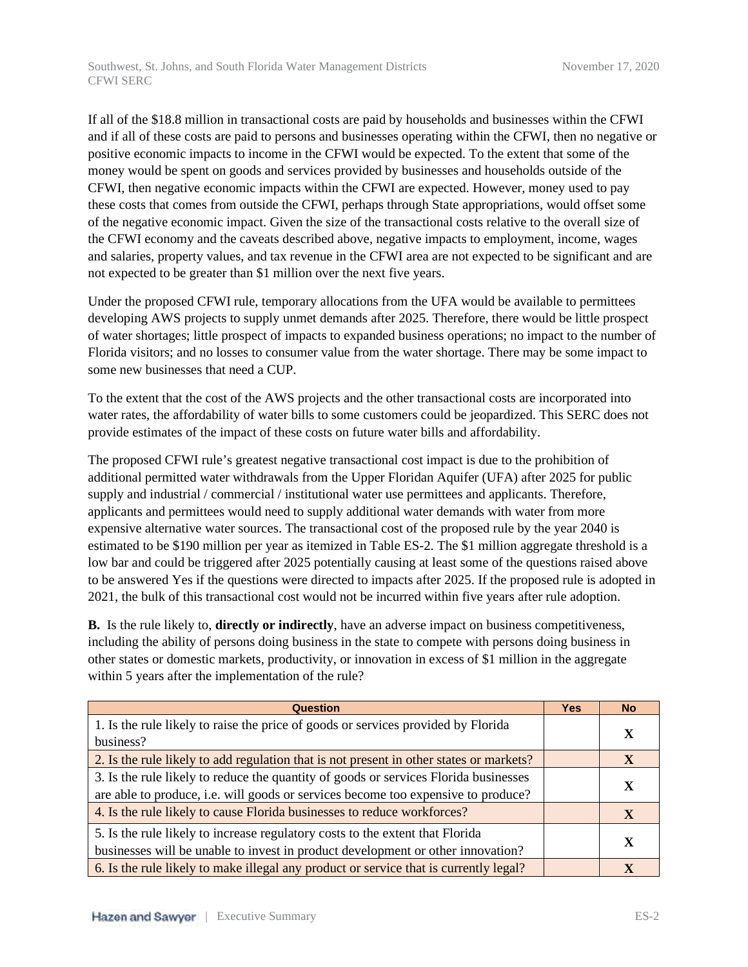Southwest, St. Johns, and South Florida Water Management Districts November 17, 2020 CFWI SERC

If all of the \$18.8 million in transactional costs are paid by households and businesses within the CFWI and if all of these costs are paid to persons and businesses operating within the CFWI, then no negative or positive economic impacts to income in the CFWI would be expected. To the extent that some of the money would be spent on goods and services provided by businesses and households outside of the CFWI, then negative economic impacts within the CFWI are expected. However, money used to pay these costs that comes from outside the CFWI, perhaps through State appropriations, would offset some of the negative economic impact. Given the size of the transactional costs relative to the overall size of the CFWI economy and the caveats described above, negative impacts to employment, income, wages and salaries, property values, and tax revenue in the CFWI area are not expected to be significant and are not expected to be greater than \$1 million over the next five years.

Under the proposed CFWI rule, temporary allocations from the UFA would be available to permittees developing AWS projects to supply unmet demands after 2025. Therefore, there would be little prospect of water shortages; little prospect of impacts to expanded business operations; no impact to the number of Florida visitors; and no losses to consumer value from the water shortage. There may be some impact to some new businesses that need a CUP.

To the extent that the cost of the AWS projects and the other transactional costs are incorporated into water rates, the affordability of water bills to some customers could be jeopardized. This SERC does not provide estimates of the impact of these costs on future water bills and affordability.

The proposed CFWI rule's greatest negative transactional cost impact is due to the prohibition of additional permitted water withdrawals from the Upper Floridan Aquifer (UFA) after 2025 for public supply and industrial / commercial / institutional water use permittees and applicants. Therefore, applicants and permittees would need to supply additional water demands with water from more expensive alternative water sources. The transactional cost of the proposed rule by the year 2040 is estimated to be \$190 million per year as itemized in Table ES-2. The \$1 million aggregate threshold is a low bar and could be triggered after 2025 potentially causing at least some of the questions raised above to be answered Yes if the questions were directed to impacts after 2025. If the proposed rule is adopted in 2021, the bulk of this transactional cost would not be incurred within five years after rule adoption.

**B.** Is the rule likely to, **directly or indirectly**, have an adverse impact on business competitiveness, including the ability of persons doing business in the state to compete with persons doing business in other states or domestic markets, productivity, or innovation in excess of \$1 million in the aggregate within 5 years after the implementation of the rule?

| <b>Question</b>                                                                                                                                                           | <b>Yes</b> | <b>No</b>   |
|---------------------------------------------------------------------------------------------------------------------------------------------------------------------------|------------|-------------|
| 1. Is the rule likely to raise the price of goods or services provided by Florida<br>business?                                                                            |            | X           |
| 2. Is the rule likely to add regulation that is not present in other states or markets?                                                                                   |            | $\mathbf x$ |
| 3. Is the rule likely to reduce the quantity of goods or services Florida businesses<br>are able to produce, i.e. will goods or services become too expensive to produce? |            | X           |
| 4. Is the rule likely to cause Florida businesses to reduce workforces?                                                                                                   |            | $\mathbf X$ |
| 5. Is the rule likely to increase regulatory costs to the extent that Florida<br>businesses will be unable to invest in product development or other innovation?          |            | X           |
| 6. Is the rule likely to make illegal any product or service that is currently legal?                                                                                     |            |             |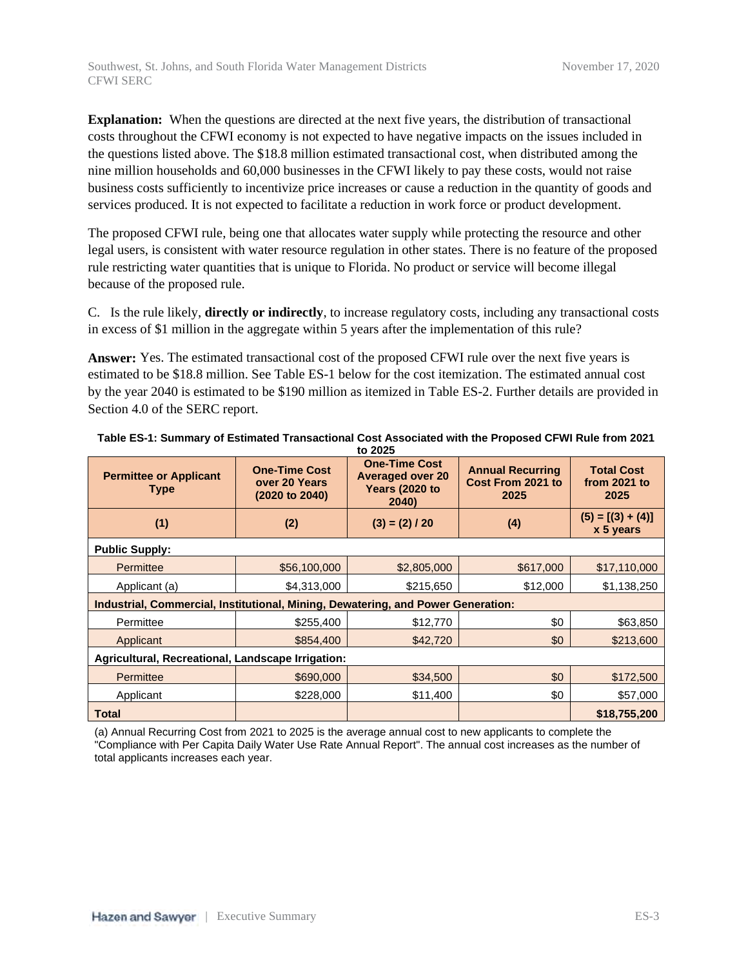**Explanation:** When the questions are directed at the next five years, the distribution of transactional costs throughout the CFWI economy is not expected to have negative impacts on the issues included in the questions listed above. The \$18.8 million estimated transactional cost, when distributed among the nine million households and 60,000 businesses in the CFWI likely to pay these costs, would not raise business costs sufficiently to incentivize price increases or cause a reduction in the quantity of goods and services produced. It is not expected to facilitate a reduction in work force or product development.

The proposed CFWI rule, being one that allocates water supply while protecting the resource and other legal users, is consistent with water resource regulation in other states. There is no feature of the proposed rule restricting water quantities that is unique to Florida. No product or service will become illegal because of the proposed rule.

C. Is the rule likely, **directly or indirectly**, to increase regulatory costs, including any transactional costs in excess of \$1 million in the aggregate within 5 years after the implementation of this rule?

**Answer:** Yes. The estimated transactional cost of the proposed CFWI rule over the next five years is estimated to be \$18.8 million. See Table ES-1 below for the cost itemization. The estimated annual cost by the year 2040 is estimated to be \$190 million as itemized in Table ES-2. Further details are provided in Section 4.0 of the SERC report.

| <b>Permittee or Applicant</b><br>Type                                            | <b>One-Time Cost</b><br>over 20 Years<br>(2020 to 2040) | <b>One-Time Cost</b><br><b>Averaged over 20</b><br><b>Years (2020 to</b><br>2040) | <b>Annual Recurring</b><br>Cost From 2021 to<br>2025 | <b>Total Cost</b><br>from $2021$ to<br>2025 |  |  |
|----------------------------------------------------------------------------------|---------------------------------------------------------|-----------------------------------------------------------------------------------|------------------------------------------------------|---------------------------------------------|--|--|
| (1)                                                                              | (2)                                                     | $(3) = (2) / 20$                                                                  | (4)                                                  | $(5) = [(3) + (4)]$<br>x 5 years            |  |  |
| <b>Public Supply:</b>                                                            |                                                         |                                                                                   |                                                      |                                             |  |  |
| Permittee                                                                        | \$56,100,000                                            | \$2,805,000                                                                       | \$617,000                                            | \$17,110,000                                |  |  |
| Applicant (a)                                                                    | \$4,313,000                                             | \$215,650                                                                         | \$12,000                                             | \$1,138,250                                 |  |  |
| Industrial, Commercial, Institutional, Mining, Dewatering, and Power Generation: |                                                         |                                                                                   |                                                      |                                             |  |  |
| Permittee                                                                        | \$255,400                                               | \$12,770                                                                          | \$0                                                  | \$63,850                                    |  |  |
| Applicant                                                                        | \$854,400                                               | \$42,720                                                                          | \$0                                                  | \$213,600                                   |  |  |
| Agricultural, Recreational, Landscape Irrigation:                                |                                                         |                                                                                   |                                                      |                                             |  |  |
| Permittee                                                                        | \$690,000                                               | \$34,500                                                                          | \$0                                                  | \$172,500                                   |  |  |
| Applicant                                                                        | \$228,000                                               | \$11,400                                                                          | \$0                                                  | \$57,000                                    |  |  |
| <b>Total</b>                                                                     |                                                         |                                                                                   |                                                      | \$18,755,200                                |  |  |

| Table ES-1: Summary of Estimated Transactional Cost Associated with the Proposed CFWI Rule from 2021 |
|------------------------------------------------------------------------------------------------------|
| to 2025                                                                                              |

(a) Annual Recurring Cost from 2021 to 2025 is the average annual cost to new applicants to complete the "Compliance with Per Capita Daily Water Use Rate Annual Report". The annual cost increases as the number of total applicants increases each year.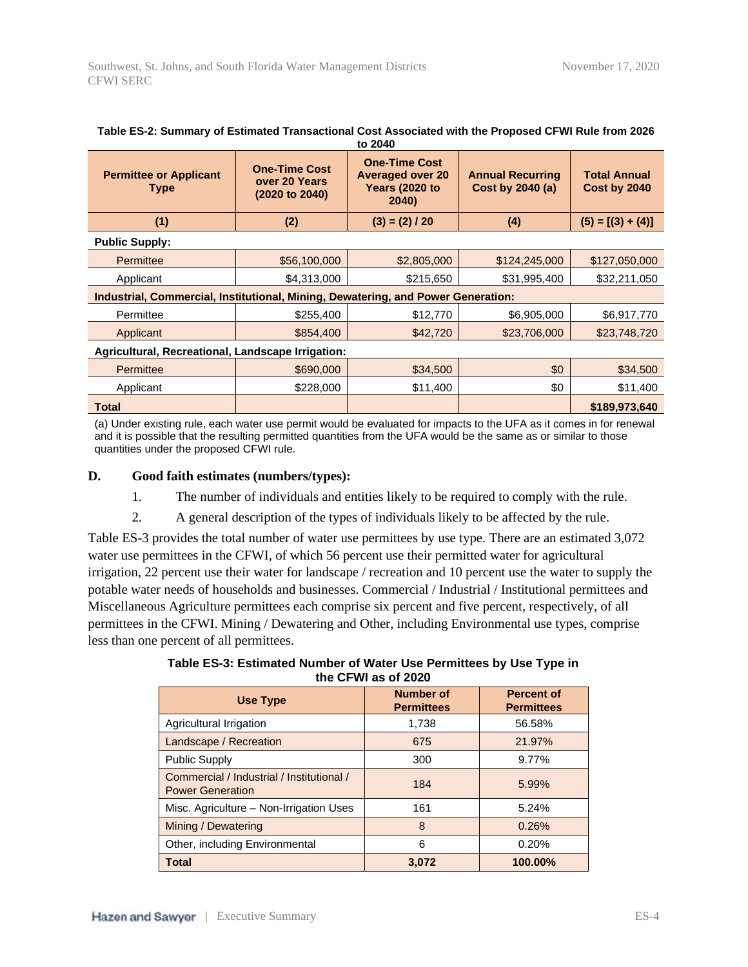| <b>Permittee or Applicant</b><br>Type                                            | <b>One-Time Cost</b><br>over 20 Years<br>$(2020 \text{ to } 2040)$ | <b>One-Time Cost</b><br><b>Averaged over 20</b><br><b>Years (2020 to</b><br>2040) | <b>Annual Recurring</b><br>Cost by 2040 (a) | <b>Total Annual</b><br>Cost by 2040 |  |  |
|----------------------------------------------------------------------------------|--------------------------------------------------------------------|-----------------------------------------------------------------------------------|---------------------------------------------|-------------------------------------|--|--|
| (1)                                                                              | (2)                                                                | $(3) = (2) / 20$                                                                  | (4)                                         | $(5) = [(3) + (4)]$                 |  |  |
| <b>Public Supply:</b>                                                            |                                                                    |                                                                                   |                                             |                                     |  |  |
| Permittee                                                                        | \$56,100,000                                                       | \$2,805,000                                                                       | \$124,245,000                               | \$127,050,000                       |  |  |
| Applicant                                                                        | \$4,313,000                                                        | \$215,650                                                                         | \$31,995,400                                | \$32,211,050                        |  |  |
| Industrial, Commercial, Institutional, Mining, Dewatering, and Power Generation: |                                                                    |                                                                                   |                                             |                                     |  |  |
| Permittee                                                                        | \$255,400                                                          | \$12,770                                                                          | \$6,905,000                                 | \$6,917,770                         |  |  |
| Applicant                                                                        | \$854,400                                                          | \$42,720                                                                          | \$23,706,000                                | \$23,748,720                        |  |  |
| Agricultural, Recreational, Landscape Irrigation:                                |                                                                    |                                                                                   |                                             |                                     |  |  |
| Permittee                                                                        | \$690,000                                                          | \$34,500                                                                          | \$0                                         | \$34,500                            |  |  |
| Applicant                                                                        | \$228,000                                                          | \$11,400                                                                          | \$0                                         | \$11,400                            |  |  |
| <b>Total</b>                                                                     |                                                                    |                                                                                   |                                             | \$189,973,640                       |  |  |

| Table ES-2: Summary of Estimated Transactional Cost Associated with the Proposed CFWI Rule from 2026 |
|------------------------------------------------------------------------------------------------------|
| to 2040                                                                                              |

(a) Under existing rule, each water use permit would be evaluated for impacts to the UFA as it comes in for renewal and it is possible that the resulting permitted quantities from the UFA would be the same as or similar to those quantities under the proposed CFWI rule.

#### **D. Good faith estimates (numbers/types):**

- 1. The number of individuals and entities likely to be required to comply with the rule.
- 2. A general description of the types of individuals likely to be affected by the rule.

Table ES-3 provides the total number of water use permittees by use type. There are an estimated 3,072 water use permittees in the CFWI, of which 56 percent use their permitted water for agricultural irrigation, 22 percent use their water for landscape / recreation and 10 percent use the water to supply the potable water needs of households and businesses. Commercial / Industrial / Institutional permittees and Miscellaneous Agriculture permittees each comprise six percent and five percent, respectively, of all permittees in the CFWI. Mining / Dewatering and Other, including Environmental use types, comprise less than one percent of all permittees.

**Table ES-3: Estimated Number of Water Use Permittees by Use Type in the CFWI as of 2020**

| Use Type                                                             | <b>Number of</b><br><b>Permittees</b> | <b>Percent of</b><br><b>Permittees</b> |
|----------------------------------------------------------------------|---------------------------------------|----------------------------------------|
| Agricultural Irrigation                                              | 1,738                                 | 56.58%                                 |
| Landscape / Recreation                                               | 675                                   | 21.97%                                 |
| <b>Public Supply</b>                                                 | 300                                   | 9.77%                                  |
| Commercial / Industrial / Institutional /<br><b>Power Generation</b> | 184                                   | 5.99%                                  |
| Misc. Agriculture - Non-Irrigation Uses                              | 161                                   | 5.24%                                  |
| Mining / Dewatering                                                  | 8                                     | 0.26%                                  |
| Other, including Environmental                                       | 6                                     | 0.20%                                  |
| <b>Total</b>                                                         | 3.072                                 | 100.00%                                |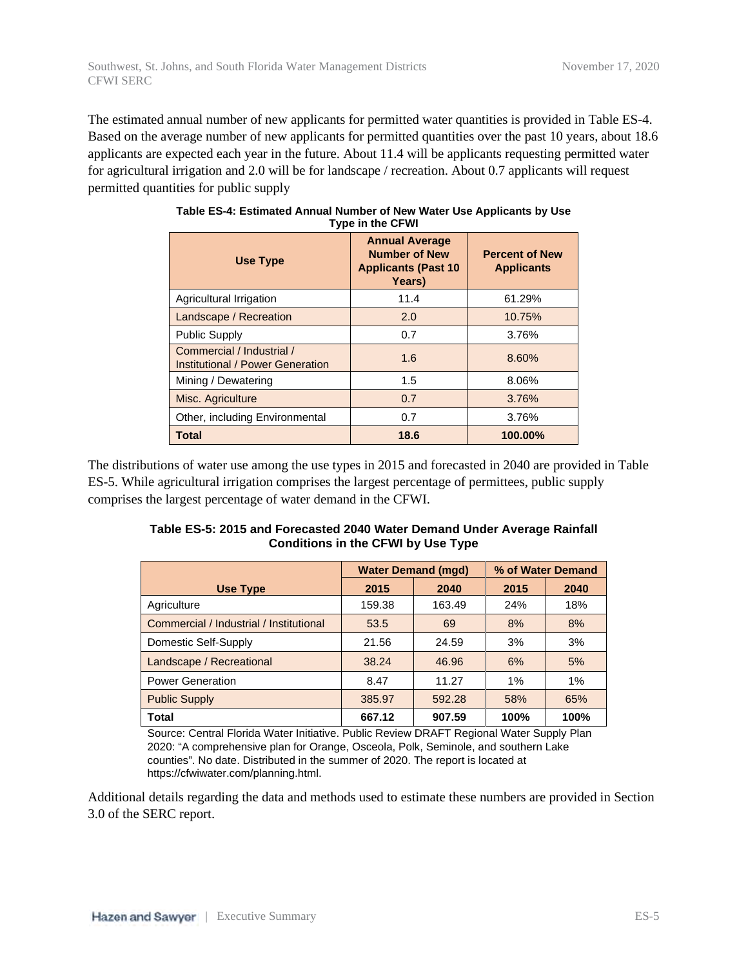The estimated annual number of new applicants for permitted water quantities is provided in Table ES-4. Based on the average number of new applicants for permitted quantities over the past 10 years, about 18.6 applicants are expected each year in the future. About 11.4 will be applicants requesting permitted water for agricultural irrigation and 2.0 will be for landscape / recreation. About 0.7 applicants will request permitted quantities for public supply

| <b>Use Type</b>                                               | <b>Annual Average</b><br><b>Number of New</b><br><b>Applicants (Past 10</b><br>Years) | <b>Percent of New</b><br><b>Applicants</b> |
|---------------------------------------------------------------|---------------------------------------------------------------------------------------|--------------------------------------------|
| Agricultural Irrigation                                       | 11.4                                                                                  | 61.29%                                     |
| Landscape / Recreation                                        | 2.0                                                                                   | 10.75%                                     |
| <b>Public Supply</b>                                          | 0.7                                                                                   | 3.76%                                      |
| Commercial / Industrial /<br>Institutional / Power Generation | 1.6                                                                                   | 8.60%                                      |
| Mining / Dewatering                                           | 1.5                                                                                   | 8.06%                                      |
| Misc. Agriculture                                             | 0.7                                                                                   | 3.76%                                      |
| Other, including Environmental                                | 0.7                                                                                   | 3.76%                                      |
| Total                                                         | 18.6                                                                                  | 100.00%                                    |

| Table ES-4: Estimated Annual Number of New Water Use Applicants by Use |  |
|------------------------------------------------------------------------|--|
| Type in the CFWI                                                       |  |

The distributions of water use among the use types in 2015 and forecasted in 2040 are provided in Table ES-5. While agricultural irrigation comprises the largest percentage of permittees, public supply comprises the largest percentage of water demand in the CFWI.

| Table ES-5: 2015 and Forecasted 2040 Water Demand Under Average Rainfall |  |
|--------------------------------------------------------------------------|--|
| <b>Conditions in the CFWI by Use Type</b>                                |  |

|                                         | <b>Water Demand (mgd)</b> |        | % of Water Demand |      |
|-----------------------------------------|---------------------------|--------|-------------------|------|
| <b>Use Type</b>                         | 2015                      | 2040   | 2015              | 2040 |
| Agriculture                             | 159.38                    | 163.49 | 24%               | 18%  |
| Commercial / Industrial / Institutional | 53.5                      | 69     | 8%                | 8%   |
| Domestic Self-Supply                    | 21.56                     | 24.59  | 3%                | 3%   |
| Landscape / Recreational                | 38.24                     | 46.96  | 6%                | 5%   |
| <b>Power Generation</b>                 | 8.47                      | 11.27  | 1%                | 1%   |
| <b>Public Supply</b>                    | 385.97                    | 592.28 | 58%               | 65%  |
| <b>Total</b>                            | 667.12                    | 907.59 | 100%              | 100% |

Source: Central Florida Water Initiative. Public Review DRAFT Regional Water Supply Plan 2020: "A comprehensive plan for Orange, Osceola, Polk, Seminole, and southern Lake counties". No date. Distributed in the summer of 2020. The report is located at https://cfwiwater.com/planning.html.

Additional details regarding the data and methods used to estimate these numbers are provided in Section 3.0 of the SERC report.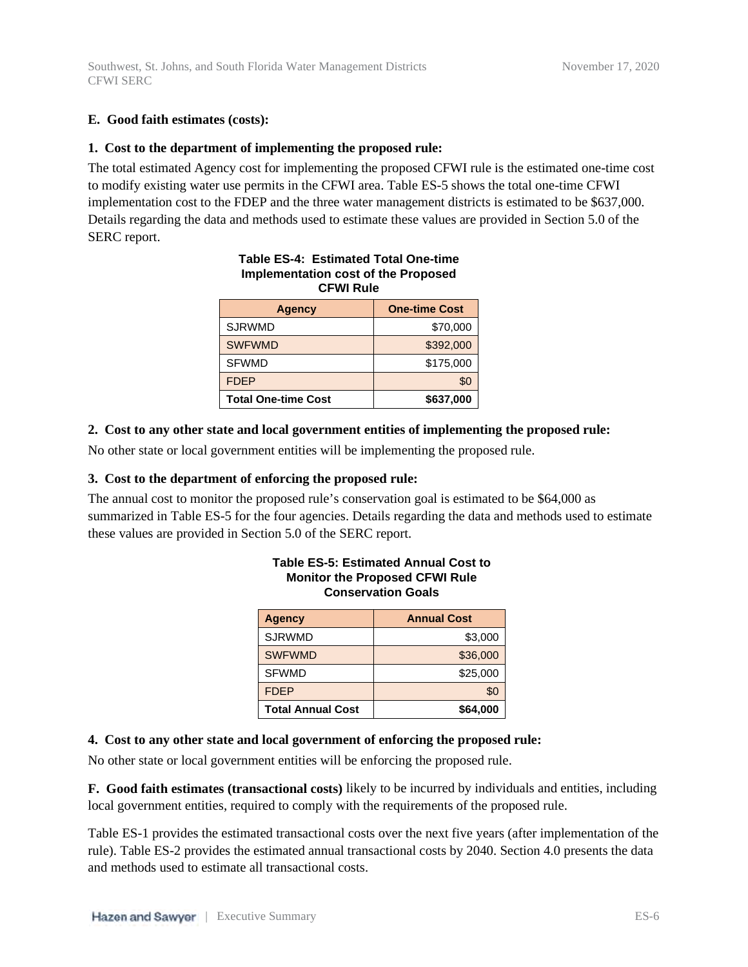### **E. Good faith estimates (costs):**

### **1. Cost to the department of implementing the proposed rule:**

The total estimated Agency cost for implementing the proposed CFWI rule is the estimated one-time cost to modify existing water use permits in the CFWI area. Table ES-5 shows the total one-time CFWI implementation cost to the FDEP and the three water management districts is estimated to be \$637,000. Details regarding the data and methods used to estimate these values are provided in Section 5.0 of the SERC report.

| implementation cost of the Proposed<br><b>CFWI Rule</b> |                      |  |  |
|---------------------------------------------------------|----------------------|--|--|
| <b>Agency</b>                                           | <b>One-time Cost</b> |  |  |
| <b>SJRWMD</b>                                           | \$70,000             |  |  |
| <b>SWFWMD</b>                                           | \$392,000            |  |  |
| <b>SFWMD</b>                                            | \$175,000            |  |  |
| <b>FDEP</b>                                             | \$0                  |  |  |
| <b>Total One-time Cost</b>                              | \$637,000            |  |  |

# **Table ES-4: Estimated Total One-time Implementation cost of the Proposed**

#### **2. Cost to any other state and local government entities of implementing the proposed rule:**

No other state or local government entities will be implementing the proposed rule.

#### **3. Cost to the department of enforcing the proposed rule:**

The annual cost to monitor the proposed rule's conservation goal is estimated to be \$64,000 as summarized in Table ES-5 for the four agencies. Details regarding the data and methods used to estimate these values are provided in Section 5.0 of the SERC report.

| <b>Agency</b>            | <b>Annual Cost</b> |
|--------------------------|--------------------|
| <b>SJRWMD</b>            | \$3,000            |
| <b>SWFWMD</b>            | \$36,000           |
| <b>SFWMD</b>             | \$25,000           |
| <b>FDEP</b>              | \$0                |
| <b>Total Annual Cost</b> | \$64,000           |

### **Table ES-5: Estimated Annual Cost to Monitor the Proposed CFWI Rule Conservation Goals**

#### **4. Cost to any other state and local government of enforcing the proposed rule:**

No other state or local government entities will be enforcing the proposed rule.

**F. Good faith estimates (transactional costs)** likely to be incurred by individuals and entities, including local government entities, required to comply with the requirements of the proposed rule.

Table ES-1 provides the estimated transactional costs over the next five years (after implementation of the rule). Table ES-2 provides the estimated annual transactional costs by 2040. Section 4.0 presents the data and methods used to estimate all transactional costs.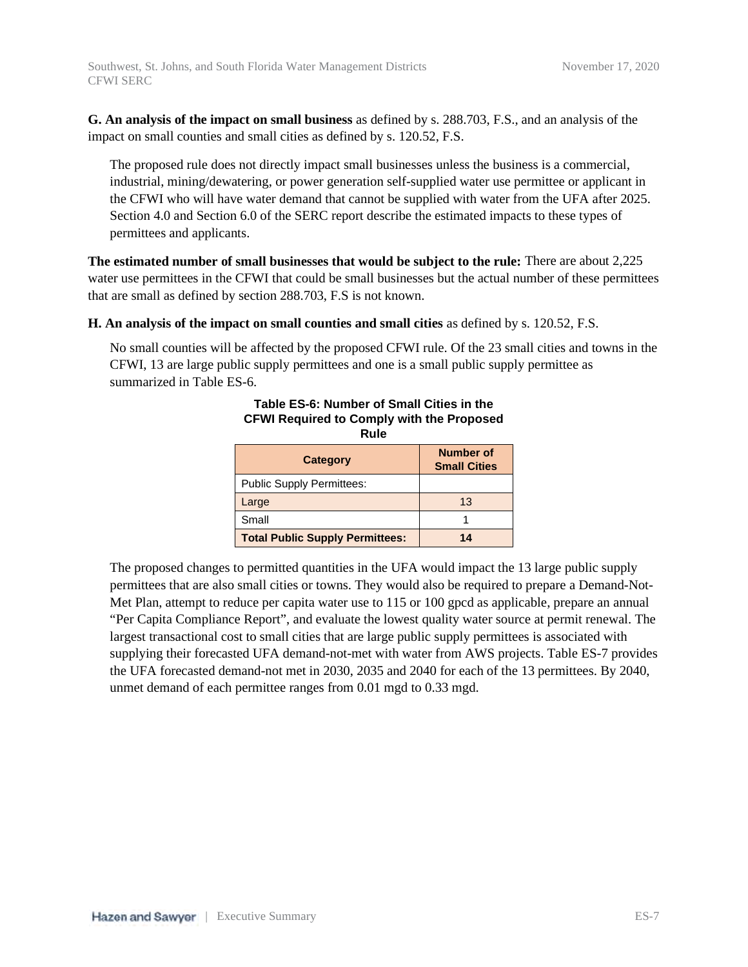**G. An analysis of the impact on small business** as defined by s. 288.703, F.S., and an analysis of the impact on small counties and small cities as defined by s. 120.52, F.S.

The proposed rule does not directly impact small businesses unless the business is a commercial, industrial, mining/dewatering, or power generation self-supplied water use permittee or applicant in the CFWI who will have water demand that cannot be supplied with water from the UFA after 2025. Section 4.0 and Section 6.0 of the SERC report describe the estimated impacts to these types of permittees and applicants.

**The estimated number of small businesses that would be subject to the rule:** There are about 2,225 water use permittees in the CFWI that could be small businesses but the actual number of these permittees that are small as defined by section 288.703, F.S is not known.

#### **H. An analysis of the impact on small counties and small cities** as defined by s. 120.52, F.S.

No small counties will be affected by the proposed CFWI rule. Of the 23 small cities and towns in the CFWI, 13 are large public supply permittees and one is a small public supply permittee as summarized in Table ES-6.

| .                                      |                                  |  |  |  |  |
|----------------------------------------|----------------------------------|--|--|--|--|
| <b>Category</b>                        | Number of<br><b>Small Cities</b> |  |  |  |  |
| Public Supply Permittees:              |                                  |  |  |  |  |
| Large                                  | 13                               |  |  |  |  |
| Small                                  |                                  |  |  |  |  |
| <b>Total Public Supply Permittees:</b> | 14                               |  |  |  |  |

#### **Table ES-6: Number of Small Cities in the CFWI Required to Comply with the Proposed Rule**

The proposed changes to permitted quantities in the UFA would impact the 13 large public supply permittees that are also small cities or towns. They would also be required to prepare a Demand-Not-Met Plan, attempt to reduce per capita water use to 115 or 100 gpcd as applicable, prepare an annual "Per Capita Compliance Report", and evaluate the lowest quality water source at permit renewal. The largest transactional cost to small cities that are large public supply permittees is associated with supplying their forecasted UFA demand-not-met with water from AWS projects. Table ES-7 provides the UFA forecasted demand-not met in 2030, 2035 and 2040 for each of the 13 permittees. By 2040, unmet demand of each permittee ranges from 0.01 mgd to 0.33 mgd.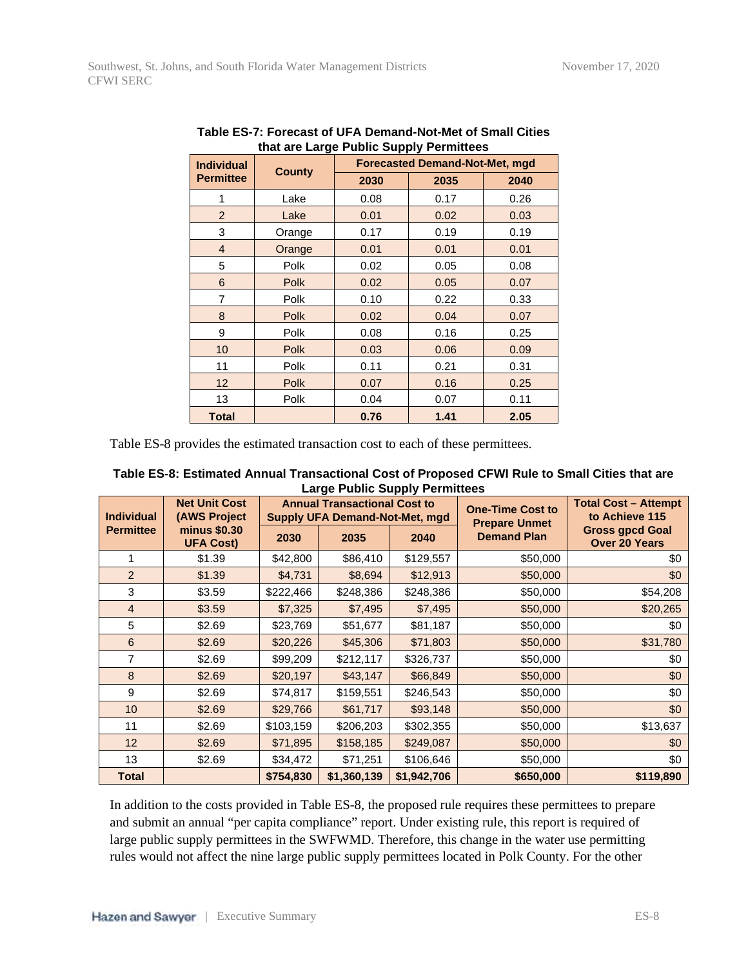| <b>Individual</b> | that are Large Fublic Supply Fermittees | <b>Forecasted Demand-Not-Met, mgd</b> |      |      |  |
|-------------------|-----------------------------------------|---------------------------------------|------|------|--|
| <b>Permittee</b>  | <b>County</b>                           | 2030                                  | 2035 | 2040 |  |
| 1                 | Lake                                    | 0.08                                  | 0.17 | 0.26 |  |
| $\overline{2}$    | Lake                                    | 0.01                                  | 0.02 | 0.03 |  |
| 3                 | Orange                                  | 0.17                                  | 0.19 | 0.19 |  |
| $\overline{4}$    | Orange                                  | 0.01                                  | 0.01 | 0.01 |  |
| 5                 | Polk                                    | 0.02                                  | 0.05 | 0.08 |  |
| 6                 | <b>Polk</b>                             | 0.02                                  | 0.05 | 0.07 |  |
| 7                 | Polk                                    | 0.10                                  | 0.22 | 0.33 |  |
| 8                 | <b>Polk</b>                             | 0.02                                  | 0.04 | 0.07 |  |
| 9                 | Polk                                    | 0.08                                  | 0.16 | 0.25 |  |
| 10                | <b>Polk</b>                             | 0.03                                  | 0.06 | 0.09 |  |
| 11                | Polk                                    | 0.11                                  | 0.21 | 0.31 |  |
| 12 <sup>2</sup>   | <b>Polk</b>                             | 0.07                                  | 0.16 | 0.25 |  |
| 13                | Polk                                    | 0.04                                  | 0.07 | 0.11 |  |
| <b>Total</b>      |                                         | 0.76                                  | 1.41 | 2.05 |  |

**Table ES-7: Forecast of UFA Demand-Not-Met of Small Cities that are Large Public Supply Permittees**

Table ES-8 provides the estimated transaction cost to each of these permittees.

| Table ES-8: Estimated Annual Transactional Cost of Proposed CFWI Rule to Small Cities that are |
|------------------------------------------------------------------------------------------------|
| <b>Large Public Supply Permittees</b>                                                          |

| <b>Individual</b> | <b>Net Unit Cost</b><br><b>(AWS Project)</b> | <b>Annual Transactional Cost to</b><br><b>Supply UFA Demand-Not-Met, mgd</b> |             |             | <b>Total Cost - Attempt</b><br><b>One-Time Cost to</b><br>to Achieve 115<br><b>Prepare Unmet</b> |                                                |  |
|-------------------|----------------------------------------------|------------------------------------------------------------------------------|-------------|-------------|--------------------------------------------------------------------------------------------------|------------------------------------------------|--|
| <b>Permittee</b>  | minus \$0.30<br><b>UFA Cost)</b>             | 2030                                                                         | 2035        | 2040        | <b>Demand Plan</b>                                                                               | <b>Gross gpcd Goal</b><br><b>Over 20 Years</b> |  |
|                   | \$1.39                                       | \$42,800                                                                     | \$86,410    | \$129,557   | \$50,000                                                                                         | \$0                                            |  |
| $\overline{2}$    | \$1.39                                       | \$4,731                                                                      | \$8,694     | \$12,913    | \$50,000                                                                                         | \$0                                            |  |
| 3                 | \$3.59                                       | \$222,466                                                                    | \$248,386   | \$248,386   | \$50,000                                                                                         | \$54,208                                       |  |
| $\overline{4}$    | \$3.59                                       | \$7,325                                                                      | \$7,495     | \$7,495     | \$50,000                                                                                         | \$20,265                                       |  |
| 5                 | \$2.69                                       | \$23,769                                                                     | \$51,677    | \$81,187    | \$50,000                                                                                         | \$0                                            |  |
| 6                 | \$2.69                                       | \$20,226                                                                     | \$45,306    | \$71,803    | \$50,000                                                                                         | \$31,780                                       |  |
| 7                 | \$2.69                                       | \$99,209                                                                     | \$212,117   | \$326,737   | \$50,000                                                                                         | \$0                                            |  |
| 8                 | \$2.69                                       | \$20,197                                                                     | \$43,147    | \$66,849    | \$50,000                                                                                         | \$0                                            |  |
| 9                 | \$2.69                                       | \$74,817                                                                     | \$159,551   | \$246,543   | \$50,000                                                                                         | \$0                                            |  |
| 10 <sup>°</sup>   | \$2.69                                       | \$29,766                                                                     | \$61,717    | \$93,148    | \$50,000                                                                                         | \$0                                            |  |
| 11                | \$2.69                                       | \$103,159                                                                    | \$206,203   | \$302,355   | \$50,000                                                                                         | \$13,637                                       |  |
| 12                | \$2.69                                       | \$71,895                                                                     | \$158,185   | \$249,087   | \$50,000                                                                                         | \$0                                            |  |
| 13                | \$2.69                                       | \$34,472                                                                     | \$71,251    | \$106,646   | \$50,000                                                                                         | \$0                                            |  |
| <b>Total</b>      |                                              | \$754,830                                                                    | \$1,360,139 | \$1,942,706 | \$650,000                                                                                        | \$119,890                                      |  |

In addition to the costs provided in Table ES-8, the proposed rule requires these permittees to prepare and submit an annual "per capita compliance" report. Under existing rule, this report is required of large public supply permittees in the SWFWMD. Therefore, this change in the water use permitting rules would not affect the nine large public supply permittees located in Polk County. For the other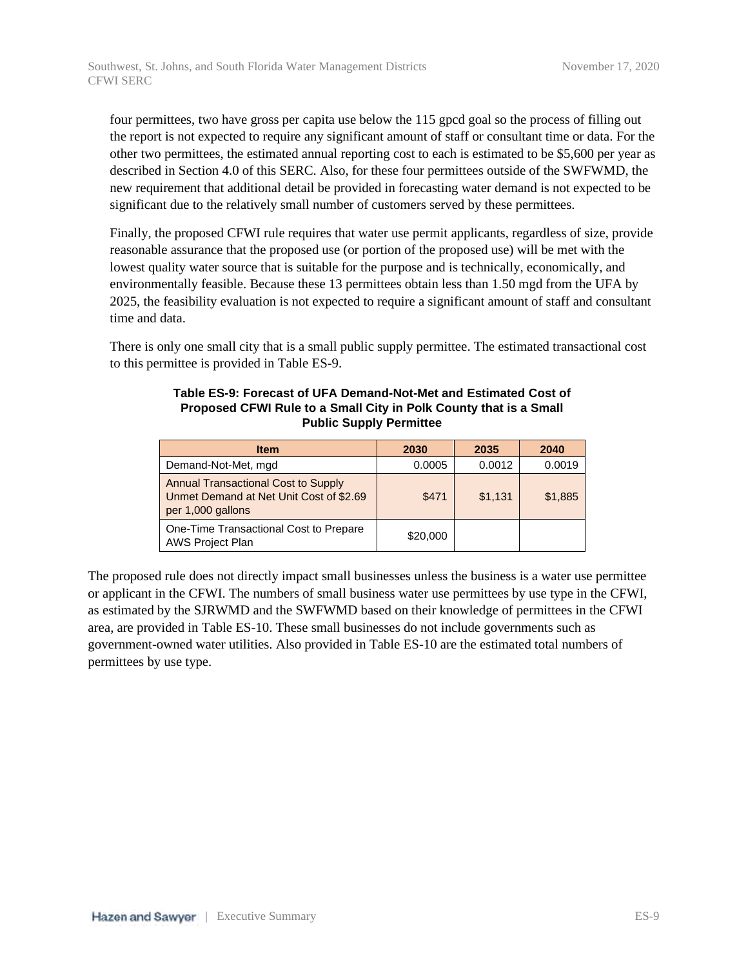four permittees, two have gross per capita use below the 115 gpcd goal so the process of filling out the report is not expected to require any significant amount of staff or consultant time or data. For the other two permittees, the estimated annual reporting cost to each is estimated to be \$5,600 per year as described in Section 4.0 of this SERC. Also, for these four permittees outside of the SWFWMD, the new requirement that additional detail be provided in forecasting water demand is not expected to be significant due to the relatively small number of customers served by these permittees.

Finally, the proposed CFWI rule requires that water use permit applicants, regardless of size, provide reasonable assurance that the proposed use (or portion of the proposed use) will be met with the lowest quality water source that is suitable for the purpose and is technically, economically, and environmentally feasible. Because these 13 permittees obtain less than 1.50 mgd from the UFA by 2025, the feasibility evaluation is not expected to require a significant amount of staff and consultant time and data.

There is only one small city that is a small public supply permittee. The estimated transactional cost to this permittee is provided in Table ES-9.

| <b>Item</b>                                                                                                | 2030     | 2035    | 2040    |
|------------------------------------------------------------------------------------------------------------|----------|---------|---------|
| Demand-Not-Met, mgd                                                                                        | 0.0005   | 0.0012  | 0.0019  |
| <b>Annual Transactional Cost to Supply</b><br>Unmet Demand at Net Unit Cost of \$2.69<br>per 1,000 gallons | \$471    | \$1,131 | \$1,885 |
| One-Time Transactional Cost to Prepare<br>AWS Project Plan                                                 | \$20,000 |         |         |

#### **Table ES-9: Forecast of UFA Demand-Not-Met and Estimated Cost of Proposed CFWI Rule to a Small City in Polk County that is a Small Public Supply Permittee**

The proposed rule does not directly impact small businesses unless the business is a water use permittee or applicant in the CFWI. The numbers of small business water use permittees by use type in the CFWI, as estimated by the SJRWMD and the SWFWMD based on their knowledge of permittees in the CFWI area, are provided in Table ES-10. These small businesses do not include governments such as government-owned water utilities. Also provided in Table ES-10 are the estimated total numbers of permittees by use type.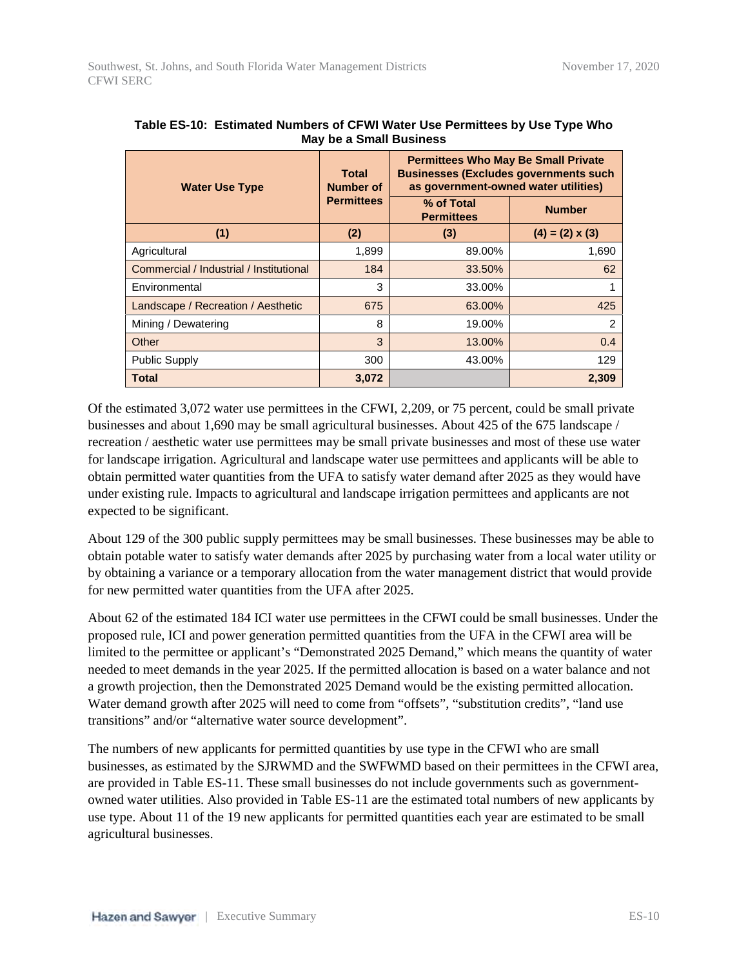| <b>Water Use Type</b>                   | <b>Total</b><br><b>Number of</b> | <b>Permittees Who May Be Small Private</b><br><b>Businesses (Excludes governments such)</b><br>as government-owned water utilities) |                        |  |
|-----------------------------------------|----------------------------------|-------------------------------------------------------------------------------------------------------------------------------------|------------------------|--|
|                                         | <b>Permittees</b>                | % of Total<br><b>Number</b><br><b>Permittees</b>                                                                                    |                        |  |
| (1)                                     | (2)                              | (3)                                                                                                                                 | $(4) = (2) \times (3)$ |  |
| Agricultural                            | 1,899                            | 89.00%                                                                                                                              | 1,690                  |  |
| Commercial / Industrial / Institutional | 184                              | 33.50%                                                                                                                              | 62                     |  |
| Environmental                           | 3                                | 33.00%                                                                                                                              |                        |  |
| Landscape / Recreation / Aesthetic      | 675                              | 63.00%                                                                                                                              | 425                    |  |
| Mining / Dewatering                     | 8                                | 19.00%                                                                                                                              | 2                      |  |
| Other                                   | 3                                | 13.00%                                                                                                                              | 0.4                    |  |
| <b>Public Supply</b>                    | 300                              | 43.00%                                                                                                                              | 129                    |  |
| Total                                   | 3,072                            |                                                                                                                                     | 2,309                  |  |

| Table ES-10: Estimated Numbers of CFWI Water Use Permittees by Use Type Who |
|-----------------------------------------------------------------------------|
| May be a Small Business                                                     |

Of the estimated 3,072 water use permittees in the CFWI, 2,209, or 75 percent, could be small private businesses and about 1,690 may be small agricultural businesses. About 425 of the 675 landscape / recreation / aesthetic water use permittees may be small private businesses and most of these use water for landscape irrigation. Agricultural and landscape water use permittees and applicants will be able to obtain permitted water quantities from the UFA to satisfy water demand after 2025 as they would have under existing rule. Impacts to agricultural and landscape irrigation permittees and applicants are not expected to be significant.

About 129 of the 300 public supply permittees may be small businesses. These businesses may be able to obtain potable water to satisfy water demands after 2025 by purchasing water from a local water utility or by obtaining a variance or a temporary allocation from the water management district that would provide for new permitted water quantities from the UFA after 2025.

About 62 of the estimated 184 ICI water use permittees in the CFWI could be small businesses. Under the proposed rule, ICI and power generation permitted quantities from the UFA in the CFWI area will be limited to the permittee or applicant's "Demonstrated 2025 Demand," which means the quantity of water needed to meet demands in the year 2025. If the permitted allocation is based on a water balance and not a growth projection, then the Demonstrated 2025 Demand would be the existing permitted allocation. Water demand growth after 2025 will need to come from "offsets", "substitution credits", "land use transitions" and/or "alternative water source development".

The numbers of new applicants for permitted quantities by use type in the CFWI who are small businesses, as estimated by the SJRWMD and the SWFWMD based on their permittees in the CFWI area, are provided in Table ES-11. These small businesses do not include governments such as governmentowned water utilities. Also provided in Table ES-11 are the estimated total numbers of new applicants by use type. About 11 of the 19 new applicants for permitted quantities each year are estimated to be small agricultural businesses.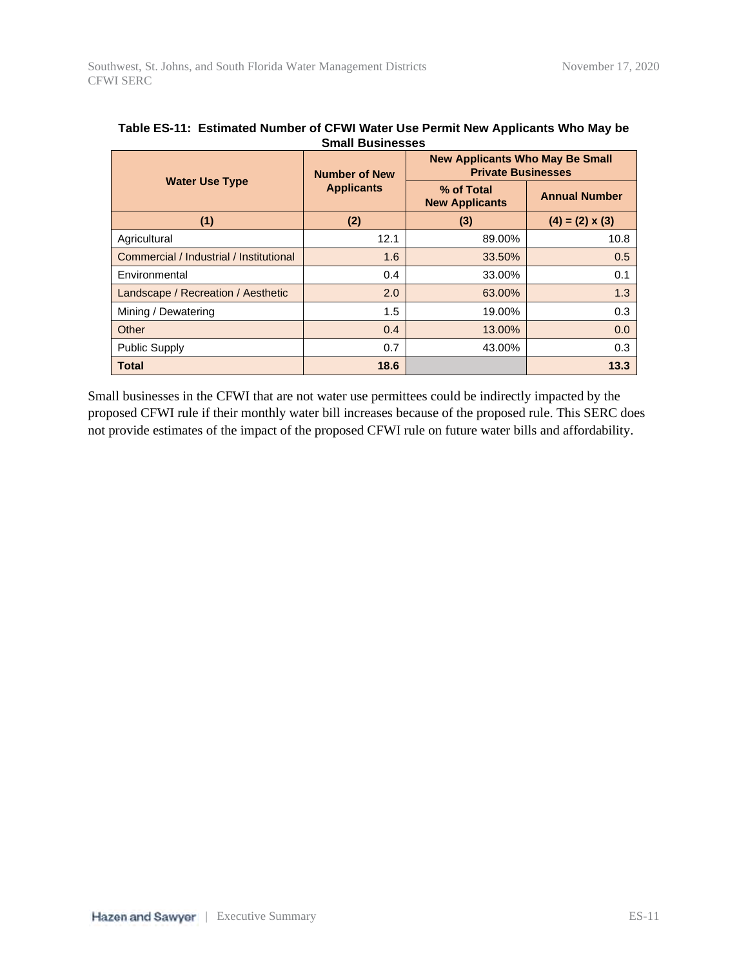|                                         | <b>Number of New</b> | <b>New Applicants Who May Be Small</b><br><b>Private Businesses</b> |                        |  |
|-----------------------------------------|----------------------|---------------------------------------------------------------------|------------------------|--|
| <b>Water Use Type</b>                   | <b>Applicants</b>    | % of Total<br><b>New Applicants</b>                                 | <b>Annual Number</b>   |  |
| (1)                                     | (2)                  | (3)                                                                 | $(4) = (2) \times (3)$ |  |
| Agricultural                            | 12.1                 | 89.00%                                                              | 10.8                   |  |
| Commercial / Industrial / Institutional | 1.6                  | 33.50%                                                              | 0.5                    |  |
| Environmental                           | 0.4                  | 33.00%                                                              | 0.1                    |  |
| Landscape / Recreation / Aesthetic      | 2.0                  | 63.00%                                                              | 1.3                    |  |
| Mining / Dewatering                     | 1.5                  | 19.00%                                                              | 0.3                    |  |
| Other                                   | 0.4                  | 13.00%                                                              | 0.0                    |  |
| <b>Public Supply</b>                    | 0.7                  | 43.00%                                                              | 0.3                    |  |
| <b>Total</b>                            | 18.6                 |                                                                     | 13.3                   |  |

| Table ES-11: Estimated Number of CFWI Water Use Permit New Applicants Who May be |  |
|----------------------------------------------------------------------------------|--|
| <b>Small Businesses</b>                                                          |  |

Small businesses in the CFWI that are not water use permittees could be indirectly impacted by the proposed CFWI rule if their monthly water bill increases because of the proposed rule. This SERC does not provide estimates of the impact of the proposed CFWI rule on future water bills and affordability.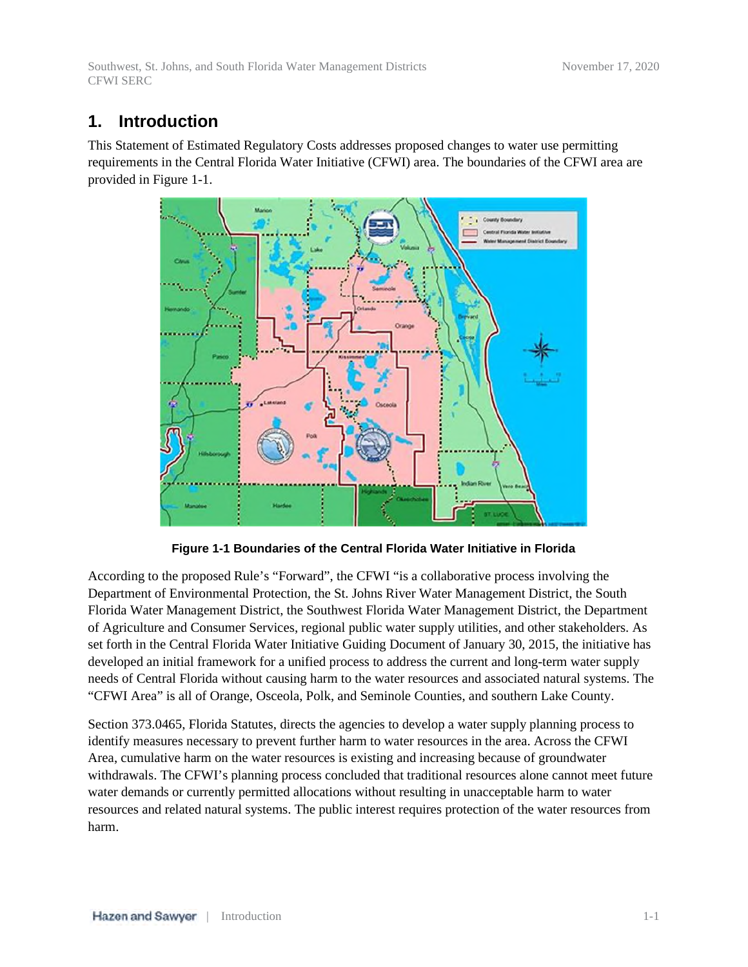Southwest, St. Johns, and South Florida Water Management Districts November 17, 2020 CFWI SERC

# **1. Introduction**

This Statement of Estimated Regulatory Costs addresses proposed changes to water use permitting requirements in the Central Florida Water Initiative (CFWI) area. The boundaries of the CFWI area are provided in Figure 1-1.



**Figure 1-1 Boundaries of the Central Florida Water Initiative in Florida**

According to the proposed Rule's "Forward", the CFWI "is a collaborative process involving the Department of Environmental Protection, the St. Johns River Water Management District, the South Florida Water Management District, the Southwest Florida Water Management District, the Department of Agriculture and Consumer Services, regional public water supply utilities, and other stakeholders. As set forth in the Central Florida Water Initiative Guiding Document of January 30, 2015, the initiative has developed an initial framework for a unified process to address the current and long-term water supply needs of Central Florida without causing harm to the water resources and associated natural systems. The "CFWI Area" is all of Orange, Osceola, Polk, and Seminole Counties, and southern Lake County.

Section 373.0465, Florida Statutes, directs the agencies to develop a water supply planning process to identify measures necessary to prevent further harm to water resources in the area. Across the CFWI Area, cumulative harm on the water resources is existing and increasing because of groundwater withdrawals. The CFWI's planning process concluded that traditional resources alone cannot meet future water demands or currently permitted allocations without resulting in unacceptable harm to water resources and related natural systems. The public interest requires protection of the water resources from harm.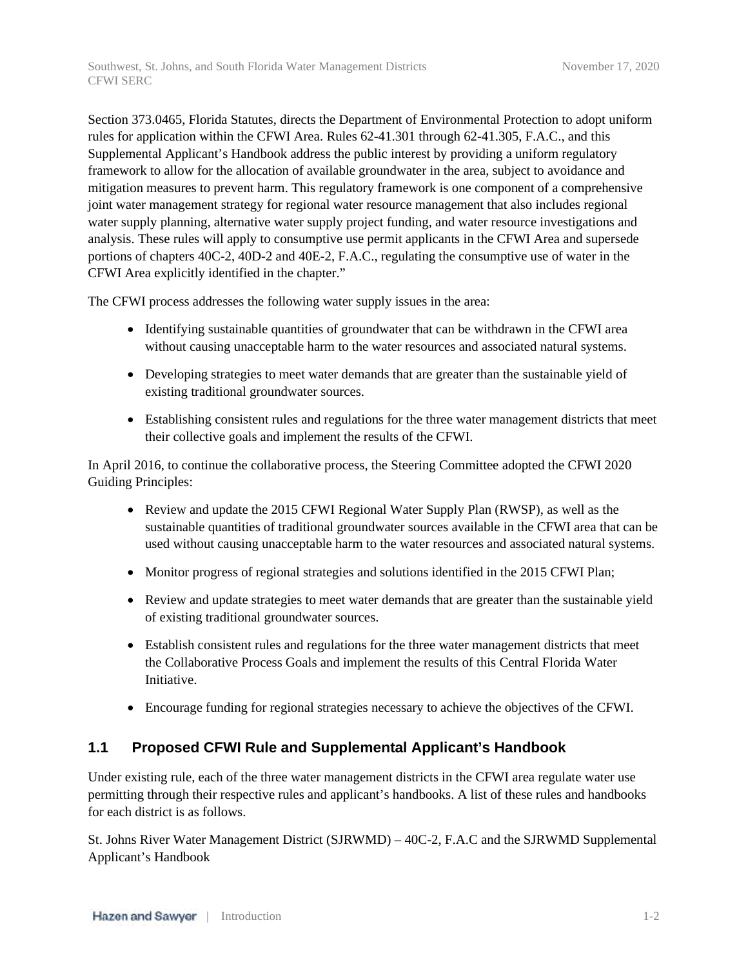Southwest, St. Johns, and South Florida Water Management Districts November 17, 2020 CFWI SERC

Section 373.0465, Florida Statutes, directs the Department of Environmental Protection to adopt uniform rules for application within the CFWI Area. Rules 62-41.301 through 62-41.305, F.A.C., and this Supplemental Applicant's Handbook address the public interest by providing a uniform regulatory framework to allow for the allocation of available groundwater in the area, subject to avoidance and mitigation measures to prevent harm. This regulatory framework is one component of a comprehensive joint water management strategy for regional water resource management that also includes regional water supply planning, alternative water supply project funding, and water resource investigations and analysis. These rules will apply to consumptive use permit applicants in the CFWI Area and supersede portions of chapters 40C-2, 40D-2 and 40E-2, F.A.C., regulating the consumptive use of water in the CFWI Area explicitly identified in the chapter."

The CFWI process addresses the following water supply issues in the area:

- Identifying sustainable quantities of groundwater that can be withdrawn in the CFWI area without causing unacceptable harm to the water resources and associated natural systems.
- Developing strategies to meet water demands that are greater than the sustainable yield of existing traditional groundwater sources.
- Establishing consistent rules and regulations for the three water management districts that meet their collective goals and implement the results of the CFWI.

In April 2016, to continue the collaborative process, the Steering Committee adopted the CFWI 2020 Guiding Principles:

- Review and update the 2015 CFWI Regional Water Supply Plan (RWSP), as well as the sustainable quantities of traditional groundwater sources available in the CFWI area that can be used without causing unacceptable harm to the water resources and associated natural systems.
- Monitor progress of regional strategies and solutions identified in the 2015 CFWI Plan;
- Review and update strategies to meet water demands that are greater than the sustainable yield of existing traditional groundwater sources.
- Establish consistent rules and regulations for the three water management districts that meet the Collaborative Process Goals and implement the results of this Central Florida Water Initiative.
- Encourage funding for regional strategies necessary to achieve the objectives of the CFWI.

### **1.1 Proposed CFWI Rule and Supplemental Applicant's Handbook**

Under existing rule, each of the three water management districts in the CFWI area regulate water use permitting through their respective rules and applicant's handbooks. A list of these rules and handbooks for each district is as follows.

St. Johns River Water Management District (SJRWMD) – 40C-2, F.A.C and the SJRWMD Supplemental Applicant's Handbook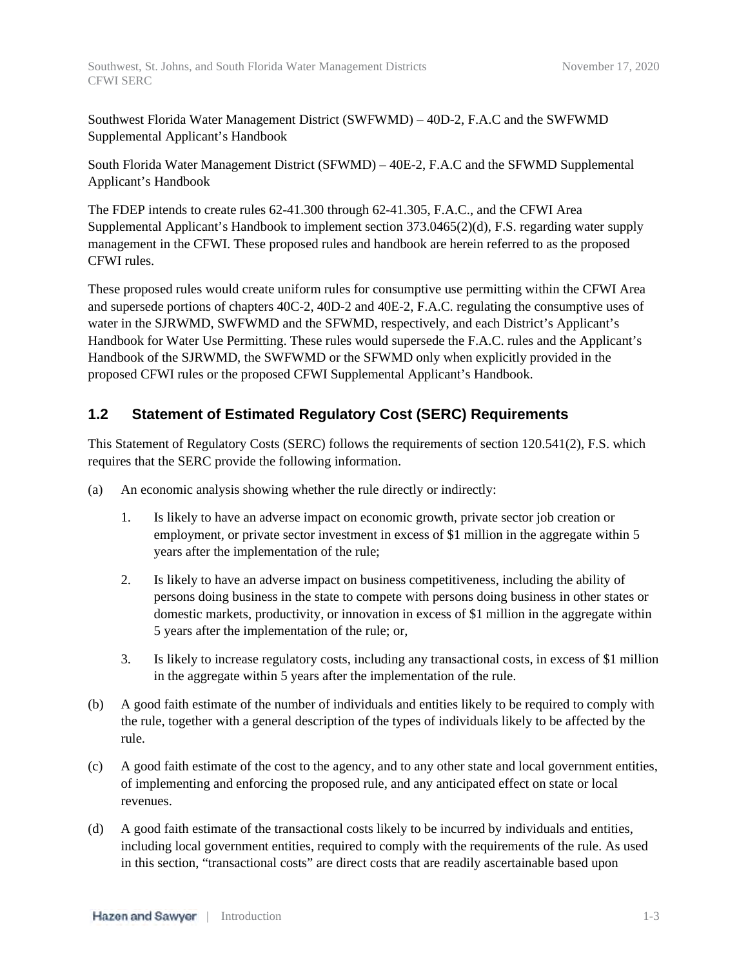Southwest Florida Water Management District (SWFWMD) – 40D-2, F.A.C and the SWFWMD Supplemental Applicant's Handbook

South Florida Water Management District (SFWMD) – 40E-2, F.A.C and the SFWMD Supplemental Applicant's Handbook

The FDEP intends to create rules 62-41.300 through 62-41.305, F.A.C., and the CFWI Area Supplemental Applicant's Handbook to implement section 373.0465(2)(d), F.S. regarding water supply management in the CFWI. These proposed rules and handbook are herein referred to as the proposed CFWI rules.

These proposed rules would create uniform rules for consumptive use permitting within the CFWI Area and supersede portions of chapters 40C-2, 40D-2 and 40E-2, F.A.C. regulating the consumptive uses of water in the SJRWMD, SWFWMD and the SFWMD, respectively, and each District's Applicant's Handbook for Water Use Permitting. These rules would supersede the F.A.C. rules and the Applicant's Handbook of the SJRWMD, the SWFWMD or the SFWMD only when explicitly provided in the proposed CFWI rules or the proposed CFWI Supplemental Applicant's Handbook.

### **1.2 Statement of Estimated Regulatory Cost (SERC) Requirements**

This Statement of Regulatory Costs (SERC) follows the requirements of section 120.541(2), F.S. which requires that the SERC provide the following information.

- (a) An economic analysis showing whether the rule directly or indirectly:
	- 1. Is likely to have an adverse impact on economic growth, private sector job creation or employment, or private sector investment in excess of \$1 million in the aggregate within 5 years after the implementation of the rule;
	- 2. Is likely to have an adverse impact on business competitiveness, including the ability of persons doing business in the state to compete with persons doing business in other states or domestic markets, productivity, or innovation in excess of \$1 million in the aggregate within 5 years after the implementation of the rule; or,
	- 3. Is likely to increase regulatory costs, including any transactional costs, in excess of \$1 million in the aggregate within 5 years after the implementation of the rule.
- (b) A good faith estimate of the number of individuals and entities likely to be required to comply with the rule, together with a general description of the types of individuals likely to be affected by the rule.
- (c) A good faith estimate of the cost to the agency, and to any other state and local government entities, of implementing and enforcing the proposed rule, and any anticipated effect on state or local revenues.
- (d) A good faith estimate of the transactional costs likely to be incurred by individuals and entities, including local government entities, required to comply with the requirements of the rule. As used in this section, "transactional costs" are direct costs that are readily ascertainable based upon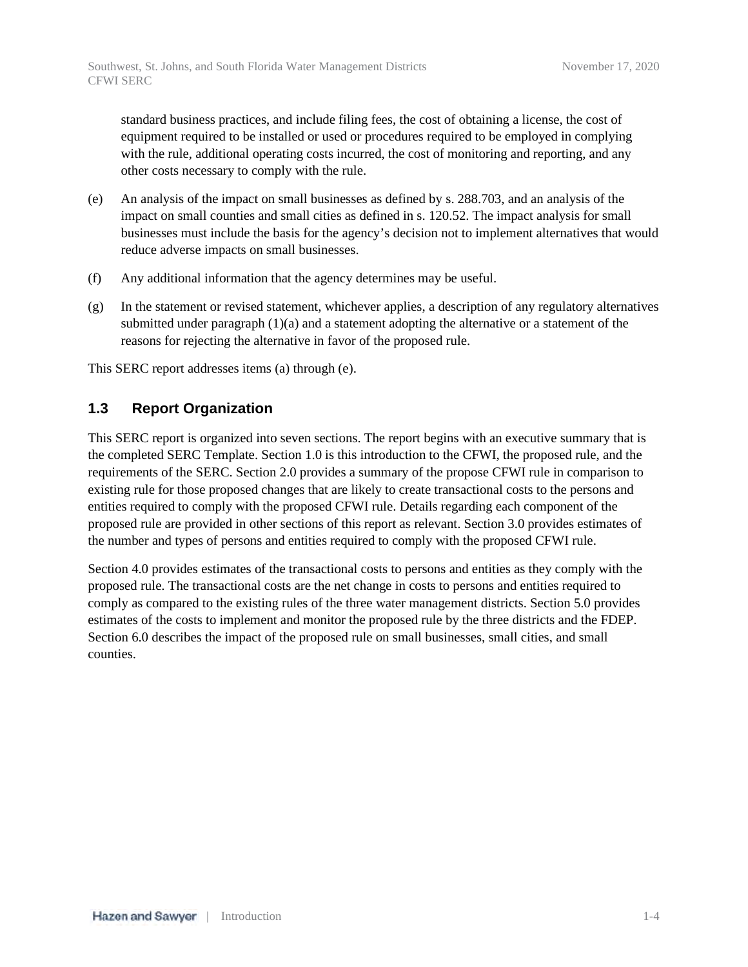standard business practices, and include filing fees, the cost of obtaining a license, the cost of equipment required to be installed or used or procedures required to be employed in complying with the rule, additional operating costs incurred, the cost of monitoring and reporting, and any other costs necessary to comply with the rule.

- (e) An analysis of the impact on small businesses as defined by s. 288.703, and an analysis of the impact on small counties and small cities as defined in s. 120.52. The impact analysis for small businesses must include the basis for the agency's decision not to implement alternatives that would reduce adverse impacts on small businesses.
- (f) Any additional information that the agency determines may be useful.
- (g) In the statement or revised statement, whichever applies, a description of any regulatory alternatives submitted under paragraph  $(1)(a)$  and a statement adopting the alternative or a statement of the reasons for rejecting the alternative in favor of the proposed rule.

This SERC report addresses items (a) through (e).

### **1.3 Report Organization**

This SERC report is organized into seven sections. The report begins with an executive summary that is the completed SERC Template. Section 1.0 is this introduction to the CFWI, the proposed rule, and the requirements of the SERC. Section 2.0 provides a summary of the propose CFWI rule in comparison to existing rule for those proposed changes that are likely to create transactional costs to the persons and entities required to comply with the proposed CFWI rule. Details regarding each component of the proposed rule are provided in other sections of this report as relevant. Section 3.0 provides estimates of the number and types of persons and entities required to comply with the proposed CFWI rule.

Section 4.0 provides estimates of the transactional costs to persons and entities as they comply with the proposed rule. The transactional costs are the net change in costs to persons and entities required to comply as compared to the existing rules of the three water management districts. Section 5.0 provides estimates of the costs to implement and monitor the proposed rule by the three districts and the FDEP. Section 6.0 describes the impact of the proposed rule on small businesses, small cities, and small counties.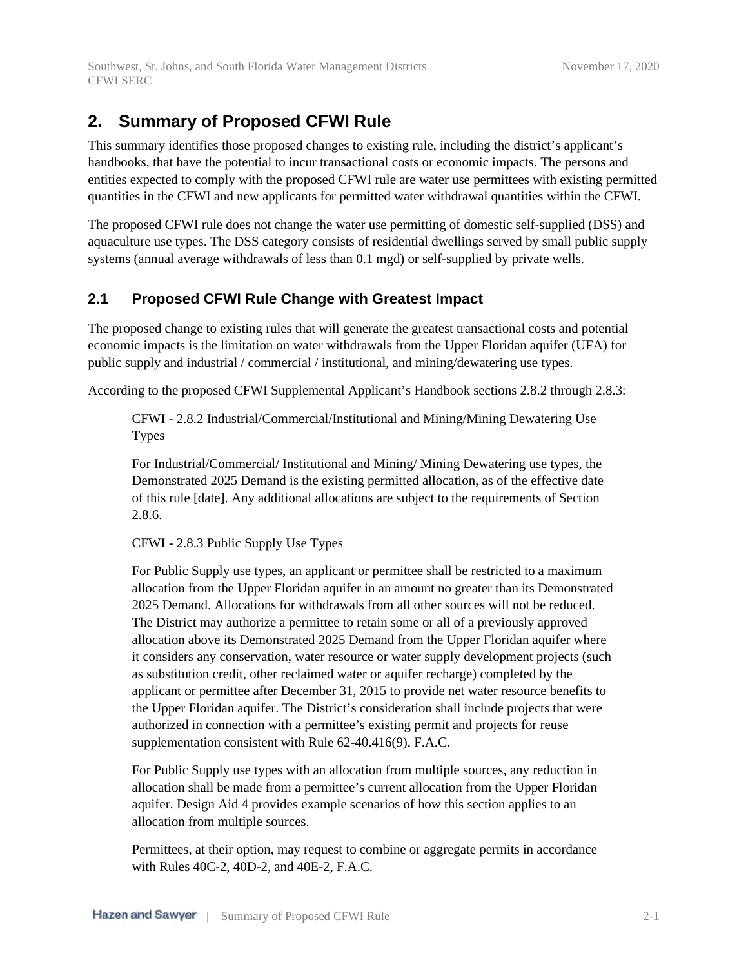# **2. Summary of Proposed CFWI Rule**

This summary identifies those proposed changes to existing rule, including the district's applicant's handbooks, that have the potential to incur transactional costs or economic impacts. The persons and entities expected to comply with the proposed CFWI rule are water use permittees with existing permitted quantities in the CFWI and new applicants for permitted water withdrawal quantities within the CFWI.

The proposed CFWI rule does not change the water use permitting of domestic self-supplied (DSS) and aquaculture use types. The DSS category consists of residential dwellings served by small public supply systems (annual average withdrawals of less than 0.1 mgd) or self-supplied by private wells.

## **2.1 Proposed CFWI Rule Change with Greatest Impact**

The proposed change to existing rules that will generate the greatest transactional costs and potential economic impacts is the limitation on water withdrawals from the Upper Floridan aquifer (UFA) for public supply and industrial / commercial / institutional, and mining/dewatering use types.

According to the proposed CFWI Supplemental Applicant's Handbook sections 2.8.2 through 2.8.3:

CFWI - 2.8.2 Industrial/Commercial/Institutional and Mining/Mining Dewatering Use Types

For Industrial/Commercial/ Institutional and Mining/ Mining Dewatering use types, the Demonstrated 2025 Demand is the existing permitted allocation, as of the effective date of this rule [date]. Any additional allocations are subject to the requirements of Section 2.8.6.

CFWI - 2.8.3 Public Supply Use Types

For Public Supply use types, an applicant or permittee shall be restricted to a maximum allocation from the Upper Floridan aquifer in an amount no greater than its Demonstrated 2025 Demand. Allocations for withdrawals from all other sources will not be reduced. The District may authorize a permittee to retain some or all of a previously approved allocation above its Demonstrated 2025 Demand from the Upper Floridan aquifer where it considers any conservation, water resource or water supply development projects (such as substitution credit, other reclaimed water or aquifer recharge) completed by the applicant or permittee after December 31, 2015 to provide net water resource benefits to the Upper Floridan aquifer. The District's consideration shall include projects that were authorized in connection with a permittee's existing permit and projects for reuse supplementation consistent with Rule 62-40.416(9), F.A.C.

For Public Supply use types with an allocation from multiple sources, any reduction in allocation shall be made from a permittee's current allocation from the Upper Floridan aquifer. Design Aid 4 provides example scenarios of how this section applies to an allocation from multiple sources.

Permittees, at their option, may request to combine or aggregate permits in accordance with Rules 40C-2, 40D-2, and 40E-2, F.A.C.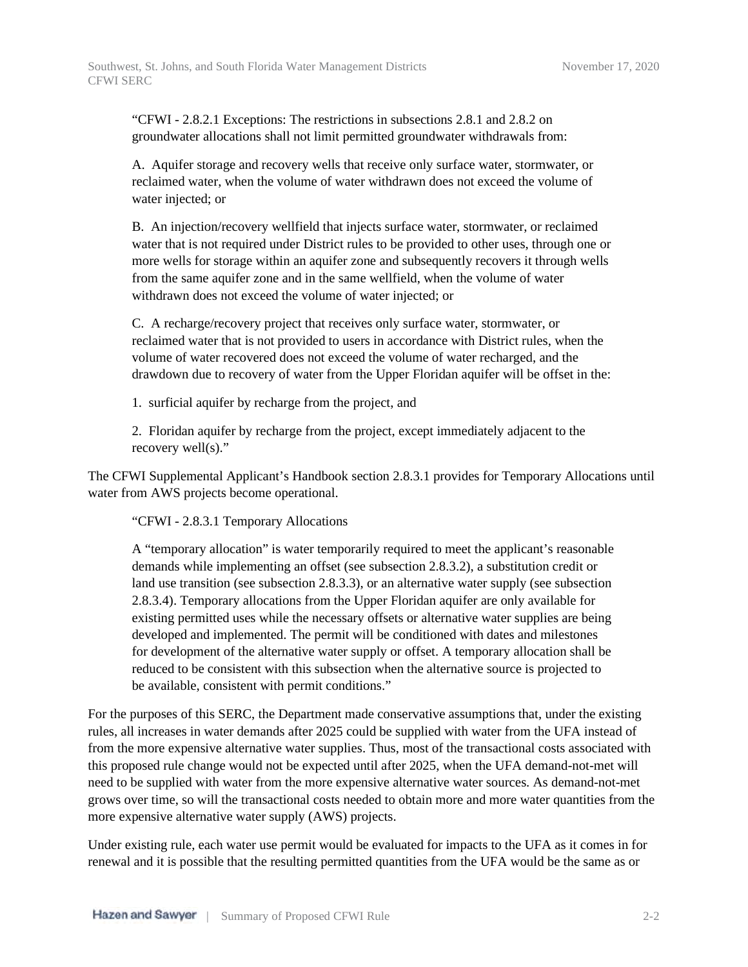"CFWI - 2.8.2.1 Exceptions: The restrictions in subsections 2.8.1 and 2.8.2 on groundwater allocations shall not limit permitted groundwater withdrawals from:

A. Aquifer storage and recovery wells that receive only surface water, stormwater, or reclaimed water, when the volume of water withdrawn does not exceed the volume of water injected; or

B. An injection/recovery wellfield that injects surface water, stormwater, or reclaimed water that is not required under District rules to be provided to other uses, through one or more wells for storage within an aquifer zone and subsequently recovers it through wells from the same aquifer zone and in the same wellfield, when the volume of water withdrawn does not exceed the volume of water injected; or

C. A recharge/recovery project that receives only surface water, stormwater, or reclaimed water that is not provided to users in accordance with District rules, when the volume of water recovered does not exceed the volume of water recharged, and the drawdown due to recovery of water from the Upper Floridan aquifer will be offset in the:

1. surficial aquifer by recharge from the project, and

2. Floridan aquifer by recharge from the project, except immediately adjacent to the recovery well(s)."

The CFWI Supplemental Applicant's Handbook section 2.8.3.1 provides for Temporary Allocations until water from AWS projects become operational.

"CFWI - 2.8.3.1 Temporary Allocations

A "temporary allocation" is water temporarily required to meet the applicant's reasonable demands while implementing an offset (see subsection 2.8.3.2), a substitution credit or land use transition (see subsection 2.8.3.3), or an alternative water supply (see subsection 2.8.3.4). Temporary allocations from the Upper Floridan aquifer are only available for existing permitted uses while the necessary offsets or alternative water supplies are being developed and implemented. The permit will be conditioned with dates and milestones for development of the alternative water supply or offset. A temporary allocation shall be reduced to be consistent with this subsection when the alternative source is projected to be available, consistent with permit conditions."

For the purposes of this SERC, the Department made conservative assumptions that, under the existing rules, all increases in water demands after 2025 could be supplied with water from the UFA instead of from the more expensive alternative water supplies. Thus, most of the transactional costs associated with this proposed rule change would not be expected until after 2025, when the UFA demand-not-met will need to be supplied with water from the more expensive alternative water sources. As demand-not-met grows over time, so will the transactional costs needed to obtain more and more water quantities from the more expensive alternative water supply (AWS) projects.

Under existing rule, each water use permit would be evaluated for impacts to the UFA as it comes in for renewal and it is possible that the resulting permitted quantities from the UFA would be the same as or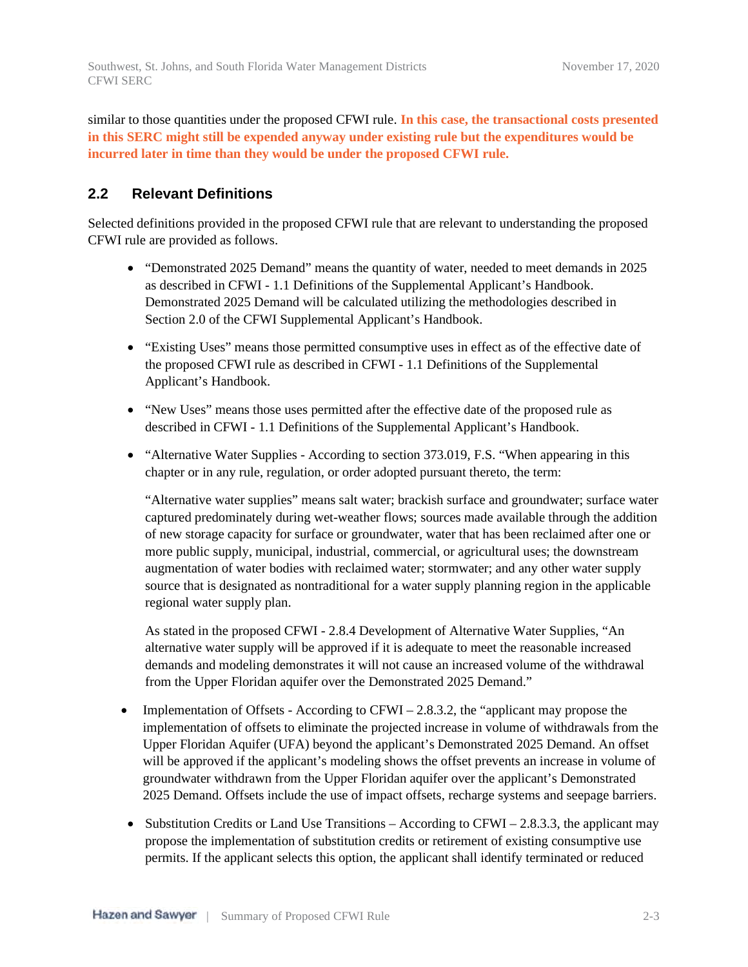similar to those quantities under the proposed CFWI rule. **In this case, the transactional costs presented in this SERC might still be expended anyway under existing rule but the expenditures would be incurred later in time than they would be under the proposed CFWI rule.**

### **2.2 Relevant Definitions**

Selected definitions provided in the proposed CFWI rule that are relevant to understanding the proposed CFWI rule are provided as follows.

- "Demonstrated 2025 Demand" means the quantity of water, needed to meet demands in 2025 as described in CFWI - 1.1 Definitions of the Supplemental Applicant's Handbook. Demonstrated 2025 Demand will be calculated utilizing the methodologies described in Section 2.0 of the CFWI Supplemental Applicant's Handbook.
- "Existing Uses" means those permitted consumptive uses in effect as of the effective date of the proposed CFWI rule as described in CFWI - 1.1 Definitions of the Supplemental Applicant's Handbook.
- "New Uses" means those uses permitted after the effective date of the proposed rule as described in CFWI - 1.1 Definitions of the Supplemental Applicant's Handbook.
- "Alternative Water Supplies According to section 373.019, F.S. "When appearing in this chapter or in any rule, regulation, or order adopted pursuant thereto, the term:

"Alternative water supplies" means salt water; brackish surface and groundwater; surface water captured predominately during wet-weather flows; sources made available through the addition of new storage capacity for surface or groundwater, water that has been reclaimed after one or more public supply, municipal, industrial, commercial, or agricultural uses; the downstream augmentation of water bodies with reclaimed water; stormwater; and any other water supply source that is designated as nontraditional for a water supply planning region in the applicable regional water supply plan.

As stated in the proposed CFWI - 2.8.4 Development of Alternative Water Supplies, "An alternative water supply will be approved if it is adequate to meet the reasonable increased demands and modeling demonstrates it will not cause an increased volume of the withdrawal from the Upper Floridan aquifer over the Demonstrated 2025 Demand."

- Implementation of Offsets According to CFWI 2.8.3.2, the "applicant may propose the implementation of offsets to eliminate the projected increase in volume of withdrawals from the Upper Floridan Aquifer (UFA) beyond the applicant's Demonstrated 2025 Demand. An offset will be approved if the applicant's modeling shows the offset prevents an increase in volume of groundwater withdrawn from the Upper Floridan aquifer over the applicant's Demonstrated 2025 Demand. Offsets include the use of impact offsets, recharge systems and seepage barriers.
- Substitution Credits or Land Use Transitions According to CFWI 2.8.3.3, the applicant may propose the implementation of substitution credits or retirement of existing consumptive use permits. If the applicant selects this option, the applicant shall identify terminated or reduced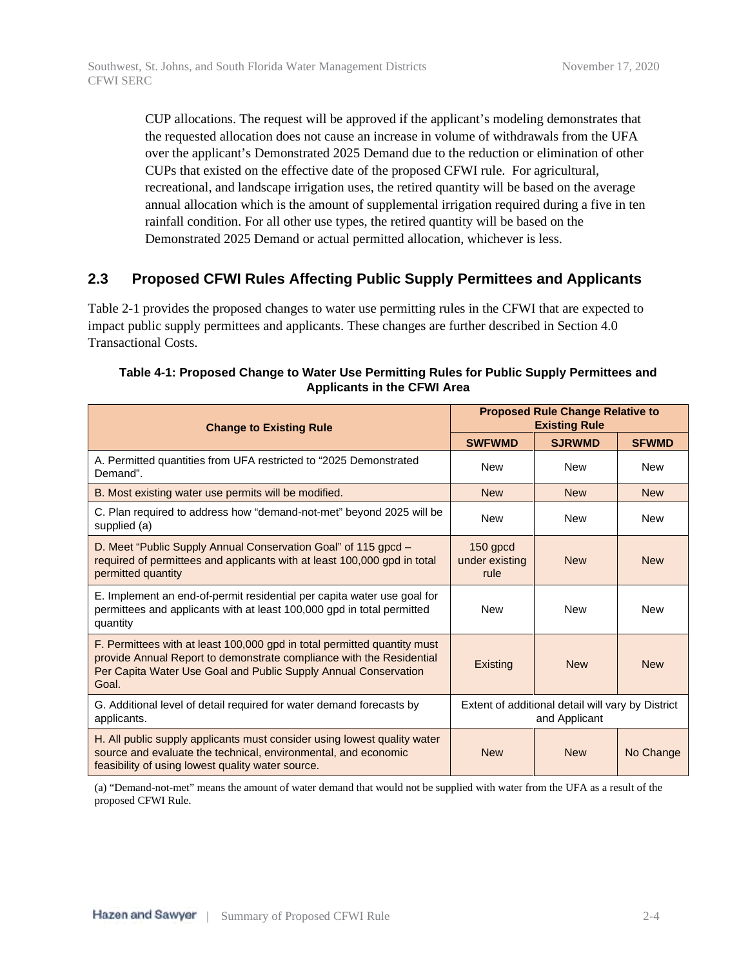CUP allocations. The request will be approved if the applicant's modeling demonstrates that the requested allocation does not cause an increase in volume of withdrawals from the UFA over the applicant's Demonstrated 2025 Demand due to the reduction or elimination of other CUPs that existed on the effective date of the proposed CFWI rule. For agricultural, recreational, and landscape irrigation uses, the retired quantity will be based on the average annual allocation which is the amount of supplemental irrigation required during a five in ten rainfall condition. For all other use types, the retired quantity will be based on the Demonstrated 2025 Demand or actual permitted allocation, whichever is less.

### **2.3 Proposed CFWI Rules Affecting Public Supply Permittees and Applicants**

Table 2-1 provides the proposed changes to water use permitting rules in the CFWI that are expected to impact public supply permittees and applicants. These changes are further described in Section 4.0 Transactional Costs.

| <b>Change to Existing Rule</b>                                                                                                                                                                                               |                                                                    | <b>Proposed Rule Change Relative to</b><br><b>Existing Rule</b> |              |
|------------------------------------------------------------------------------------------------------------------------------------------------------------------------------------------------------------------------------|--------------------------------------------------------------------|-----------------------------------------------------------------|--------------|
|                                                                                                                                                                                                                              | <b>SWFWMD</b>                                                      | <b>SJRWMD</b>                                                   | <b>SFWMD</b> |
| A. Permitted quantities from UFA restricted to "2025 Demonstrated"<br>Demand".                                                                                                                                               | <b>New</b>                                                         | <b>New</b>                                                      | <b>New</b>   |
| B. Most existing water use permits will be modified.                                                                                                                                                                         | <b>New</b>                                                         | <b>New</b>                                                      | <b>New</b>   |
| C. Plan required to address how "demand-not-met" beyond 2025 will be<br>supplied (a)                                                                                                                                         | <b>New</b>                                                         | <b>New</b>                                                      | <b>New</b>   |
| D. Meet "Public Supply Annual Conservation Goal" of 115 gpcd -<br>required of permittees and applicants with at least 100,000 gpd in total<br>permitted quantity                                                             | $150$ gpcd<br>under existing<br>rule                               | <b>New</b>                                                      | <b>New</b>   |
| E. Implement an end-of-permit residential per capita water use goal for<br>permittees and applicants with at least 100,000 gpd in total permitted<br>quantity                                                                | <b>New</b>                                                         | <b>New</b>                                                      | <b>New</b>   |
| F. Permittees with at least 100,000 gpd in total permitted quantity must<br>provide Annual Report to demonstrate compliance with the Residential<br>Per Capita Water Use Goal and Public Supply Annual Conservation<br>Goal. | Existing                                                           | <b>New</b>                                                      | <b>New</b>   |
| G. Additional level of detail required for water demand forecasts by<br>applicants.                                                                                                                                          | Extent of additional detail will vary by District<br>and Applicant |                                                                 |              |
| H. All public supply applicants must consider using lowest quality water<br>source and evaluate the technical, environmental, and economic<br>feasibility of using lowest quality water source.                              | <b>New</b>                                                         | <b>New</b>                                                      | No Change    |

#### **Table 4-1: Proposed Change to Water Use Permitting Rules for Public Supply Permittees and Applicants in the CFWI Area**

(a) "Demand-not-met" means the amount of water demand that would not be supplied with water from the UFA as a result of the proposed CFWI Rule.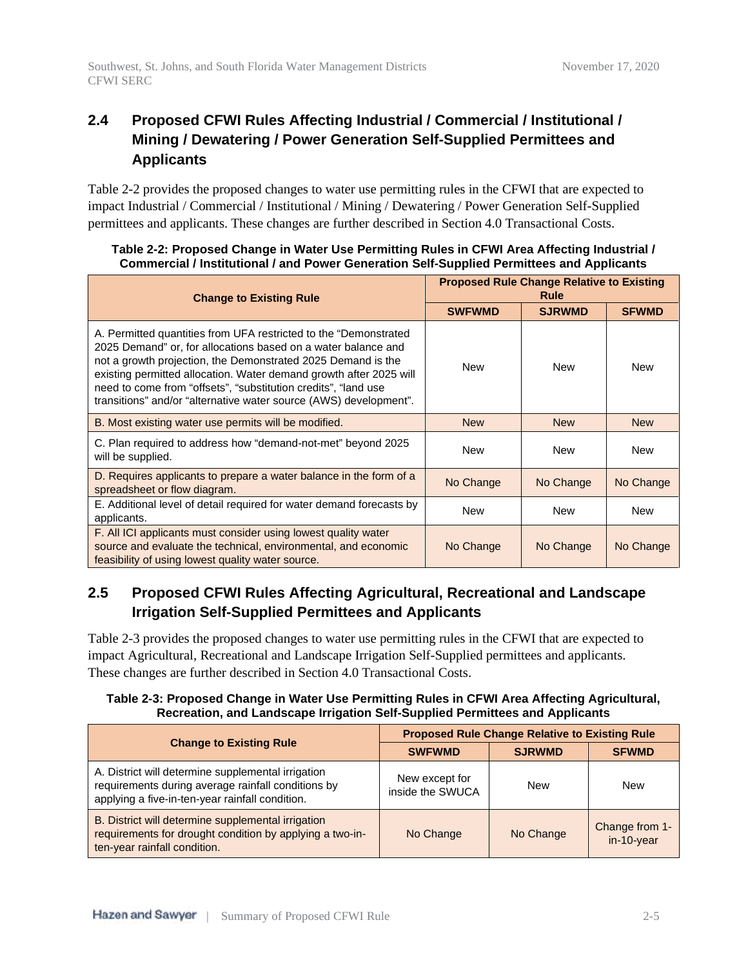# **2.4 Proposed CFWI Rules Affecting Industrial / Commercial / Institutional / Mining / Dewatering / Power Generation Self-Supplied Permittees and Applicants**

Table 2-2 provides the proposed changes to water use permitting rules in the CFWI that are expected to impact Industrial / Commercial / Institutional / Mining / Dewatering / Power Generation Self-Supplied permittees and applicants. These changes are further described in Section 4.0 Transactional Costs.

| <b>Change to Existing Rule</b>                                                                                                                                                                                                                                                                                                                                                                                 |               | <b>Proposed Rule Change Relative to Existing</b><br>Rule |              |
|----------------------------------------------------------------------------------------------------------------------------------------------------------------------------------------------------------------------------------------------------------------------------------------------------------------------------------------------------------------------------------------------------------------|---------------|----------------------------------------------------------|--------------|
|                                                                                                                                                                                                                                                                                                                                                                                                                | <b>SWFWMD</b> | <b>SJRWMD</b>                                            | <b>SFWMD</b> |
| A. Permitted quantities from UFA restricted to the "Demonstrated<br>2025 Demand" or, for allocations based on a water balance and<br>not a growth projection, the Demonstrated 2025 Demand is the<br>existing permitted allocation. Water demand growth after 2025 will<br>need to come from "offsets", "substitution credits", "land use<br>transitions" and/or "alternative water source (AWS) development". | <b>New</b>    | <b>New</b>                                               | <b>New</b>   |
| B. Most existing water use permits will be modified.                                                                                                                                                                                                                                                                                                                                                           | <b>New</b>    | <b>New</b>                                               | <b>New</b>   |
| C. Plan required to address how "demand-not-met" beyond 2025<br>will be supplied.                                                                                                                                                                                                                                                                                                                              | <b>New</b>    | <b>New</b>                                               | <b>New</b>   |
| D. Requires applicants to prepare a water balance in the form of a<br>spreadsheet or flow diagram.                                                                                                                                                                                                                                                                                                             | No Change     | No Change                                                | No Change    |
| E. Additional level of detail required for water demand forecasts by<br>applicants.                                                                                                                                                                                                                                                                                                                            | <b>New</b>    | <b>New</b>                                               | <b>New</b>   |
| F. All ICI applicants must consider using lowest quality water<br>source and evaluate the technical, environmental, and economic<br>feasibility of using lowest quality water source.                                                                                                                                                                                                                          | No Change     | No Change                                                | No Change    |

### **Table 2-2: Proposed Change in Water Use Permitting Rules in CFWI Area Affecting Industrial / Commercial / Institutional / and Power Generation Self-Supplied Permittees and Applicants**

# **2.5 Proposed CFWI Rules Affecting Agricultural, Recreational and Landscape Irrigation Self-Supplied Permittees and Applicants**

Table 2-3 provides the proposed changes to water use permitting rules in the CFWI that are expected to impact Agricultural, Recreational and Landscape Irrigation Self-Supplied permittees and applicants. These changes are further described in Section 4.0 Transactional Costs.

### **Table 2-3: Proposed Change in Water Use Permitting Rules in CFWI Area Affecting Agricultural, Recreation, and Landscape Irrigation Self-Supplied Permittees and Applicants**

| <b>Change to Existing Rule</b>                                                                                                                              | <b>Proposed Rule Change Relative to Existing Rule</b> |               |                                 |
|-------------------------------------------------------------------------------------------------------------------------------------------------------------|-------------------------------------------------------|---------------|---------------------------------|
|                                                                                                                                                             | <b>SWFWMD</b>                                         | <b>SJRWMD</b> | <b>SFWMD</b>                    |
| A. District will determine supplemental irrigation<br>requirements during average rainfall conditions by<br>applying a five-in-ten-year rainfall condition. | New except for<br>inside the SWUCA                    | <b>New</b>    | New                             |
| B. District will determine supplemental irrigation<br>requirements for drought condition by applying a two-in-<br>ten-year rainfall condition.              | No Change                                             | No Change     | Change from 1-<br>$in-10$ -year |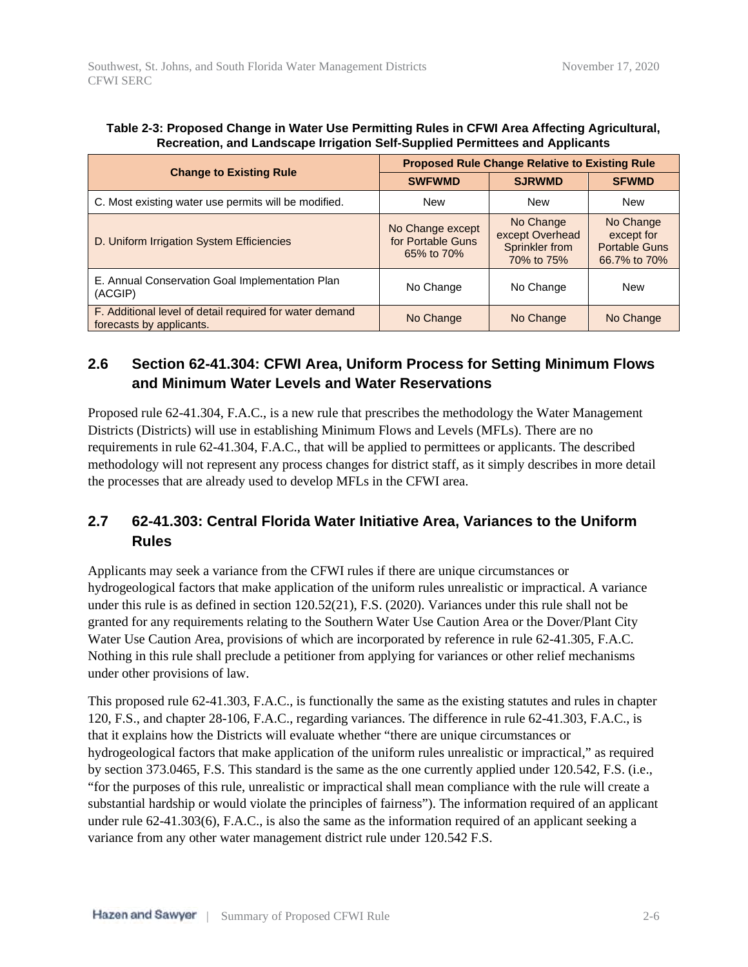|                                                                                     | <b>Proposed Rule Change Relative to Existing Rule</b> |                                                              |                                                                 |
|-------------------------------------------------------------------------------------|-------------------------------------------------------|--------------------------------------------------------------|-----------------------------------------------------------------|
| <b>Change to Existing Rule</b>                                                      | <b>SWFWMD</b>                                         | <b>SJRWMD</b>                                                | <b>SFWMD</b>                                                    |
| C. Most existing water use permits will be modified.                                | <b>New</b>                                            | <b>New</b>                                                   | New                                                             |
| D. Uniform Irrigation System Efficiencies                                           | No Change except<br>for Portable Guns<br>65% to 70%   | No Change<br>except Overhead<br>Sprinkler from<br>70% to 75% | No Change<br>except for<br><b>Portable Guns</b><br>66.7% to 70% |
| E. Annual Conservation Goal Implementation Plan<br>(ACGIP)                          | No Change                                             | No Change                                                    | New                                                             |
| F. Additional level of detail required for water demand<br>forecasts by applicants. | No Change                                             | No Change                                                    | No Change                                                       |

**Table 2-3: Proposed Change in Water Use Permitting Rules in CFWI Area Affecting Agricultural, Recreation, and Landscape Irrigation Self-Supplied Permittees and Applicants**

CFWI SERC

# **2.6 Section 62-41.304: CFWI Area, Uniform Process for Setting Minimum Flows and Minimum Water Levels and Water Reservations**

Proposed rule 62-41.304, F.A.C., is a new rule that prescribes the methodology the Water Management Districts (Districts) will use in establishing Minimum Flows and Levels (MFLs). There are no requirements in rule 62-41.304, F.A.C., that will be applied to permittees or applicants. The described methodology will not represent any process changes for district staff, as it simply describes in more detail the processes that are already used to develop MFLs in the CFWI area.

## **2.7 62-41.303: Central Florida Water Initiative Area, Variances to the Uniform Rules**

Applicants may seek a variance from the CFWI rules if there are unique circumstances or hydrogeological factors that make application of the uniform rules unrealistic or impractical. A variance under this rule is as defined in section 120.52(21), F.S. (2020). Variances under this rule shall not be granted for any requirements relating to the Southern Water Use Caution Area or the Dover/Plant City Water Use Caution Area, provisions of which are incorporated by reference in rule 62-41.305, F.A.C. Nothing in this rule shall preclude a petitioner from applying for variances or other relief mechanisms under other provisions of law.

This proposed rule 62-41.303, F.A.C., is functionally the same as the existing statutes and rules in chapter 120, F.S., and chapter 28-106, F.A.C., regarding variances. The difference in rule 62-41.303, F.A.C., is that it explains how the Districts will evaluate whether "there are unique circumstances or hydrogeological factors that make application of the uniform rules unrealistic or impractical," as required by section 373.0465, F.S. This standard is the same as the one currently applied under 120.542, F.S. (i.e., "for the purposes of this rule, unrealistic or impractical shall mean compliance with the rule will create a substantial hardship or would violate the principles of fairness"). The information required of an applicant under rule 62-41.303(6), F.A.C., is also the same as the information required of an applicant seeking a variance from any other water management district rule under 120.542 F.S.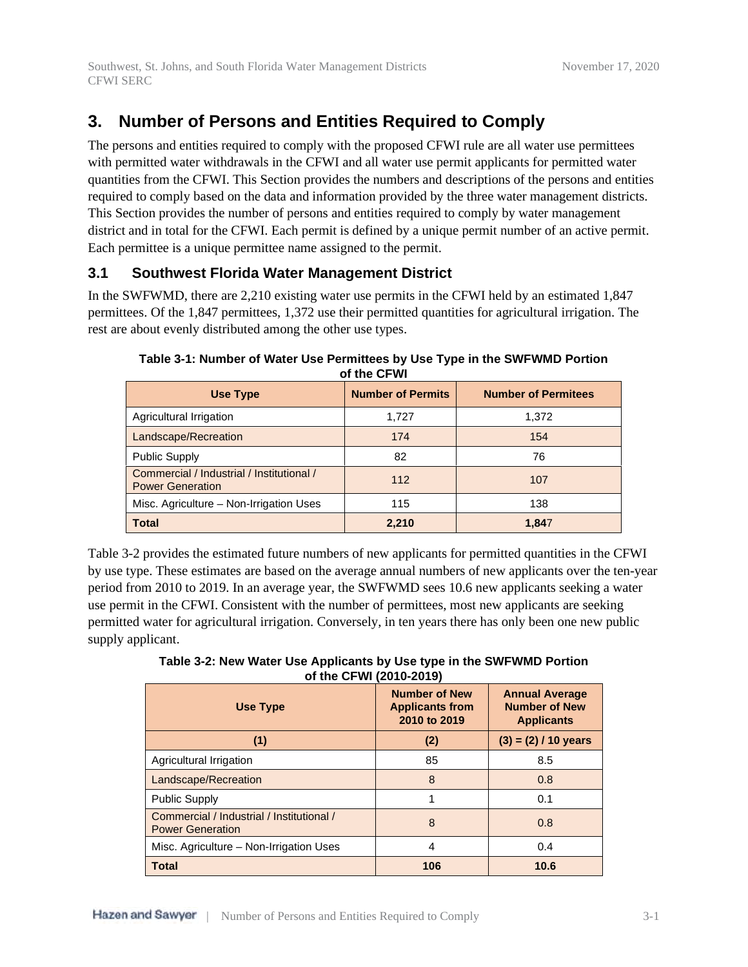# **3. Number of Persons and Entities Required to Comply**

The persons and entities required to comply with the proposed CFWI rule are all water use permittees with permitted water withdrawals in the CFWI and all water use permit applicants for permitted water quantities from the CFWI. This Section provides the numbers and descriptions of the persons and entities required to comply based on the data and information provided by the three water management districts. This Section provides the number of persons and entities required to comply by water management district and in total for the CFWI. Each permit is defined by a unique permit number of an active permit. Each permittee is a unique permittee name assigned to the permit.

## **3.1 Southwest Florida Water Management District**

In the SWFWMD, there are 2,210 existing water use permits in the CFWI held by an estimated 1,847 permittees. Of the 1,847 permittees, 1,372 use their permitted quantities for agricultural irrigation. The rest are about evenly distributed among the other use types.

| Use Type                                                             | <b>Number of Permits</b> | <b>Number of Permitees</b> |
|----------------------------------------------------------------------|--------------------------|----------------------------|
| Agricultural Irrigation                                              | 1.727                    | 1,372                      |
| Landscape/Recreation                                                 | 174                      | 154                        |
| <b>Public Supply</b>                                                 | 82                       | 76                         |
| Commercial / Industrial / Institutional /<br><b>Power Generation</b> | 112                      | 107                        |
| Misc. Agriculture - Non-Irrigation Uses                              | 115                      | 138                        |
| <b>Total</b>                                                         | 2,210                    | 1,847                      |

**Table 3-1: Number of Water Use Permittees by Use Type in the SWFWMD Portion of the CFWI**

Table 3-2 provides the estimated future numbers of new applicants for permitted quantities in the CFWI by use type. These estimates are based on the average annual numbers of new applicants over the ten-year period from 2010 to 2019. In an average year, the SWFWMD sees 10.6 new applicants seeking a water use permit in the CFWI. Consistent with the number of permittees, most new applicants are seeking permitted water for agricultural irrigation. Conversely, in ten years there has only been one new public supply applicant.

**Table 3-2: New Water Use Applicants by Use type in the SWFWMD Portion of the CFWI (2010-2019)**

| <b>Use Type</b>                                                      | <b>Number of New</b><br><b>Applicants from</b><br>2010 to 2019 | <b>Annual Average</b><br><b>Number of New</b><br><b>Applicants</b> |
|----------------------------------------------------------------------|----------------------------------------------------------------|--------------------------------------------------------------------|
| (1)                                                                  | (2)                                                            | $(3) = (2) / 10$ years                                             |
| Agricultural Irrigation                                              | 85                                                             | 8.5                                                                |
| Landscape/Recreation                                                 | 8                                                              | 0.8                                                                |
| <b>Public Supply</b>                                                 | 1                                                              | 0.1                                                                |
| Commercial / Industrial / Institutional /<br><b>Power Generation</b> | 8                                                              | 0.8                                                                |
| Misc. Agriculture - Non-Irrigation Uses                              | 4                                                              | 0.4                                                                |
| <b>Total</b>                                                         | 106                                                            | 10.6                                                               |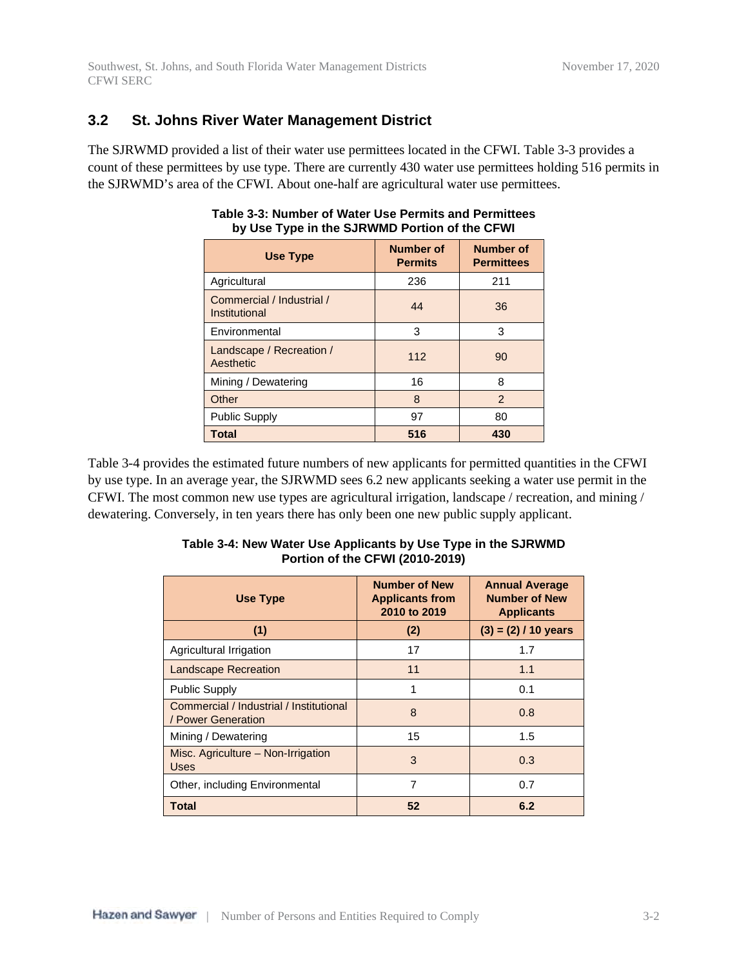### **3.2 St. Johns River Water Management District**

The SJRWMD provided a list of their water use permittees located in the CFWI. Table 3-3 provides a count of these permittees by use type. There are currently 430 water use permittees holding 516 permits in the SJRWMD's area of the CFWI. About one-half are agricultural water use permittees.

| <b>Use Type</b>                            | <b>Number of</b><br><b>Permits</b> | <b>Number of</b><br><b>Permittees</b> |
|--------------------------------------------|------------------------------------|---------------------------------------|
| Agricultural                               | 236                                | 211                                   |
| Commercial / Industrial /<br>Institutional | 44                                 | 36                                    |
| Environmental                              | 3                                  | 3                                     |
| Landscape / Recreation /<br>Aesthetic      | 112                                | 90                                    |
| Mining / Dewatering                        | 16                                 | 8                                     |
| Other                                      | 8                                  | $\mathcal{P}$                         |
| <b>Public Supply</b>                       | 97                                 | 80                                    |
| <b>Total</b>                               | 516                                | 430                                   |

### **Table 3-3: Number of Water Use Permits and Permittees by Use Type in the SJRWMD Portion of the CFWI**

Table 3-4 provides the estimated future numbers of new applicants for permitted quantities in the CFWI by use type. In an average year, the SJRWMD sees 6.2 new applicants seeking a water use permit in the CFWI. The most common new use types are agricultural irrigation, landscape / recreation, and mining / dewatering. Conversely, in ten years there has only been one new public supply applicant.

| Use Type                                                      | <b>Number of New</b><br><b>Applicants from</b><br>2010 to 2019 | <b>Annual Average</b><br><b>Number of New</b><br><b>Applicants</b> |
|---------------------------------------------------------------|----------------------------------------------------------------|--------------------------------------------------------------------|
| (1)                                                           | (2)                                                            | $(3) = (2) / 10$ years                                             |
| Agricultural Irrigation                                       | 17                                                             | 1.7                                                                |
| <b>Landscape Recreation</b>                                   | 11                                                             | 1.1                                                                |
| <b>Public Supply</b>                                          | 1                                                              | 0.1                                                                |
| Commercial / Industrial / Institutional<br>/ Power Generation | 8                                                              | 0.8                                                                |
| Mining / Dewatering                                           | 15                                                             | 1.5                                                                |
| Misc. Agriculture – Non-Irrigation<br><b>Uses</b>             | 3                                                              | 0.3                                                                |
| Other, including Environmental                                | 7                                                              | 0.7                                                                |
| <b>Total</b>                                                  | 52                                                             | 6.2                                                                |

### **Table 3-4: New Water Use Applicants by Use Type in the SJRWMD Portion of the CFWI (2010-2019)**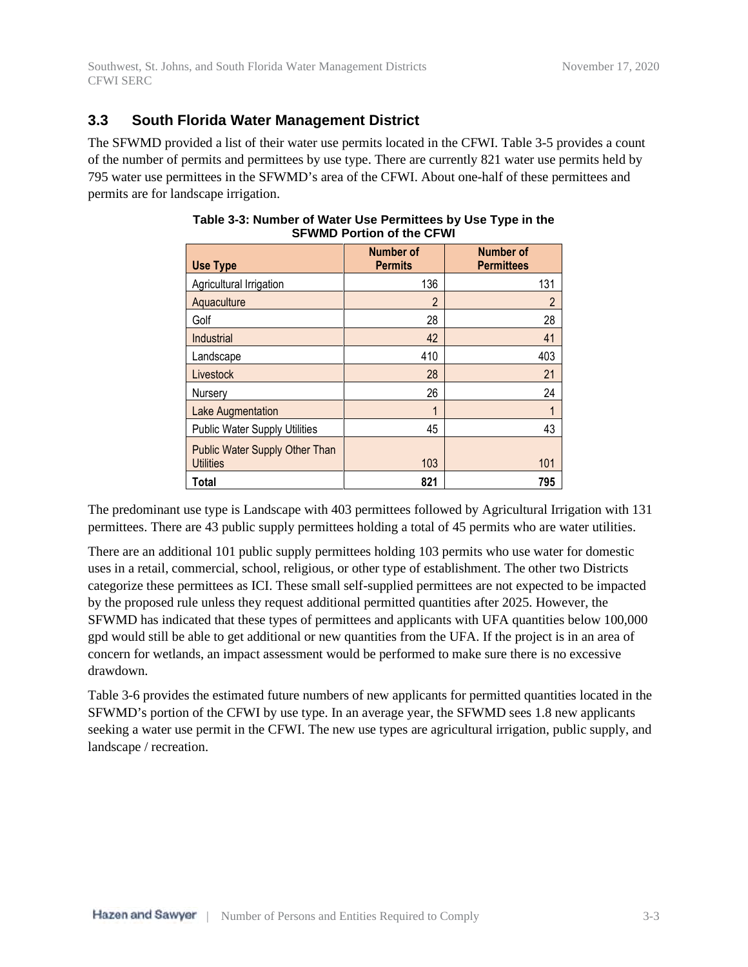### **3.3 South Florida Water Management District**

The SFWMD provided a list of their water use permits located in the CFWI. Table 3-5 provides a count of the number of permits and permittees by use type. There are currently 821 water use permits held by 795 water use permittees in the SFWMD's area of the CFWI. About one-half of these permittees and permits are for landscape irrigation.

| <b>Use Type</b>                                    | <b>Number of</b><br><b>Permits</b> | <b>Number of</b><br><b>Permittees</b> |
|----------------------------------------------------|------------------------------------|---------------------------------------|
| Agricultural Irrigation                            | 136                                | 131                                   |
| Aquaculture                                        | $\mathfrak{p}$                     | $\overline{2}$                        |
| Golf                                               | 28                                 | 28                                    |
| Industrial                                         | 42                                 | 41                                    |
| Landscape                                          | 410                                | 403                                   |
| Livestock                                          | 28                                 | 21                                    |
| Nursery                                            | 26                                 | 24                                    |
| Lake Augmentation                                  | 1                                  | 1                                     |
| <b>Public Water Supply Utilities</b>               | 45                                 | 43                                    |
| Public Water Supply Other Than<br><b>Utilities</b> | 103                                | 101                                   |
| Total                                              | 821                                | 795                                   |

### **Table 3-3: Number of Water Use Permittees by Use Type in the SFWMD Portion of the CFWI**

The predominant use type is Landscape with 403 permittees followed by Agricultural Irrigation with 131 permittees. There are 43 public supply permittees holding a total of 45 permits who are water utilities.

There are an additional 101 public supply permittees holding 103 permits who use water for domestic uses in a retail, commercial, school, religious, or other type of establishment. The other two Districts categorize these permittees as ICI. These small self-supplied permittees are not expected to be impacted by the proposed rule unless they request additional permitted quantities after 2025. However, the SFWMD has indicated that these types of permittees and applicants with UFA quantities below 100,000 gpd would still be able to get additional or new quantities from the UFA. If the project is in an area of concern for wetlands, an impact assessment would be performed to make sure there is no excessive drawdown.

Table 3-6 provides the estimated future numbers of new applicants for permitted quantities located in the SFWMD's portion of the CFWI by use type. In an average year, the SFWMD sees 1.8 new applicants seeking a water use permit in the CFWI. The new use types are agricultural irrigation, public supply, and landscape / recreation.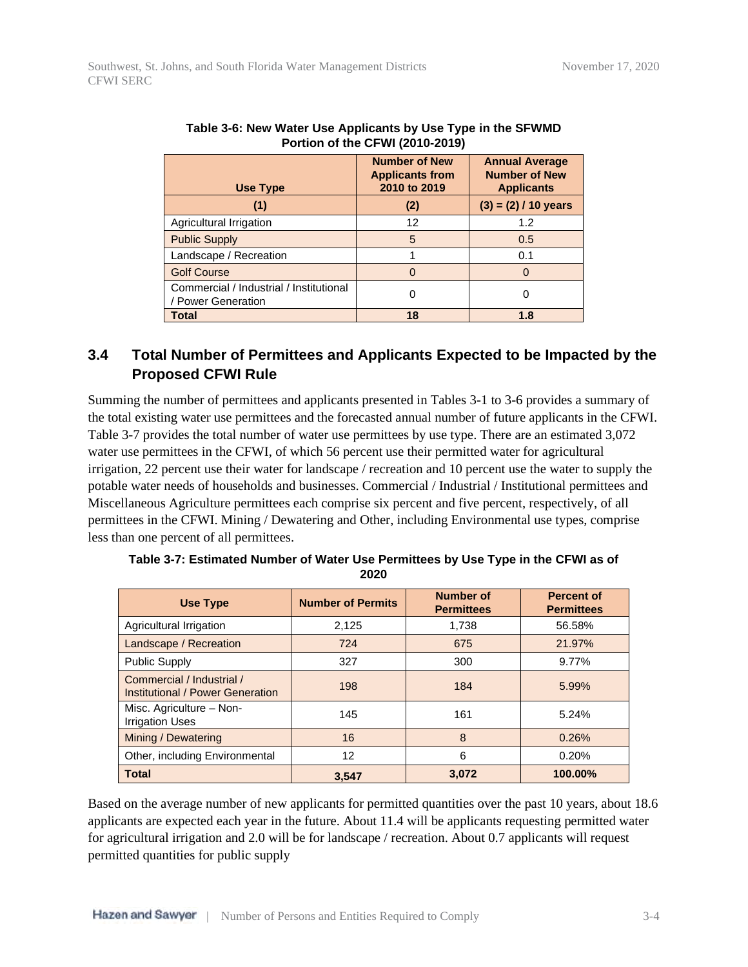| <b>Use Type</b>                                               | <b>Number of New</b><br><b>Applicants from</b><br>2010 to 2019 | <b>Annual Average</b><br><b>Number of New</b><br><b>Applicants</b> |
|---------------------------------------------------------------|----------------------------------------------------------------|--------------------------------------------------------------------|
| (1)                                                           | (2)                                                            | $(3) = (2) / 10$ years                                             |
| Agricultural Irrigation                                       | 12                                                             | 1.2                                                                |
| <b>Public Supply</b>                                          | 5                                                              | 0.5                                                                |
| Landscape / Recreation                                        |                                                                | 0.1                                                                |
| <b>Golf Course</b>                                            | O                                                              | 0                                                                  |
| Commercial / Industrial / Institutional<br>/ Power Generation |                                                                | 0                                                                  |
| <b>Total</b>                                                  | 18                                                             | 1.8                                                                |

| Table 3-6: New Water Use Applicants by Use Type in the SFWMD |
|--------------------------------------------------------------|
| <b>Portion of the CFWI (2010-2019)</b>                       |

# **3.4 Total Number of Permittees and Applicants Expected to be Impacted by the Proposed CFWI Rule**

Summing the number of permittees and applicants presented in Tables 3-1 to 3-6 provides a summary of the total existing water use permittees and the forecasted annual number of future applicants in the CFWI. Table 3-7 provides the total number of water use permittees by use type. There are an estimated 3,072 water use permittees in the CFWI, of which 56 percent use their permitted water for agricultural irrigation, 22 percent use their water for landscape / recreation and 10 percent use the water to supply the potable water needs of households and businesses. Commercial / Industrial / Institutional permittees and Miscellaneous Agriculture permittees each comprise six percent and five percent, respectively, of all permittees in the CFWI. Mining / Dewatering and Other, including Environmental use types, comprise less than one percent of all permittees.

| <b>Use Type</b>                                               | <b>Number of Permits</b> | <b>Number of</b><br><b>Permittees</b> | <b>Percent of</b><br><b>Permittees</b> |
|---------------------------------------------------------------|--------------------------|---------------------------------------|----------------------------------------|
| Agricultural Irrigation                                       | 2,125                    | 1.738                                 | 56.58%                                 |
| Landscape / Recreation                                        | 724                      | 675                                   | 21.97%                                 |
| <b>Public Supply</b>                                          | 327                      | 300                                   | 9.77%                                  |
| Commercial / Industrial /<br>Institutional / Power Generation | 198                      | 184                                   | 5.99%                                  |
| Misc. Agriculture - Non-<br><b>Irrigation Uses</b>            | 145                      | 161                                   | 5.24%                                  |
| Mining / Dewatering                                           | 16                       | 8                                     | 0.26%                                  |
| Other, including Environmental                                | 12                       | 6                                     | 0.20%                                  |
| <b>Total</b>                                                  | 3.547                    | 3,072                                 | 100.00%                                |

**Table 3-7: Estimated Number of Water Use Permittees by Use Type in the CFWI as of 2020**

Based on the average number of new applicants for permitted quantities over the past 10 years, about 18.6 applicants are expected each year in the future. About 11.4 will be applicants requesting permitted water for agricultural irrigation and 2.0 will be for landscape / recreation. About 0.7 applicants will request permitted quantities for public supply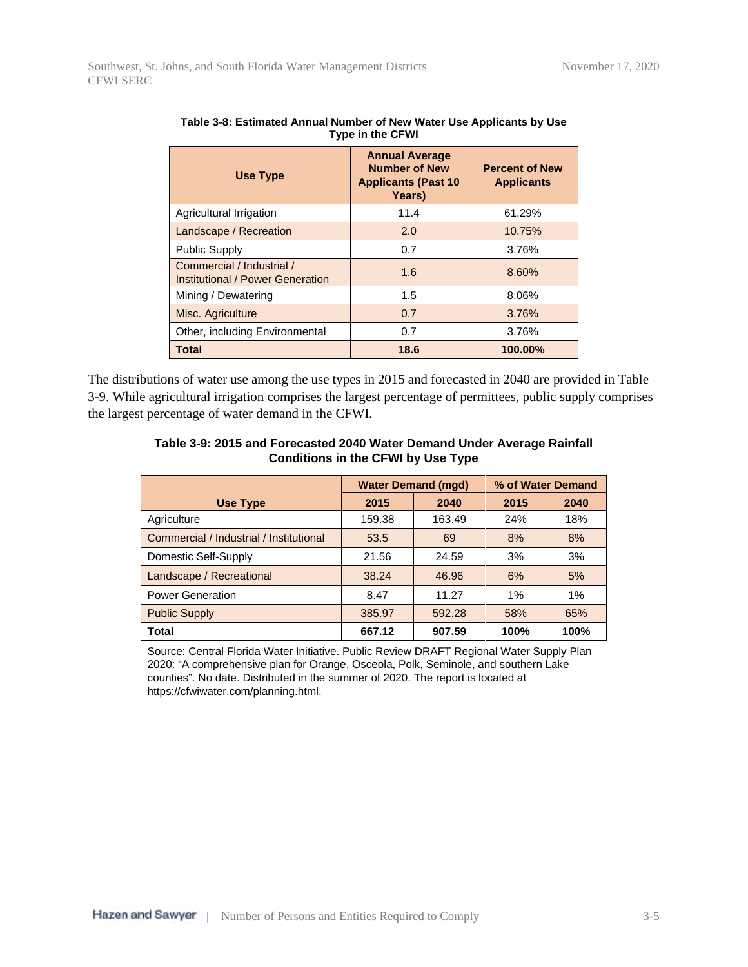| Use Type                                                      | <b>Annual Average</b><br><b>Number of New</b><br><b>Applicants (Past 10)</b><br>Years) | <b>Percent of New</b><br><b>Applicants</b> |
|---------------------------------------------------------------|----------------------------------------------------------------------------------------|--------------------------------------------|
| Agricultural Irrigation                                       | 11.4                                                                                   | 61.29%                                     |
| Landscape / Recreation                                        | 2.0                                                                                    | 10.75%                                     |
| <b>Public Supply</b>                                          | 0.7                                                                                    | 3.76%                                      |
| Commercial / Industrial /<br>Institutional / Power Generation | 1.6                                                                                    | 8.60%                                      |
| Mining / Dewatering                                           | 1.5                                                                                    | 8.06%                                      |
| Misc. Agriculture                                             | 0.7                                                                                    | 3.76%                                      |
| Other, including Environmental                                | 0.7                                                                                    | 3.76%                                      |
| <b>Total</b>                                                  | 18.6                                                                                   | 100.00%                                    |

| Table 3-8: Estimated Annual Number of New Water Use Applicants by Use |  |
|-----------------------------------------------------------------------|--|
| <b>Type in the CFWI</b>                                               |  |

The distributions of water use among the use types in 2015 and forecasted in 2040 are provided in Table 3-9. While agricultural irrigation comprises the largest percentage of permittees, public supply comprises the largest percentage of water demand in the CFWI.

| Table 3-9: 2015 and Forecasted 2040 Water Demand Under Average Rainfall |  |
|-------------------------------------------------------------------------|--|
| <b>Conditions in the CFWI by Use Type</b>                               |  |

|                                         | <b>Water Demand (mgd)</b> |        | % of Water Demand |      |
|-----------------------------------------|---------------------------|--------|-------------------|------|
| Use Type                                | 2015                      | 2040   | 2015              | 2040 |
| Agriculture                             | 159.38                    | 163.49 | 24%               | 18%  |
| Commercial / Industrial / Institutional | 53.5                      | 69     | 8%                | 8%   |
| Domestic Self-Supply                    | 21.56                     | 24.59  | 3%                | 3%   |
| Landscape / Recreational                | 38.24                     | 46.96  | 6%                | 5%   |
| <b>Power Generation</b>                 | 8.47                      | 11.27  | 1%                | 1%   |
| <b>Public Supply</b>                    | 385.97                    | 592.28 | 58%               | 65%  |
| <b>Total</b>                            | 667.12                    | 907.59 | 100%              | 100% |

Source: Central Florida Water Initiative. Public Review DRAFT Regional Water Supply Plan 2020: "A comprehensive plan for Orange, Osceola, Polk, Seminole, and southern Lake counties". No date. Distributed in the summer of 2020. The report is located at https://cfwiwater.com/planning.html.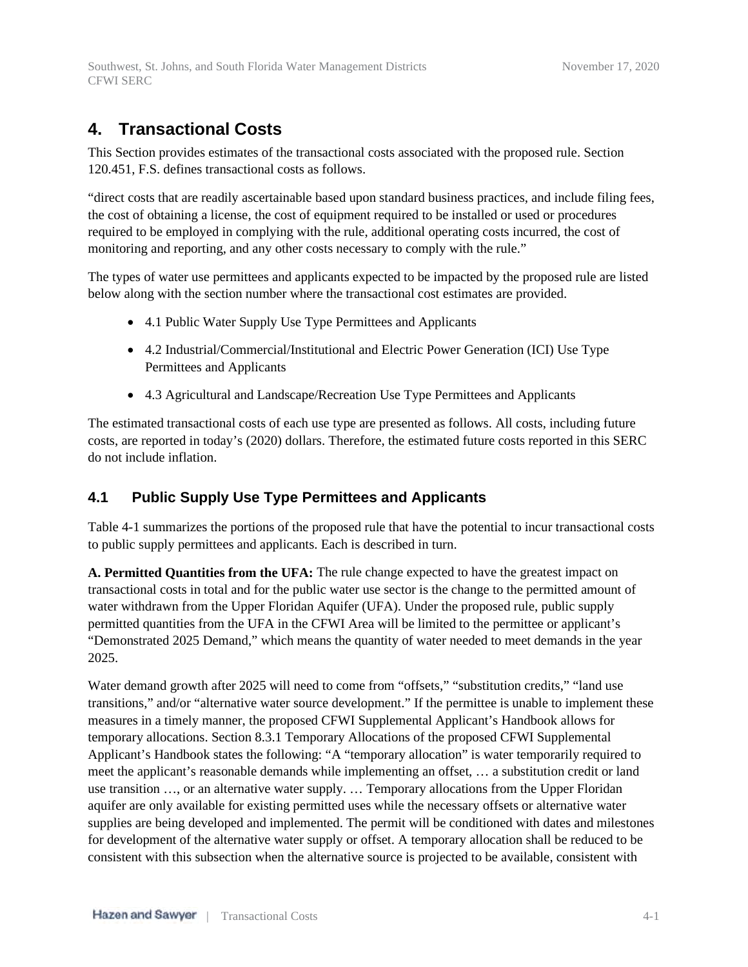# **4. Transactional Costs**

This Section provides estimates of the transactional costs associated with the proposed rule. Section 120.451, F.S. defines transactional costs as follows.

"direct costs that are readily ascertainable based upon standard business practices, and include filing fees, the cost of obtaining a license, the cost of equipment required to be installed or used or procedures required to be employed in complying with the rule, additional operating costs incurred, the cost of monitoring and reporting, and any other costs necessary to comply with the rule."

The types of water use permittees and applicants expected to be impacted by the proposed rule are listed below along with the section number where the transactional cost estimates are provided.

- 4.1 Public Water Supply Use Type Permittees and Applicants
- 4.2 Industrial/Commercial/Institutional and Electric Power Generation (ICI) Use Type Permittees and Applicants
- 4.3 Agricultural and Landscape/Recreation Use Type Permittees and Applicants

The estimated transactional costs of each use type are presented as follows. All costs, including future costs, are reported in today's (2020) dollars. Therefore, the estimated future costs reported in this SERC do not include inflation.

## **4.1 Public Supply Use Type Permittees and Applicants**

Table 4-1 summarizes the portions of the proposed rule that have the potential to incur transactional costs to public supply permittees and applicants. Each is described in turn.

**A. Permitted Quantities from the UFA:** The rule change expected to have the greatest impact on transactional costs in total and for the public water use sector is the change to the permitted amount of water withdrawn from the Upper Floridan Aquifer (UFA). Under the proposed rule, public supply permitted quantities from the UFA in the CFWI Area will be limited to the permittee or applicant's "Demonstrated 2025 Demand," which means the quantity of water needed to meet demands in the year 2025.

Water demand growth after 2025 will need to come from "offsets," "substitution credits," "land use transitions," and/or "alternative water source development." If the permittee is unable to implement these measures in a timely manner, the proposed CFWI Supplemental Applicant's Handbook allows for temporary allocations. Section 8.3.1 Temporary Allocations of the proposed CFWI Supplemental Applicant's Handbook states the following: "A "temporary allocation" is water temporarily required to meet the applicant's reasonable demands while implementing an offset, … a substitution credit or land use transition …, or an alternative water supply. … Temporary allocations from the Upper Floridan aquifer are only available for existing permitted uses while the necessary offsets or alternative water supplies are being developed and implemented. The permit will be conditioned with dates and milestones for development of the alternative water supply or offset. A temporary allocation shall be reduced to be consistent with this subsection when the alternative source is projected to be available, consistent with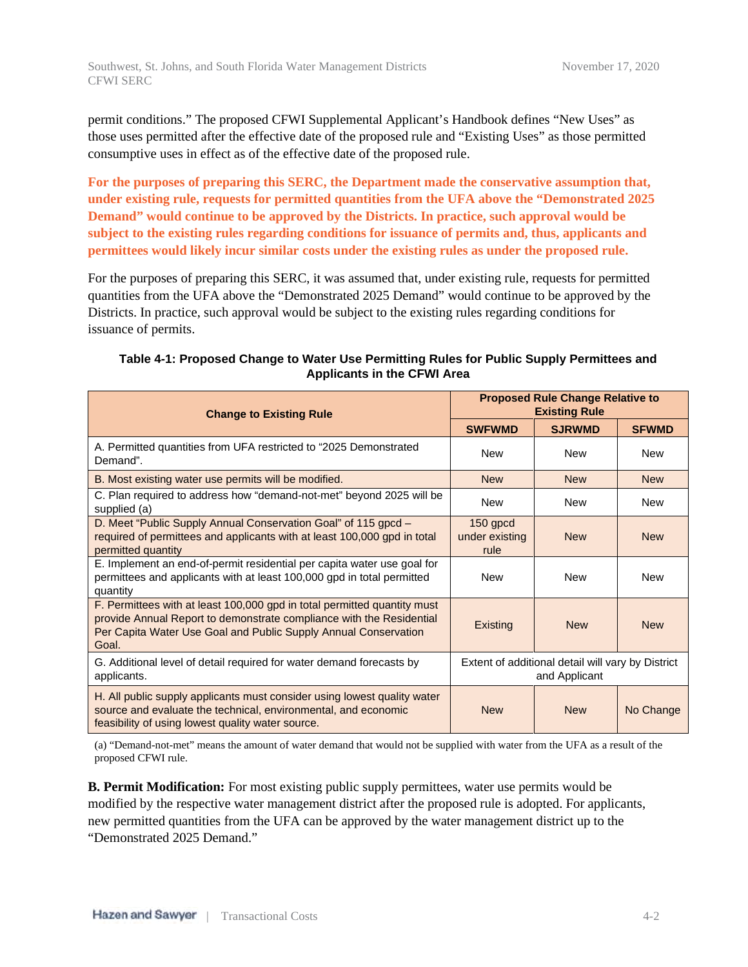permit conditions." The proposed CFWI Supplemental Applicant's Handbook defines "New Uses" as those uses permitted after the effective date of the proposed rule and "Existing Uses" as those permitted consumptive uses in effect as of the effective date of the proposed rule.

**For the purposes of preparing this SERC, the Department made the conservative assumption that, under existing rule, requests for permitted quantities from the UFA above the "Demonstrated 2025 Demand" would continue to be approved by the Districts. In practice, such approval would be subject to the existing rules regarding conditions for issuance of permits and, thus, applicants and permittees would likely incur similar costs under the existing rules as under the proposed rule.**

For the purposes of preparing this SERC, it was assumed that, under existing rule, requests for permitted quantities from the UFA above the "Demonstrated 2025 Demand" would continue to be approved by the Districts. In practice, such approval would be subject to the existing rules regarding conditions for issuance of permits.

| <b>Change to Existing Rule</b>                                                                                                                                                                                               | <b>Proposed Rule Change Relative to</b><br><b>Existing Rule</b> |                                                                    |              |  |
|------------------------------------------------------------------------------------------------------------------------------------------------------------------------------------------------------------------------------|-----------------------------------------------------------------|--------------------------------------------------------------------|--------------|--|
|                                                                                                                                                                                                                              | <b>SWFWMD</b>                                                   | <b>SJRWMD</b>                                                      | <b>SFWMD</b> |  |
| A. Permitted quantities from UFA restricted to "2025 Demonstrated"<br>Demand".                                                                                                                                               | <b>New</b>                                                      | New                                                                | <b>New</b>   |  |
| B. Most existing water use permits will be modified.                                                                                                                                                                         | <b>New</b>                                                      | <b>New</b>                                                         | <b>New</b>   |  |
| C. Plan required to address how "demand-not-met" beyond 2025 will be<br>supplied (a)                                                                                                                                         | <b>New</b>                                                      | <b>New</b>                                                         | New          |  |
| D. Meet "Public Supply Annual Conservation Goal" of 115 gpcd -<br>required of permittees and applicants with at least 100,000 gpd in total<br>permitted quantity                                                             | $150$ gpcd<br>under existing<br>rule                            | <b>New</b>                                                         | <b>New</b>   |  |
| E. Implement an end-of-permit residential per capita water use goal for<br>permittees and applicants with at least 100,000 gpd in total permitted<br>quantity                                                                | <b>New</b>                                                      | <b>New</b>                                                         | <b>New</b>   |  |
| F. Permittees with at least 100,000 gpd in total permitted quantity must<br>provide Annual Report to demonstrate compliance with the Residential<br>Per Capita Water Use Goal and Public Supply Annual Conservation<br>Goal. | Existing                                                        | <b>New</b>                                                         | <b>New</b>   |  |
| G. Additional level of detail required for water demand forecasts by<br>applicants.                                                                                                                                          |                                                                 | Extent of additional detail will vary by District<br>and Applicant |              |  |
| H. All public supply applicants must consider using lowest quality water<br>source and evaluate the technical, environmental, and economic<br>feasibility of using lowest quality water source.                              | <b>New</b>                                                      | <b>New</b>                                                         | No Change    |  |

### **Table 4-1: Proposed Change to Water Use Permitting Rules for Public Supply Permittees and Applicants in the CFWI Area**

(a) "Demand-not-met" means the amount of water demand that would not be supplied with water from the UFA as a result of the proposed CFWI rule.

**B. Permit Modification:** For most existing public supply permittees, water use permits would be modified by the respective water management district after the proposed rule is adopted. For applicants, new permitted quantities from the UFA can be approved by the water management district up to the "Demonstrated 2025 Demand."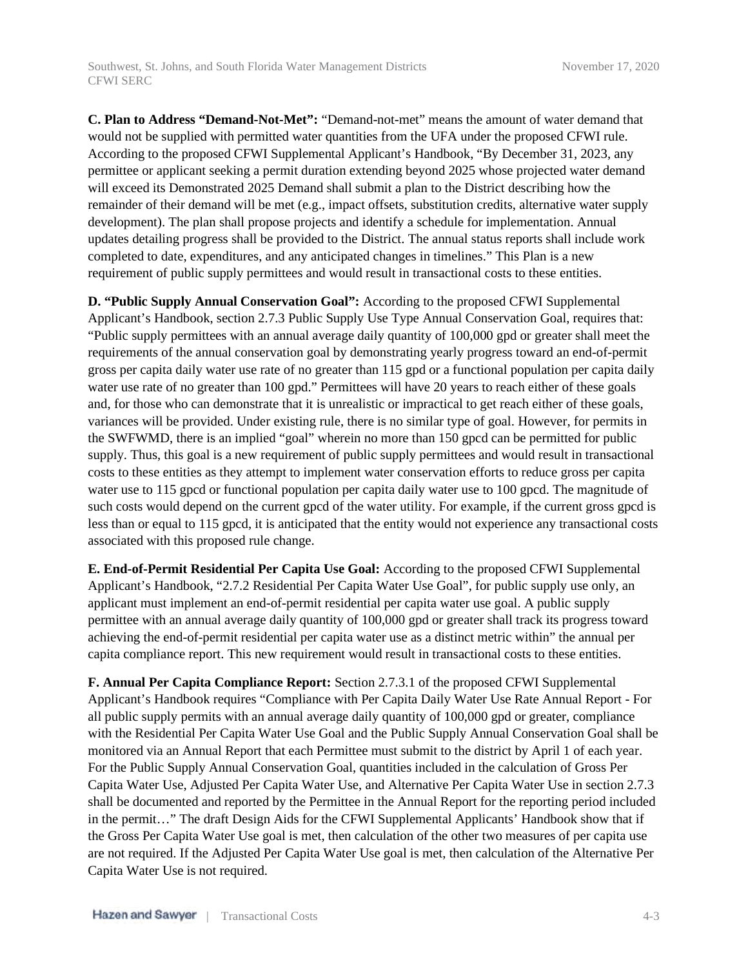**C. Plan to Address "Demand-Not-Met":** "Demand-not-met" means the amount of water demand that would not be supplied with permitted water quantities from the UFA under the proposed CFWI rule. According to the proposed CFWI Supplemental Applicant's Handbook, "By December 31, 2023, any permittee or applicant seeking a permit duration extending beyond 2025 whose projected water demand will exceed its Demonstrated 2025 Demand shall submit a plan to the District describing how the remainder of their demand will be met (e.g., impact offsets, substitution credits, alternative water supply development). The plan shall propose projects and identify a schedule for implementation. Annual updates detailing progress shall be provided to the District. The annual status reports shall include work completed to date, expenditures, and any anticipated changes in timelines." This Plan is a new requirement of public supply permittees and would result in transactional costs to these entities.

**D. "Public Supply Annual Conservation Goal":** According to the proposed CFWI Supplemental Applicant's Handbook, section 2.7.3 Public Supply Use Type Annual Conservation Goal, requires that: "Public supply permittees with an annual average daily quantity of 100,000 gpd or greater shall meet the requirements of the annual conservation goal by demonstrating yearly progress toward an end-of-permit gross per capita daily water use rate of no greater than 115 gpd or a functional population per capita daily water use rate of no greater than 100 gpd." Permittees will have 20 years to reach either of these goals and, for those who can demonstrate that it is unrealistic or impractical to get reach either of these goals, variances will be provided. Under existing rule, there is no similar type of goal. However, for permits in the SWFWMD, there is an implied "goal" wherein no more than 150 gpcd can be permitted for public supply. Thus, this goal is a new requirement of public supply permittees and would result in transactional costs to these entities as they attempt to implement water conservation efforts to reduce gross per capita water use to 115 gpcd or functional population per capita daily water use to 100 gpcd. The magnitude of such costs would depend on the current gpcd of the water utility. For example, if the current gross gpcd is less than or equal to 115 gpcd, it is anticipated that the entity would not experience any transactional costs associated with this proposed rule change.

**E. End-of-Permit Residential Per Capita Use Goal:** According to the proposed CFWI Supplemental Applicant's Handbook, "2.7.2 Residential Per Capita Water Use Goal", for public supply use only, an applicant must implement an end-of-permit residential per capita water use goal. A public supply permittee with an annual average daily quantity of 100,000 gpd or greater shall track its progress toward achieving the end-of-permit residential per capita water use as a distinct metric within" the annual per capita compliance report. This new requirement would result in transactional costs to these entities.

**F. Annual Per Capita Compliance Report:** Section 2.7.3.1 of the proposed CFWI Supplemental Applicant's Handbook requires "Compliance with Per Capita Daily Water Use Rate Annual Report - For all public supply permits with an annual average daily quantity of 100,000 gpd or greater, compliance with the Residential Per Capita Water Use Goal and the Public Supply Annual Conservation Goal shall be monitored via an Annual Report that each Permittee must submit to the district by April 1 of each year. For the Public Supply Annual Conservation Goal, quantities included in the calculation of Gross Per Capita Water Use, Adjusted Per Capita Water Use, and Alternative Per Capita Water Use in section 2.7.3 shall be documented and reported by the Permittee in the Annual Report for the reporting period included in the permit…" The draft Design Aids for the CFWI Supplemental Applicants' Handbook show that if the Gross Per Capita Water Use goal is met, then calculation of the other two measures of per capita use are not required. If the Adjusted Per Capita Water Use goal is met, then calculation of the Alternative Per Capita Water Use is not required.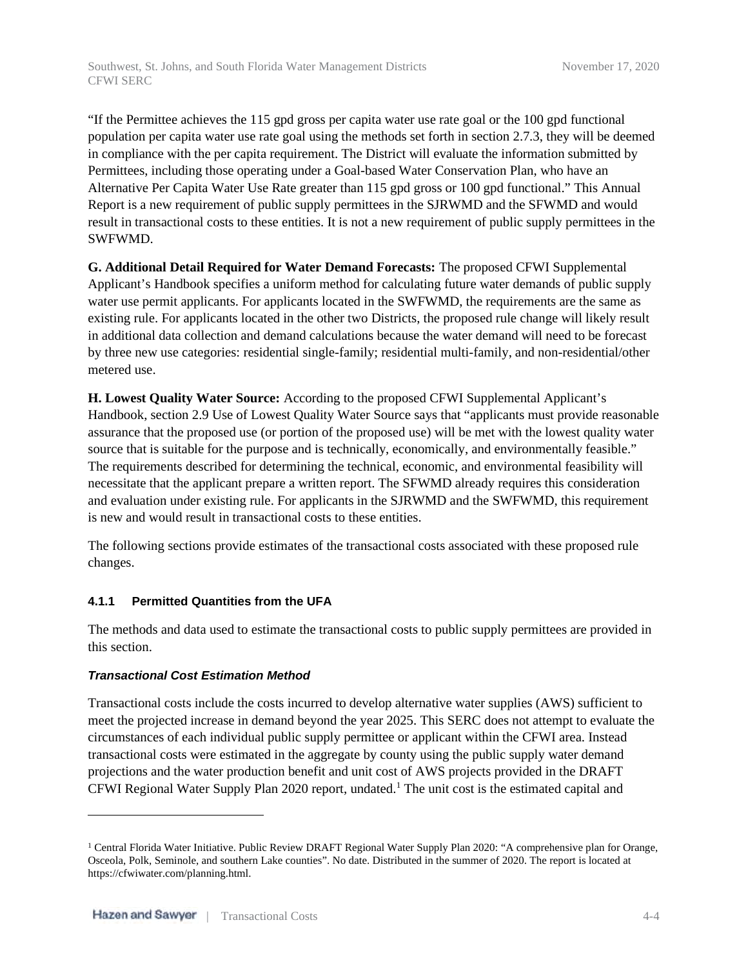"If the Permittee achieves the 115 gpd gross per capita water use rate goal or the 100 gpd functional population per capita water use rate goal using the methods set forth in section 2.7.3, they will be deemed in compliance with the per capita requirement. The District will evaluate the information submitted by Permittees, including those operating under a Goal-based Water Conservation Plan, who have an Alternative Per Capita Water Use Rate greater than 115 gpd gross or 100 gpd functional." This Annual Report is a new requirement of public supply permittees in the SJRWMD and the SFWMD and would result in transactional costs to these entities. It is not a new requirement of public supply permittees in the SWFWMD.

**G. Additional Detail Required for Water Demand Forecasts:** The proposed CFWI Supplemental Applicant's Handbook specifies a uniform method for calculating future water demands of public supply water use permit applicants. For applicants located in the SWFWMD, the requirements are the same as existing rule. For applicants located in the other two Districts, the proposed rule change will likely result in additional data collection and demand calculations because the water demand will need to be forecast by three new use categories: residential single-family; residential multi-family, and non-residential/other metered use.

**H. Lowest Quality Water Source:** According to the proposed CFWI Supplemental Applicant's Handbook, section 2.9 Use of Lowest Quality Water Source says that "applicants must provide reasonable assurance that the proposed use (or portion of the proposed use) will be met with the lowest quality water source that is suitable for the purpose and is technically, economically, and environmentally feasible." The requirements described for determining the technical, economic, and environmental feasibility will necessitate that the applicant prepare a written report. The SFWMD already requires this consideration and evaluation under existing rule. For applicants in the SJRWMD and the SWFWMD, this requirement is new and would result in transactional costs to these entities.

The following sections provide estimates of the transactional costs associated with these proposed rule changes.

### **4.1.1 Permitted Quantities from the UFA**

The methods and data used to estimate the transactional costs to public supply permittees are provided in this section.

### *Transactional Cost Estimation Method*

Transactional costs include the costs incurred to develop alternative water supplies (AWS) sufficient to meet the projected increase in demand beyond the year 2025. This SERC does not attempt to evaluate the circumstances of each individual public supply permittee or applicant within the CFWI area. Instead transactional costs were estimated in the aggregate by county using the public supply water demand projections and the water production benefit and unit cost of AWS projects provided in the DRAFT CFWI Regional Water Supply Plan 2020 report, undated.<sup>1</sup> The unit cost is the estimated capital and

<sup>&</sup>lt;sup>1</sup> Central Florida Water Initiative. Public Review DRAFT Regional Water Supply Plan 2020: "A comprehensive plan for Orange, Osceola, Polk, Seminole, and southern Lake counties". No date. Distributed in the summer of 2020. The report is located at https://cfwiwater.com/planning.html.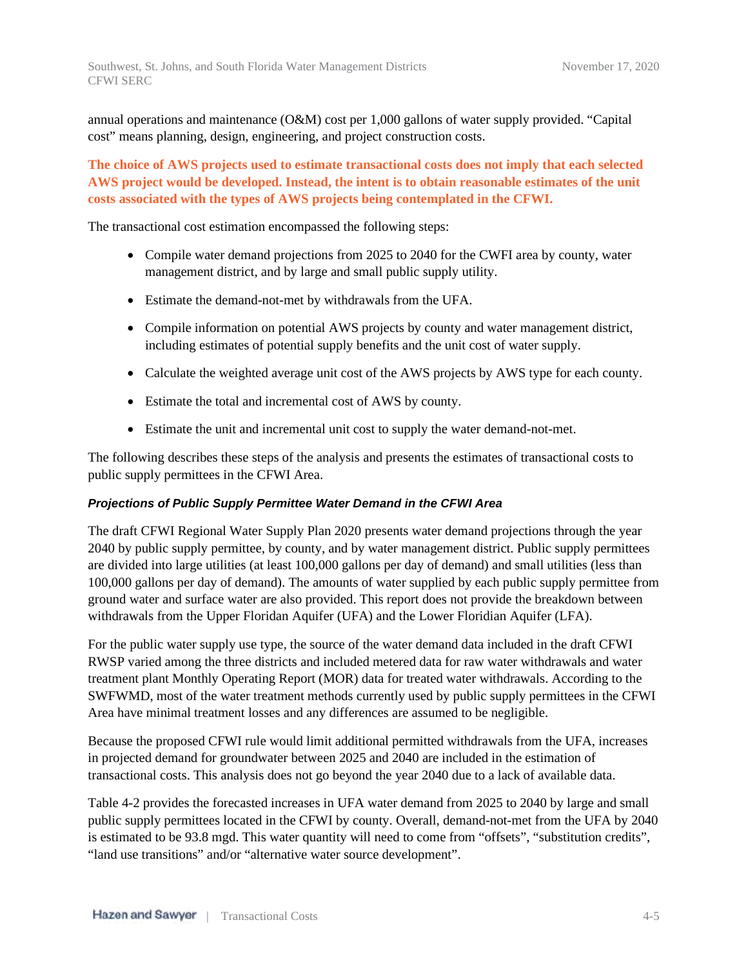annual operations and maintenance (O&M) cost per 1,000 gallons of water supply provided. "Capital cost" means planning, design, engineering, and project construction costs.

**The choice of AWS projects used to estimate transactional costs does not imply that each selected AWS project would be developed. Instead, the intent is to obtain reasonable estimates of the unit costs associated with the types of AWS projects being contemplated in the CFWI.**

The transactional cost estimation encompassed the following steps:

- Compile water demand projections from 2025 to 2040 for the CWFI area by county, water management district, and by large and small public supply utility.
- Estimate the demand-not-met by withdrawals from the UFA.
- Compile information on potential AWS projects by county and water management district, including estimates of potential supply benefits and the unit cost of water supply.
- Calculate the weighted average unit cost of the AWS projects by AWS type for each county.
- Estimate the total and incremental cost of AWS by county.
- Estimate the unit and incremental unit cost to supply the water demand-not-met.

The following describes these steps of the analysis and presents the estimates of transactional costs to public supply permittees in the CFWI Area.

### *Projections of Public Supply Permittee Water Demand in the CFWI Area*

The draft CFWI Regional Water Supply Plan 2020 presents water demand projections through the year 2040 by public supply permittee, by county, and by water management district. Public supply permittees are divided into large utilities (at least 100,000 gallons per day of demand) and small utilities (less than 100,000 gallons per day of demand). The amounts of water supplied by each public supply permittee from ground water and surface water are also provided. This report does not provide the breakdown between withdrawals from the Upper Floridan Aquifer (UFA) and the Lower Floridian Aquifer (LFA).

For the public water supply use type, the source of the water demand data included in the draft CFWI RWSP varied among the three districts and included metered data for raw water withdrawals and water treatment plant Monthly Operating Report (MOR) data for treated water withdrawals. According to the SWFWMD, most of the water treatment methods currently used by public supply permittees in the CFWI Area have minimal treatment losses and any differences are assumed to be negligible.

Because the proposed CFWI rule would limit additional permitted withdrawals from the UFA, increases in projected demand for groundwater between 2025 and 2040 are included in the estimation of transactional costs. This analysis does not go beyond the year 2040 due to a lack of available data.

Table 4-2 provides the forecasted increases in UFA water demand from 2025 to 2040 by large and small public supply permittees located in the CFWI by county. Overall, demand-not-met from the UFA by 2040 is estimated to be 93.8 mgd. This water quantity will need to come from "offsets", "substitution credits", "land use transitions" and/or "alternative water source development".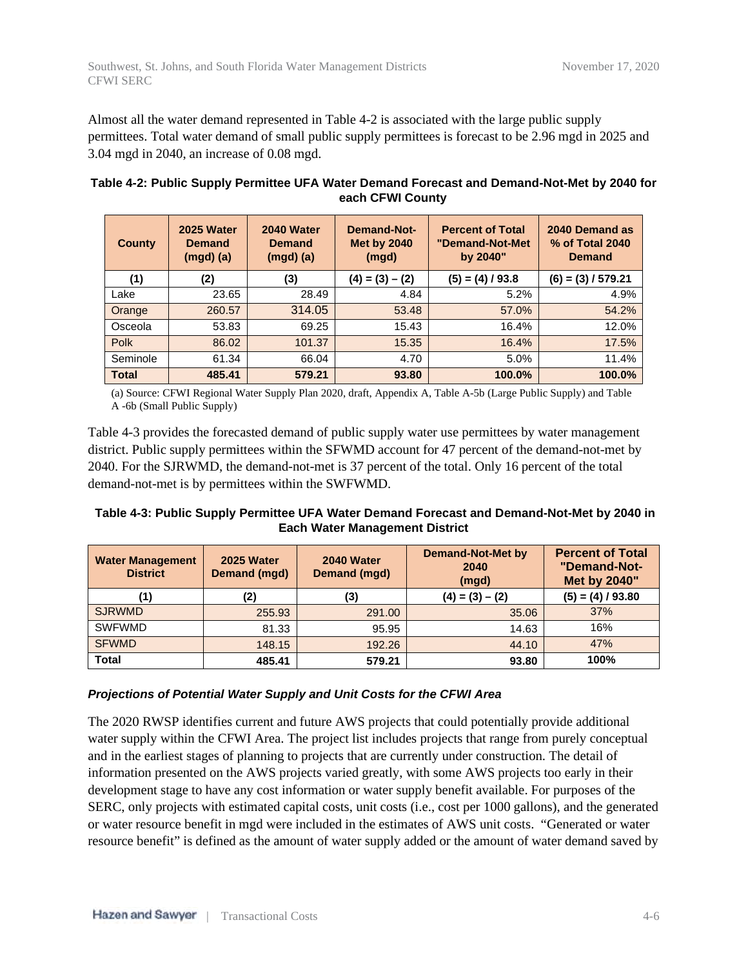Almost all the water demand represented in Table 4-2 is associated with the large public supply permittees. Total water demand of small public supply permittees is forecast to be 2.96 mgd in 2025 and 3.04 mgd in 2040, an increase of 0.08 mgd.

| Table 4-2: Public Supply Permittee UFA Water Demand Forecast and Demand-Not-Met by 2040 for |  |
|---------------------------------------------------------------------------------------------|--|
| each CFWI County                                                                            |  |

| <b>County</b> | 2025 Water<br><b>Demand</b><br>$(mgd)$ $(a)$ | 2040 Water<br><b>Demand</b><br>$(mgd)$ $(a)$ | <b>Demand-Not-</b><br><b>Met by 2040</b><br>(mgd) | <b>Percent of Total</b><br>"Demand-Not-Met<br>by 2040" | 2040 Demand as<br>% of Total 2040<br><b>Demand</b> |
|---------------|----------------------------------------------|----------------------------------------------|---------------------------------------------------|--------------------------------------------------------|----------------------------------------------------|
| (1)           | (2)                                          | (3)                                          | $(4) = (3) - (2)$                                 | $(5) = (4) / 93.8$                                     | $(6) = (3) / 579.21$                               |
| Lake          | 23.65                                        | 28.49                                        | 4.84                                              | 5.2%                                                   | 4.9%                                               |
| Orange        | 260.57                                       | 314.05                                       | 53.48                                             | 57.0%                                                  | 54.2%                                              |
| Osceola       | 53.83                                        | 69.25                                        | 15.43                                             | 16.4%                                                  | 12.0%                                              |
| Polk          | 86.02                                        | 101.37                                       | 15.35                                             | 16.4%                                                  | 17.5%                                              |
| Seminole      | 61.34                                        | 66.04                                        | 4.70                                              | 5.0%                                                   | 11.4%                                              |
| <b>Total</b>  | 485.41                                       | 579.21                                       | 93.80                                             | 100.0%                                                 | 100.0%                                             |

(a) Source: CFWI Regional Water Supply Plan 2020, draft, Appendix A, Table A-5b (Large Public Supply) and Table A -6b (Small Public Supply)

Table 4-3 provides the forecasted demand of public supply water use permittees by water management district. Public supply permittees within the SFWMD account for 47 percent of the demand-not-met by 2040. For the SJRWMD, the demand-not-met is 37 percent of the total. Only 16 percent of the total demand-not-met is by permittees within the SWFWMD.

### **Table 4-3: Public Supply Permittee UFA Water Demand Forecast and Demand-Not-Met by 2040 in Each Water Management District**

| <b>Water Management</b><br><b>District</b> | 2025 Water<br>Demand (mgd) | 2040 Water<br>Demand (mgd) | <b>Demand-Not-Met by</b><br>2040<br>(mgd) | <b>Percent of Total</b><br>"Demand-Not-<br>Met by 2040" |  |
|--------------------------------------------|----------------------------|----------------------------|-------------------------------------------|---------------------------------------------------------|--|
|                                            | (2)                        | (3)                        | $(4) = (3) - (2)$                         | $(5) = (4) / 93.80$                                     |  |
| <b>SJRWMD</b>                              | 255.93                     | 291.00                     | 35.06                                     | 37%                                                     |  |
| <b>SWFWMD</b>                              | 81.33                      | 95.95                      | 14.63                                     | 16%                                                     |  |
| <b>SFWMD</b>                               | 148.15                     | 192.26                     | 44.10                                     | 47%                                                     |  |
| <b>Total</b>                               | 485.41                     | 579.21                     | 93.80                                     | 100%                                                    |  |

### *Projections of Potential Water Supply and Unit Costs for the CFWI Area*

The 2020 RWSP identifies current and future AWS projects that could potentially provide additional water supply within the CFWI Area. The project list includes projects that range from purely conceptual and in the earliest stages of planning to projects that are currently under construction. The detail of information presented on the AWS projects varied greatly, with some AWS projects too early in their development stage to have any cost information or water supply benefit available. For purposes of the SERC, only projects with estimated capital costs, unit costs (i.e., cost per 1000 gallons), and the generated or water resource benefit in mgd were included in the estimates of AWS unit costs. "Generated or water resource benefit" is defined as the amount of water supply added or the amount of water demand saved by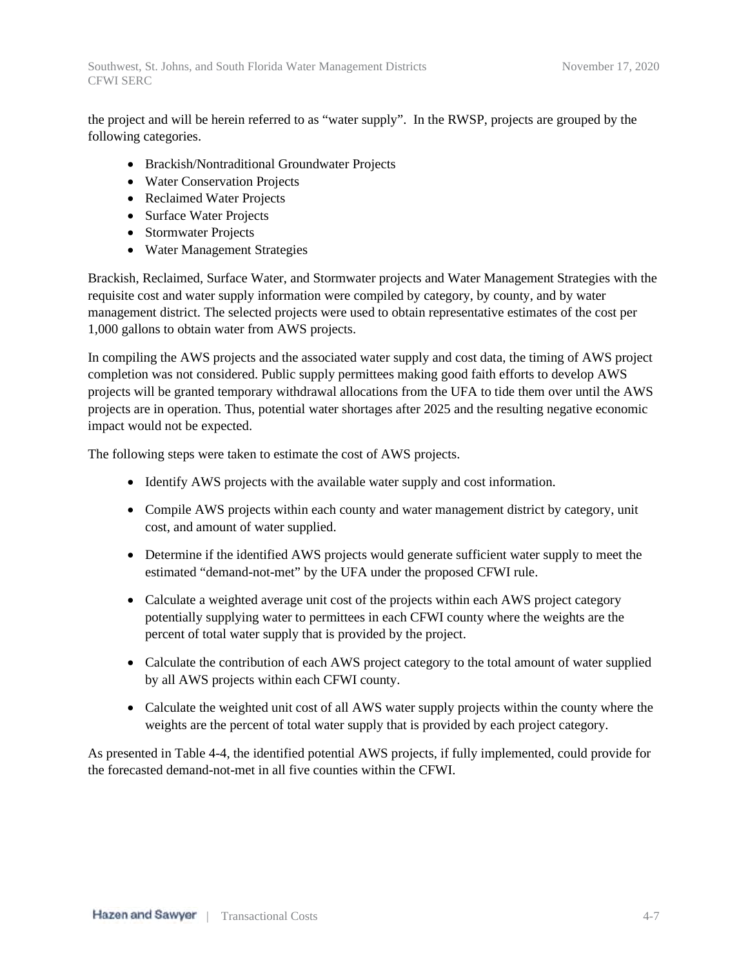Southwest, St. Johns, and South Florida Water Management Districts November 17, 2020 CFWI SERC

the project and will be herein referred to as "water supply". In the RWSP, projects are grouped by the following categories.

- Brackish/Nontraditional Groundwater Projects
- Water Conservation Projects
- Reclaimed Water Projects
- Surface Water Projects
- Stormwater Projects
- Water Management Strategies

Brackish, Reclaimed, Surface Water, and Stormwater projects and Water Management Strategies with the requisite cost and water supply information were compiled by category, by county, and by water management district. The selected projects were used to obtain representative estimates of the cost per 1,000 gallons to obtain water from AWS projects.

In compiling the AWS projects and the associated water supply and cost data, the timing of AWS project completion was not considered. Public supply permittees making good faith efforts to develop AWS projects will be granted temporary withdrawal allocations from the UFA to tide them over until the AWS projects are in operation. Thus, potential water shortages after 2025 and the resulting negative economic impact would not be expected.

The following steps were taken to estimate the cost of AWS projects.

- Identify AWS projects with the available water supply and cost information.
- Compile AWS projects within each county and water management district by category, unit cost, and amount of water supplied.
- Determine if the identified AWS projects would generate sufficient water supply to meet the estimated "demand-not-met" by the UFA under the proposed CFWI rule.
- Calculate a weighted average unit cost of the projects within each AWS project category potentially supplying water to permittees in each CFWI county where the weights are the percent of total water supply that is provided by the project.
- Calculate the contribution of each AWS project category to the total amount of water supplied by all AWS projects within each CFWI county.
- Calculate the weighted unit cost of all AWS water supply projects within the county where the weights are the percent of total water supply that is provided by each project category.

As presented in Table 4-4, the identified potential AWS projects, if fully implemented, could provide for the forecasted demand-not-met in all five counties within the CFWI.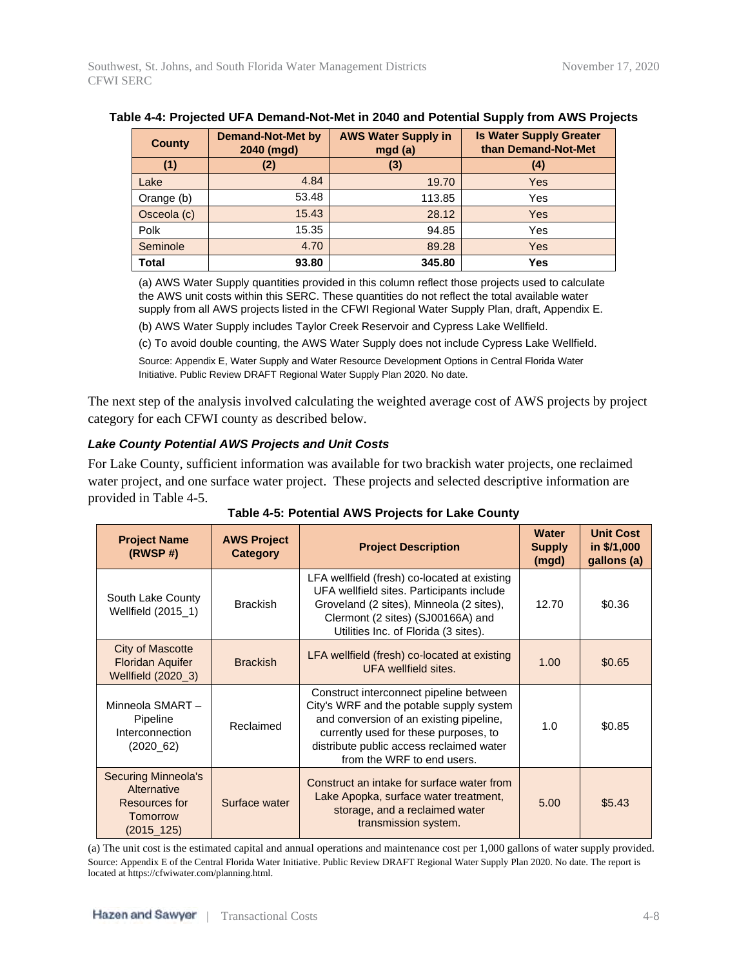| <b>County</b> | <b>Demand-Not-Met by</b><br>2040 (mgd) | <b>AWS Water Supply in</b><br>mgd (a) | <b>Is Water Supply Greater</b><br>than Demand-Not-Met |
|---------------|----------------------------------------|---------------------------------------|-------------------------------------------------------|
| (1)           | (2)                                    | (3)                                   | $\left( 4\right)$                                     |
| Lake          | 4.84                                   | 19.70                                 | Yes                                                   |
| Orange (b)    | 53.48                                  | 113.85                                | Yes                                                   |
| Osceola (c)   | 15.43                                  | 28.12                                 | Yes                                                   |
| Polk          | 15.35                                  | 94.85                                 | Yes                                                   |
| Seminole      | 4.70                                   | 89.28                                 | Yes                                                   |
| Total         | 93.80                                  | 345.80                                | Yes                                                   |

#### **Table 4-4: Projected UFA Demand-Not-Met in 2040 and Potential Supply from AWS Projects**

(a) AWS Water Supply quantities provided in this column reflect those projects used to calculate the AWS unit costs within this SERC. These quantities do not reflect the total available water supply from all AWS projects listed in the CFWI Regional Water Supply Plan, draft, Appendix E.

(b) AWS Water Supply includes Taylor Creek Reservoir and Cypress Lake Wellfield.

(c) To avoid double counting, the AWS Water Supply does not include Cypress Lake Wellfield.

Source: Appendix E, Water Supply and Water Resource Development Options in Central Florida Water Initiative. Public Review DRAFT Regional Water Supply Plan 2020. No date.

The next step of the analysis involved calculating the weighted average cost of AWS projects by project category for each CFWI county as described below.

#### *Lake County Potential AWS Projects and Unit Costs*

For Lake County, sufficient information was available for two brackish water projects, one reclaimed water project, and one surface water project. These projects and selected descriptive information are provided in Table 4-5.

| <b>Project Name</b><br>(RWSP#)                                                       | <b>AWS Project</b><br>Category | <b>Project Description</b>                                                                                                                                                                                                                        | <b>Water</b><br><b>Supply</b><br>(mgd) | <b>Unit Cost</b><br>in \$/1,000<br>gallons (a) |
|--------------------------------------------------------------------------------------|--------------------------------|---------------------------------------------------------------------------------------------------------------------------------------------------------------------------------------------------------------------------------------------------|----------------------------------------|------------------------------------------------|
| South Lake County<br>Wellfield (2015_1)                                              | <b>Brackish</b>                | LFA wellfield (fresh) co-located at existing<br>UFA wellfield sites. Participants include<br>Groveland (2 sites), Minneola (2 sites),<br>Clermont (2 sites) (SJ00166A) and<br>Utilities Inc. of Florida (3 sites).                                | 12.70                                  | \$0.36                                         |
| <b>City of Mascotte</b><br><b>Floridan Aquifer</b><br>Wellfield (2020_3)             | <b>Brackish</b>                | LFA wellfield (fresh) co-located at existing<br>UFA wellfield sites.                                                                                                                                                                              | 1.00                                   | \$0.65                                         |
| Minneola SMART-<br>Pipeline<br>Interconnection<br>(2020 62)                          | Reclaimed                      | Construct interconnect pipeline between<br>City's WRF and the potable supply system<br>and conversion of an existing pipeline,<br>currently used for these purposes, to<br>distribute public access reclaimed water<br>from the WRF to end users. | 1.0                                    | \$0.85                                         |
| <b>Securing Minneola's</b><br>Alternative<br>Resources for<br>Tomorrow<br>(2015_125) | Surface water                  | Construct an intake for surface water from<br>Lake Apopka, surface water treatment,<br>storage, and a reclaimed water<br>transmission system.                                                                                                     | 5.00                                   | \$5.43                                         |

**Table 4-5: Potential AWS Projects for Lake County**

(a) The unit cost is the estimated capital and annual operations and maintenance cost per 1,000 gallons of water supply provided. Source: Appendix E of the Central Florida Water Initiative. Public Review DRAFT Regional Water Supply Plan 2020. No date. The report is located at https://cfwiwater.com/planning.html.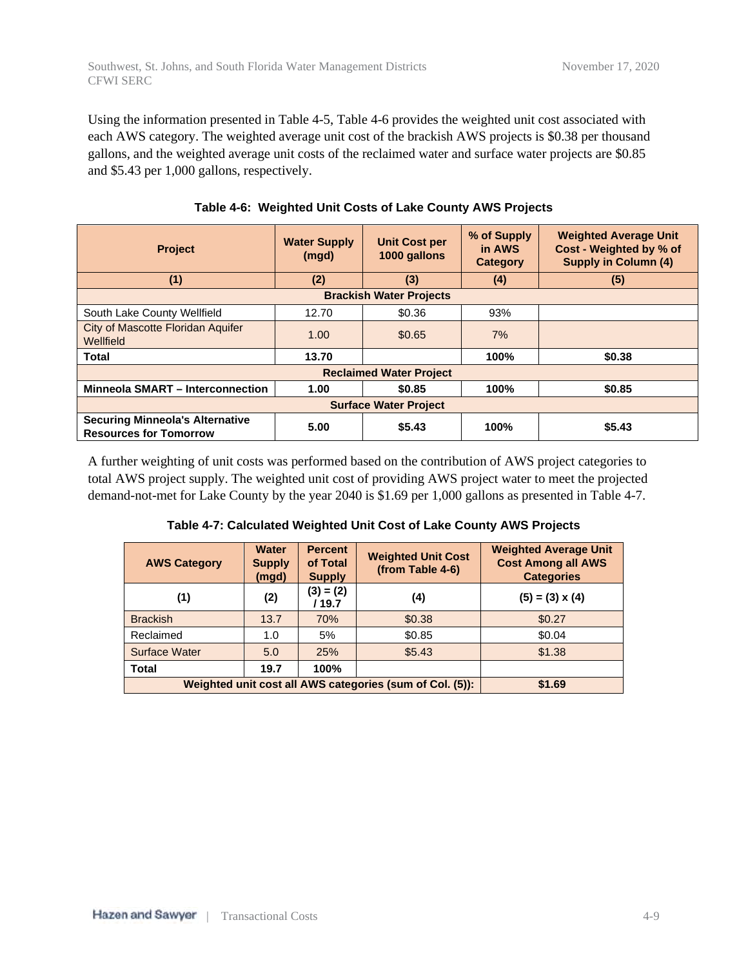Using the information presented in Table 4-5, Table 4-6 provides the weighted unit cost associated with each AWS category. The weighted average unit cost of the brackish AWS projects is \$0.38 per thousand gallons, and the weighted average unit costs of the reclaimed water and surface water projects are \$0.85 and \$5.43 per 1,000 gallons, respectively.

| <b>Project</b>                                                              | <b>Water Supply</b><br>(mgd) | <b>Unit Cost per</b><br>1000 gallons | % of Supply<br>in AWS<br>Category | <b>Weighted Average Unit</b><br>Cost - Weighted by % of<br><b>Supply in Column (4)</b> |  |  |
|-----------------------------------------------------------------------------|------------------------------|--------------------------------------|-----------------------------------|----------------------------------------------------------------------------------------|--|--|
| (1)                                                                         | (2)                          | (3)                                  | (4)                               | (5)                                                                                    |  |  |
| <b>Brackish Water Projects</b>                                              |                              |                                      |                                   |                                                                                        |  |  |
| South Lake County Wellfield                                                 | 12.70                        | \$0.36                               | 93%                               |                                                                                        |  |  |
| City of Mascotte Floridan Aquifer<br>Wellfield                              | 1.00                         | \$0.65                               | 7%                                |                                                                                        |  |  |
| <b>Total</b>                                                                | 13.70                        |                                      | 100%                              | \$0.38                                                                                 |  |  |
| <b>Reclaimed Water Project</b>                                              |                              |                                      |                                   |                                                                                        |  |  |
| <b>Minneola SMART - Interconnection</b><br>100%<br>\$0.85<br>1.00<br>\$0.85 |                              |                                      |                                   |                                                                                        |  |  |
| <b>Surface Water Project</b>                                                |                              |                                      |                                   |                                                                                        |  |  |
| <b>Securing Minneola's Alternative</b><br><b>Resources for Tomorrow</b>     | 5.00                         | \$5.43                               | 100%                              | \$5.43                                                                                 |  |  |

#### **Table 4-6: Weighted Unit Costs of Lake County AWS Projects**

A further weighting of unit costs was performed based on the contribution of AWS project categories to total AWS project supply. The weighted unit cost of providing AWS project water to meet the projected demand-not-met for Lake County by the year 2040 is \$1.69 per 1,000 gallons as presented in Table 4-7.

| Table 4-7: Calculated Weighted Unit Cost of Lake County AWS Projects |  |
|----------------------------------------------------------------------|--|
|----------------------------------------------------------------------|--|

| <b>AWS Category</b>                                      | <b>Water</b><br><b>Supply</b><br>(mgd) | <b>Percent</b><br>of Total<br><b>Supply</b> | <b>Weighted Unit Cost</b><br>(from Table 4-6) | <b>Weighted Average Unit</b><br><b>Cost Among all AWS</b><br><b>Categories</b> |
|----------------------------------------------------------|----------------------------------------|---------------------------------------------|-----------------------------------------------|--------------------------------------------------------------------------------|
| (1)                                                      | (2)                                    | $(3) = (2)$<br>/ 19.7                       | (4)                                           | $(5) = (3) \times (4)$                                                         |
| <b>Brackish</b>                                          | 13.7                                   | <b>70%</b>                                  | \$0.38                                        | \$0.27                                                                         |
| Reclaimed                                                | 1.0                                    | 5%                                          | \$0.85                                        | \$0.04                                                                         |
| Surface Water                                            | 5.0                                    | 25%                                         | \$5.43                                        | \$1.38                                                                         |
| <b>Total</b>                                             | 19.7                                   | 100%                                        |                                               |                                                                                |
| Weighted unit cost all AWS categories (sum of Col. (5)): | \$1.69                                 |                                             |                                               |                                                                                |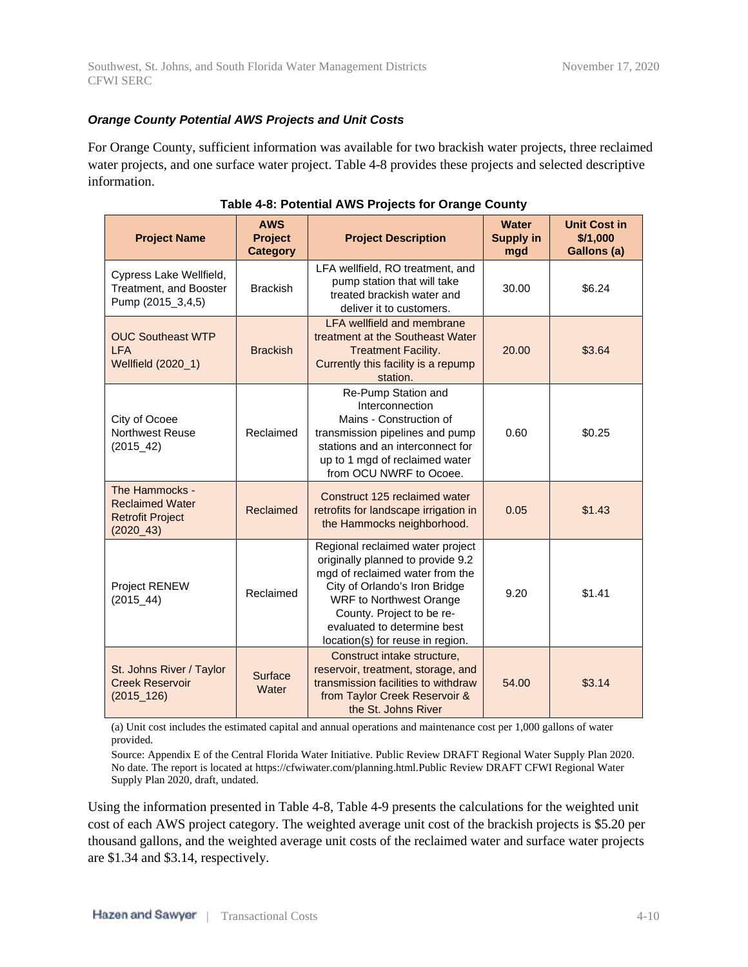#### *Orange County Potential AWS Projects and Unit Costs*

For Orange County, sufficient information was available for two brackish water projects, three reclaimed water projects, and one surface water project. Table 4-8 provides these projects and selected descriptive information.

| <b>Project Name</b>                                                                 | <b>AWS</b><br><b>Project</b><br><b>Category</b>                                                                                                                           | <b>Project Description</b>                                                                                                                                                                                                                                                  | <b>Water</b><br><b>Supply in</b><br>mgd | <b>Unit Cost in</b><br>\$/1,000<br>Gallons (a) |
|-------------------------------------------------------------------------------------|---------------------------------------------------------------------------------------------------------------------------------------------------------------------------|-----------------------------------------------------------------------------------------------------------------------------------------------------------------------------------------------------------------------------------------------------------------------------|-----------------------------------------|------------------------------------------------|
| Cypress Lake Wellfield,<br>Treatment, and Booster<br>Pump (2015_3,4,5)              | <b>Brackish</b>                                                                                                                                                           | LFA wellfield, RO treatment, and<br>pump station that will take<br>treated brackish water and<br>deliver it to customers.                                                                                                                                                   | 30.00                                   | \$6.24                                         |
| <b>OUC Southeast WTP</b><br><b>LFA</b><br>Wellfield (2020_1)                        | <b>LFA wellfield and membrane</b><br>treatment at the Southeast Water<br><b>Brackish</b><br><b>Treatment Facility.</b><br>Currently this facility is a repump<br>station. |                                                                                                                                                                                                                                                                             | 20.00                                   | \$3.64                                         |
| City of Ocoee<br>Northwest Reuse<br>$(2015 - 42)$                                   | Reclaimed                                                                                                                                                                 | Re-Pump Station and<br>Interconnection<br>Mains - Construction of<br>transmission pipelines and pump<br>stations and an interconnect for<br>up to 1 mgd of reclaimed water<br>from OCU NWRF to Ocoee.                                                                       | 0.60                                    | \$0.25                                         |
| The Hammocks -<br><b>Reclaimed Water</b><br><b>Retrofit Project</b><br>$(2020\_43)$ | Reclaimed                                                                                                                                                                 | Construct 125 reclaimed water<br>retrofits for landscape irrigation in<br>the Hammocks neighborhood.                                                                                                                                                                        | 0.05                                    | \$1.43                                         |
| <b>Project RENEW</b><br>$(2015 - 44)$                                               | Reclaimed                                                                                                                                                                 | Regional reclaimed water project<br>originally planned to provide 9.2<br>mgd of reclaimed water from the<br>City of Orlando's Iron Bridge<br><b>WRF to Northwest Orange</b><br>County. Project to be re-<br>evaluated to determine best<br>location(s) for reuse in region. | 9.20                                    | \$1.41                                         |
| St. Johns River / Taylor<br><b>Creek Reservoir</b><br>$(2015 - 126)$                | Surface<br>Water                                                                                                                                                          | Construct intake structure,<br>reservoir, treatment, storage, and<br>transmission facilities to withdraw<br>from Taylor Creek Reservoir &<br>the St. Johns River                                                                                                            | 54.00                                   | \$3.14                                         |

|  | Table 4-8: Potential AWS Projects for Orange County |  |  |  |
|--|-----------------------------------------------------|--|--|--|
|--|-----------------------------------------------------|--|--|--|

(a) Unit cost includes the estimated capital and annual operations and maintenance cost per 1,000 gallons of water provided.

Source: Appendix E of the Central Florida Water Initiative. Public Review DRAFT Regional Water Supply Plan 2020. No date. The report is located at https://cfwiwater.com/planning.html.Public Review DRAFT CFWI Regional Water Supply Plan 2020, draft, undated.

Using the information presented in Table 4-8, Table 4-9 presents the calculations for the weighted unit cost of each AWS project category. The weighted average unit cost of the brackish projects is \$5.20 per thousand gallons, and the weighted average unit costs of the reclaimed water and surface water projects are \$1.34 and \$3.14, respectively.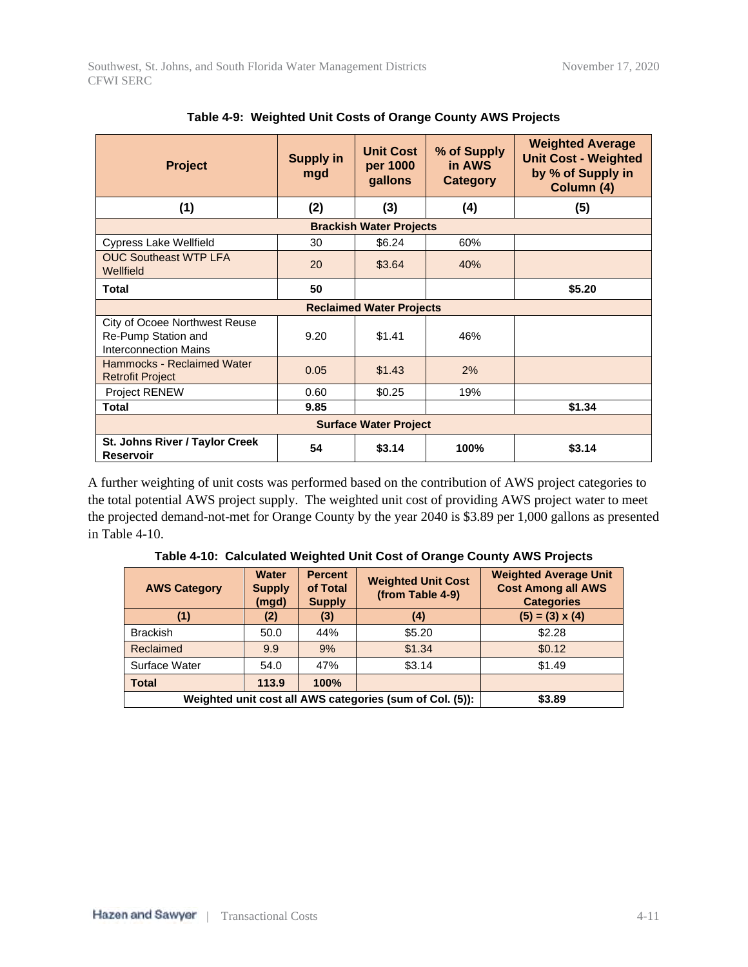| <b>Project</b>                                                                                                       | <b>Supply in</b><br>mgd | <b>Unit Cost</b><br>per 1000<br>gallons | % of Supply<br>in AWS<br>Category | <b>Weighted Average</b><br><b>Unit Cost - Weighted</b><br>by % of Supply in<br>Column (4) |  |  |  |
|----------------------------------------------------------------------------------------------------------------------|-------------------------|-----------------------------------------|-----------------------------------|-------------------------------------------------------------------------------------------|--|--|--|
| (1)                                                                                                                  | (2)                     | (3)                                     | (4)                               | (5)                                                                                       |  |  |  |
|                                                                                                                      |                         | <b>Brackish Water Projects</b>          |                                   |                                                                                           |  |  |  |
| <b>Cypress Lake Wellfield</b>                                                                                        | 30                      | \$6.24                                  | 60%                               |                                                                                           |  |  |  |
| <b>OUC Southeast WTP LFA</b><br>Wellfield                                                                            | 20                      | \$3.64                                  | 40%                               |                                                                                           |  |  |  |
| <b>Total</b>                                                                                                         | 50                      |                                         |                                   | \$5.20                                                                                    |  |  |  |
|                                                                                                                      |                         | <b>Reclaimed Water Projects</b>         |                                   |                                                                                           |  |  |  |
| <b>City of Ocoee Northwest Reuse</b><br>Re-Pump Station and<br>\$1.41<br>9.20<br>46%<br><b>Interconnection Mains</b> |                         |                                         |                                   |                                                                                           |  |  |  |
| Hammocks - Reclaimed Water<br><b>Retrofit Project</b>                                                                | 0.05                    | \$1.43                                  | 2%                                |                                                                                           |  |  |  |
| Project RENEW                                                                                                        | 0.60                    | \$0.25                                  | 19%                               |                                                                                           |  |  |  |
| <b>Total</b>                                                                                                         | 9.85                    |                                         |                                   | \$1.34                                                                                    |  |  |  |
| <b>Surface Water Project</b>                                                                                         |                         |                                         |                                   |                                                                                           |  |  |  |
| St. Johns River / Taylor Creek<br>\$3.14<br>54<br>\$3.14<br>100%<br><b>Reservoir</b>                                 |                         |                                         |                                   |                                                                                           |  |  |  |

|  | Table 4-9: Weighted Unit Costs of Orange County AWS Projects |  |  |
|--|--------------------------------------------------------------|--|--|
|  |                                                              |  |  |

A further weighting of unit costs was performed based on the contribution of AWS project categories to the total potential AWS project supply. The weighted unit cost of providing AWS project water to meet the projected demand-not-met for Orange County by the year 2040 is \$3.89 per 1,000 gallons as presented in Table 4-10.

|  |  |  |  |  |  | Table 4-10: Calculated Weighted Unit Cost of Orange County AWS Projects |
|--|--|--|--|--|--|-------------------------------------------------------------------------|
|--|--|--|--|--|--|-------------------------------------------------------------------------|

| <b>AWS Category</b>                                      | <b>Water</b><br><b>Supply</b><br>(mgd) | <b>Percent</b><br>of Total<br><b>Supply</b> | <b>Weighted Unit Cost</b><br>(from Table 4-9) | <b>Weighted Average Unit</b><br><b>Cost Among all AWS</b><br><b>Categories</b> |
|----------------------------------------------------------|----------------------------------------|---------------------------------------------|-----------------------------------------------|--------------------------------------------------------------------------------|
| (1)                                                      | (2)                                    | (3)                                         | (4)                                           | $(5) = (3) \times (4)$                                                         |
| <b>Brackish</b>                                          | 50.0                                   | 44%                                         | \$5.20                                        | \$2.28                                                                         |
| Reclaimed                                                | 9.9                                    | 9%                                          | \$1.34                                        | \$0.12                                                                         |
| Surface Water                                            | 54.0                                   | 47%                                         | \$3.14                                        | \$1.49                                                                         |
| <b>Total</b>                                             | 113.9                                  | 100%                                        |                                               |                                                                                |
| Weighted unit cost all AWS categories (sum of Col. (5)): | \$3.89                                 |                                             |                                               |                                                                                |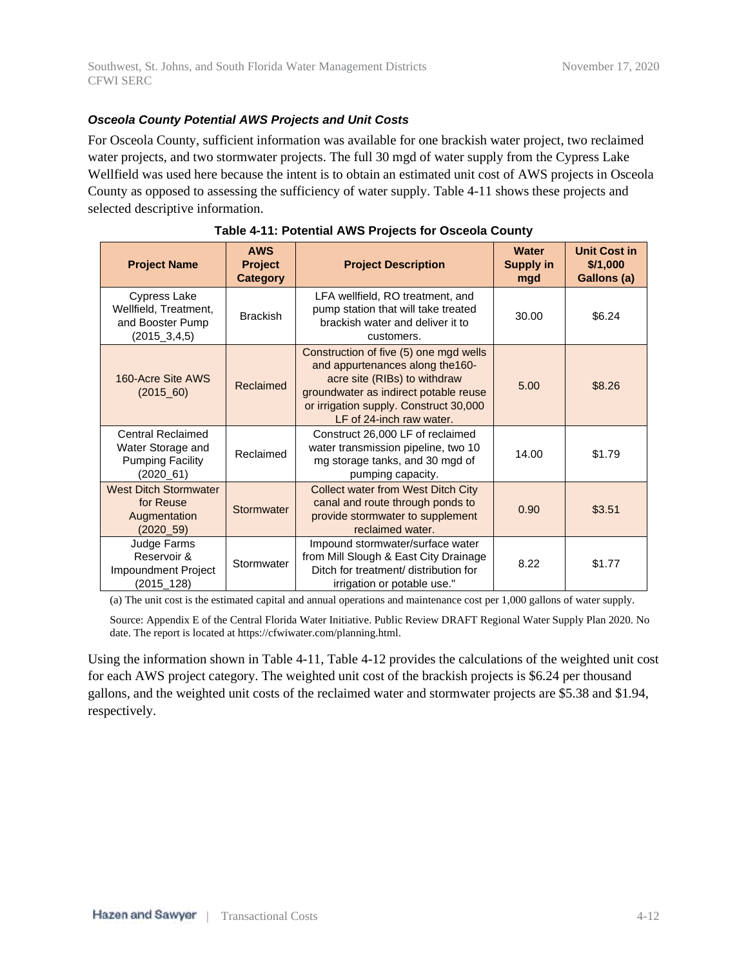#### *Osceola County Potential AWS Projects and Unit Costs*

For Osceola County, sufficient information was available for one brackish water project, two reclaimed water projects, and two stormwater projects. The full 30 mgd of water supply from the Cypress Lake Wellfield was used here because the intent is to obtain an estimated unit cost of AWS projects in Osceola County as opposed to assessing the sufficiency of water supply. Table 4-11 shows these projects and selected descriptive information.

| <b>Project Name</b>                                                               | <b>AWS</b><br><b>Project</b><br><b>Category</b> | <b>Project Description</b>                                                                                                                                                                                                | <b>Water</b><br><b>Supply in</b><br>mgd | Unit Cost in<br>\$/1,000<br>Gallons (a) |
|-----------------------------------------------------------------------------------|-------------------------------------------------|---------------------------------------------------------------------------------------------------------------------------------------------------------------------------------------------------------------------------|-----------------------------------------|-----------------------------------------|
| Cypress Lake<br>Wellfield, Treatment,<br>and Booster Pump<br>$(2015\_3, 4, 5)$    | <b>Brackish</b>                                 | LFA wellfield, RO treatment, and<br>pump station that will take treated<br>brackish water and deliver it to<br>customers.                                                                                                 | 30.00                                   | \$6.24                                  |
| 160-Acre Site AWS<br>$(2015\_60)$                                                 | Reclaimed                                       | Construction of five (5) one mgd wells<br>and appurtenances along the 160-<br>acre site (RIBs) to withdraw<br>groundwater as indirect potable reuse<br>or irrigation supply. Construct 30,000<br>LF of 24-inch raw water. | 5.00                                    | \$8.26                                  |
| Central Reclaimed<br>Water Storage and<br><b>Pumping Facility</b><br>$(2020\_61)$ | Reclaimed                                       | Construct 26,000 LF of reclaimed<br>water transmission pipeline, two 10<br>mg storage tanks, and 30 mgd of<br>pumping capacity.                                                                                           | 14.00                                   | \$1.79                                  |
| <b>West Ditch Stormwater</b><br>for Reuse<br>Augmentation<br>(2020 59)            | Stormwater                                      | <b>Collect water from West Ditch City</b><br>canal and route through ponds to<br>provide stormwater to supplement<br>reclaimed water.                                                                                     | 0.90                                    | \$3.51                                  |
| Judge Farms<br>Reservoir &<br>Impoundment Project<br>(2015_128)                   | Stormwater                                      | Impound stormwater/surface water<br>from Mill Slough & East City Drainage<br>Ditch for treatment/ distribution for<br>irrigation or potable use."                                                                         | 8.22                                    | \$1.77                                  |

#### **Table 4-11: Potential AWS Projects for Osceola County**

(a) The unit cost is the estimated capital and annual operations and maintenance cost per 1,000 gallons of water supply.

Source: Appendix E of the Central Florida Water Initiative. Public Review DRAFT Regional Water Supply Plan 2020. No date. The report is located at https://cfwiwater.com/planning.html.

Using the information shown in Table 4-11, Table 4-12 provides the calculations of the weighted unit cost for each AWS project category. The weighted unit cost of the brackish projects is \$6.24 per thousand gallons, and the weighted unit costs of the reclaimed water and stormwater projects are \$5.38 and \$1.94, respectively.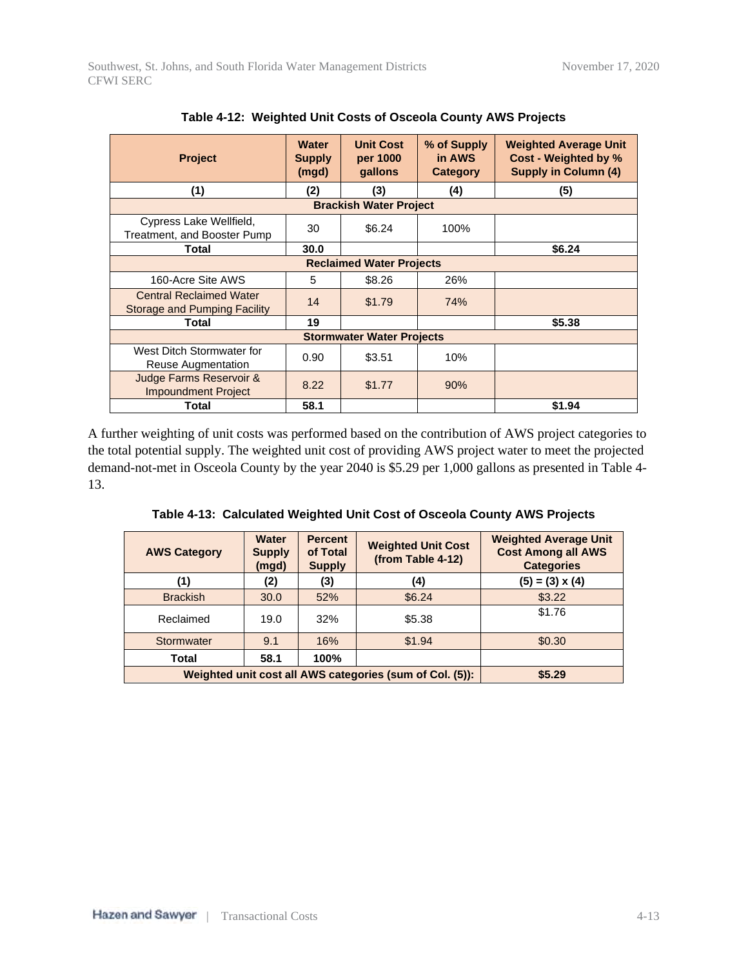| <b>Project</b>                                                        | <b>Water</b><br><b>Supply</b><br>(mgd) | <b>Unit Cost</b><br>per 1000<br>gallons | % of Supply<br>in AWS<br>Category | <b>Weighted Average Unit</b><br>Cost - Weighted by %<br><b>Supply in Column (4)</b> |  |  |
|-----------------------------------------------------------------------|----------------------------------------|-----------------------------------------|-----------------------------------|-------------------------------------------------------------------------------------|--|--|
| (1)                                                                   | (2)                                    | (3)                                     | (4)                               | (5)                                                                                 |  |  |
|                                                                       |                                        | <b>Brackish Water Project</b>           |                                   |                                                                                     |  |  |
| Cypress Lake Wellfield,<br>Treatment, and Booster Pump                | 30                                     | \$6.24                                  | 100%                              |                                                                                     |  |  |
| Total                                                                 | 30.0                                   |                                         |                                   | \$6.24                                                                              |  |  |
| <b>Reclaimed Water Projects</b>                                       |                                        |                                         |                                   |                                                                                     |  |  |
| 160-Acre Site AWS                                                     | 5                                      | \$8.26                                  | 26%                               |                                                                                     |  |  |
| <b>Central Reclaimed Water</b><br><b>Storage and Pumping Facility</b> | 14                                     | \$1.79                                  | 74%                               |                                                                                     |  |  |
| <b>Total</b>                                                          | 19                                     |                                         |                                   | \$5.38                                                                              |  |  |
|                                                                       |                                        | <b>Stormwater Water Projects</b>        |                                   |                                                                                     |  |  |
| West Ditch Stormwater for<br>Reuse Augmentation                       | 0.90                                   | \$3.51                                  | 10%                               |                                                                                     |  |  |
| Judge Farms Reservoir &<br><b>Impoundment Project</b>                 | 8.22                                   | \$1.77                                  | 90%                               |                                                                                     |  |  |
| Total                                                                 | 58.1                                   |                                         |                                   | \$1.94                                                                              |  |  |

**Table 4-12: Weighted Unit Costs of Osceola County AWS Projects**

A further weighting of unit costs was performed based on the contribution of AWS project categories to the total potential supply. The weighted unit cost of providing AWS project water to meet the projected demand-not-met in Osceola County by the year 2040 is \$5.29 per 1,000 gallons as presented in Table 4- 13.

**Table 4-13: Calculated Weighted Unit Cost of Osceola County AWS Projects**

| <b>AWS Category</b>                                      | <b>Water</b><br><b>Supply</b><br>(mgd) | <b>Percent</b><br>of Total<br><b>Supply</b> | <b>Weighted Unit Cost</b><br>(from Table 4-12) | <b>Weighted Average Unit</b><br><b>Cost Among all AWS</b><br><b>Categories</b> |
|----------------------------------------------------------|----------------------------------------|---------------------------------------------|------------------------------------------------|--------------------------------------------------------------------------------|
| (1)                                                      | (2)                                    | (3)                                         | (4)                                            | $(5) = (3) \times (4)$                                                         |
| <b>Brackish</b>                                          | 30.0                                   | 52%                                         | \$6.24                                         | \$3.22                                                                         |
| Reclaimed                                                | 19.0                                   | 32%                                         | \$5.38                                         | \$1.76                                                                         |
| Stormwater                                               | 9.1                                    | 16%                                         | \$1.94                                         | \$0.30                                                                         |
| Total                                                    | 58.1                                   | 100%                                        |                                                |                                                                                |
| Weighted unit cost all AWS categories (sum of Col. (5)): | \$5.29                                 |                                             |                                                |                                                                                |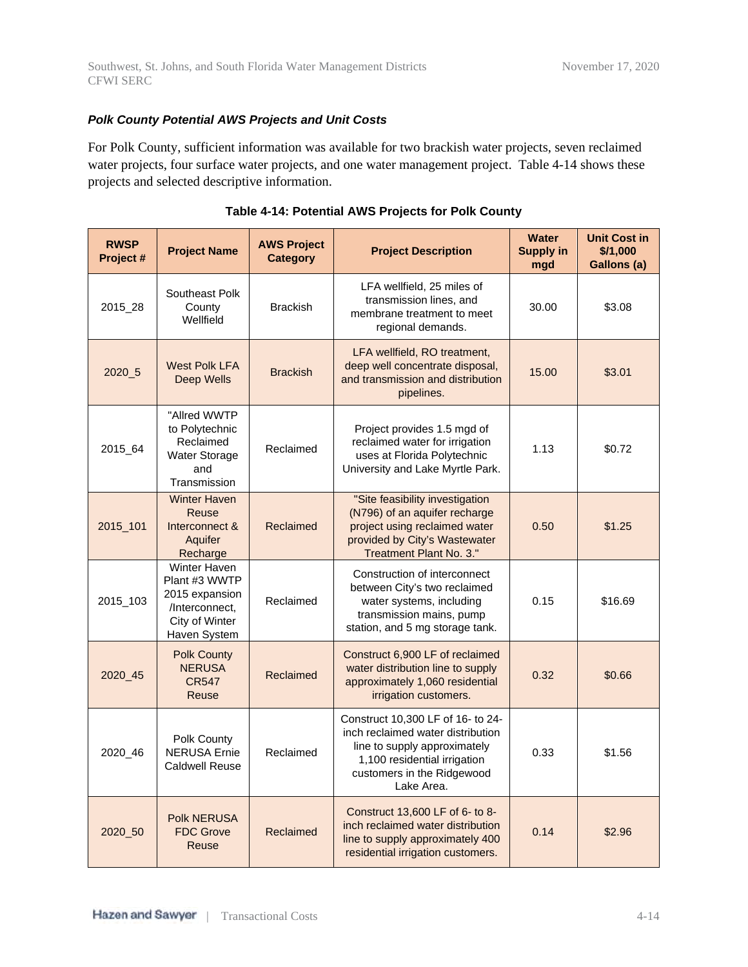#### *Polk County Potential AWS Projects and Unit Costs*

For Polk County, sufficient information was available for two brackish water projects, seven reclaimed water projects, four surface water projects, and one water management project. Table 4-14 shows these projects and selected descriptive information.

| <b>RWSP</b><br>Project # | <b>Project Name</b>                                                                                        | <b>AWS Project</b><br><b>Category</b> | <b>Project Description</b>                                                                                                                                                         | <b>Water</b><br><b>Supply in</b><br>mgd | <b>Unit Cost in</b><br>\$/1,000<br>Gallons (a) |
|--------------------------|------------------------------------------------------------------------------------------------------------|---------------------------------------|------------------------------------------------------------------------------------------------------------------------------------------------------------------------------------|-----------------------------------------|------------------------------------------------|
| 2015_28                  | Southeast Polk<br>County<br>Wellfield                                                                      | <b>Brackish</b>                       | LFA wellfield, 25 miles of<br>transmission lines, and<br>membrane treatment to meet<br>regional demands.                                                                           | 30.00                                   | \$3.08                                         |
| 2020_5                   | <b>West Polk LFA</b><br>Deep Wells                                                                         | <b>Brackish</b>                       | LFA wellfield, RO treatment,<br>deep well concentrate disposal,<br>and transmission and distribution<br>pipelines.                                                                 | 15.00                                   | \$3.01                                         |
| 2015_64                  | "Allred WWTP<br>to Polytechnic<br>Reclaimed<br>Water Storage<br>and<br>Transmission                        | Reclaimed                             | Project provides 1.5 mgd of<br>reclaimed water for irrigation<br>uses at Florida Polytechnic<br>University and Lake Myrtle Park.                                                   | 1.13                                    | \$0.72                                         |
| 2015_101                 | <b>Winter Haven</b><br>Reuse<br>Interconnect &<br>Aquifer<br>Recharge                                      | Reclaimed                             | "Site feasibility investigation<br>(N796) of an aquifer recharge<br>project using reclaimed water<br>provided by City's Wastewater<br>Treatment Plant No. 3."                      | 0.50                                    | \$1.25                                         |
| 2015_103                 | <b>Winter Haven</b><br>Plant #3 WWTP<br>2015 expansion<br>/Interconnect,<br>City of Winter<br>Haven System | Reclaimed                             | Construction of interconnect<br>between City's two reclaimed<br>water systems, including<br>transmission mains, pump<br>station, and 5 mg storage tank.                            | 0.15                                    | \$16.69                                        |
| 2020 45                  | <b>Polk County</b><br><b>NERUSA</b><br><b>CR547</b><br>Reuse                                               | Reclaimed                             | Construct 6,900 LF of reclaimed<br>water distribution line to supply<br>approximately 1,060 residential<br>irrigation customers.                                                   | 0.32                                    | \$0.66                                         |
| 2020_46                  | Polk County<br><b>NERUSA</b> Ernie<br><b>Caldwell Reuse</b>                                                | Reclaimed                             | Construct 10,300 LF of 16- to 24-<br>inch reclaimed water distribution<br>line to supply approximately<br>1,100 residential irrigation<br>customers in the Ridgewood<br>Lake Area. | 0.33                                    | \$1.56                                         |
| 2020_50                  | <b>Polk NERUSA</b><br><b>FDC Grove</b><br>Reuse                                                            | Reclaimed                             | Construct 13,600 LF of 6- to 8-<br>inch reclaimed water distribution<br>line to supply approximately 400<br>residential irrigation customers.                                      | 0.14                                    | \$2.96                                         |

#### **Table 4-14: Potential AWS Projects for Polk County**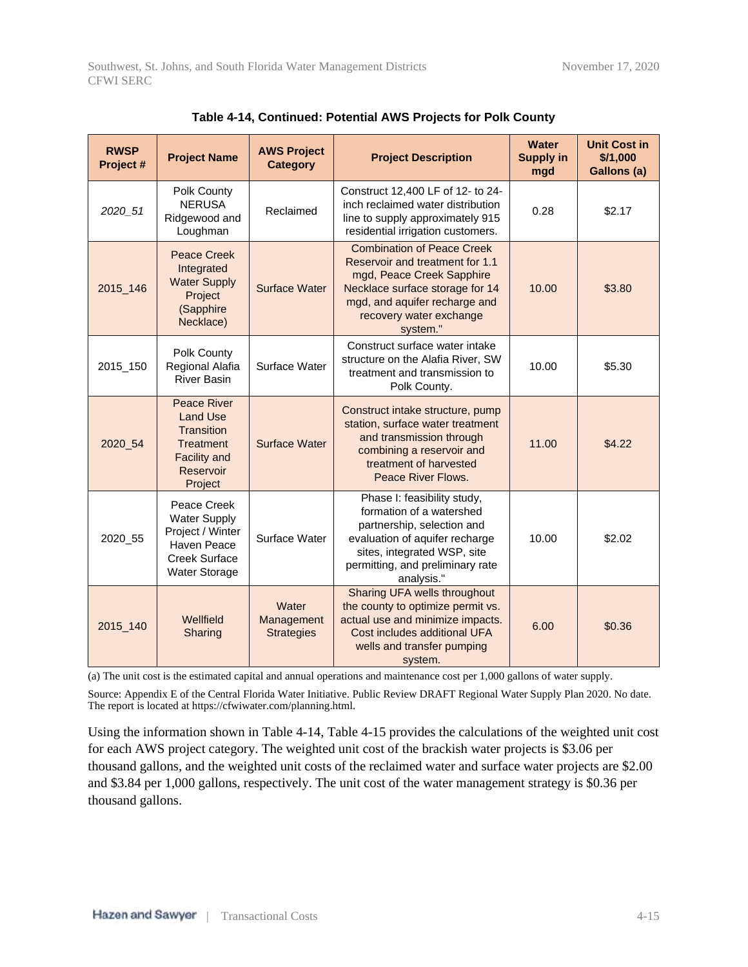| <b>RWSP</b><br>Project # | <b>Project Name</b>                                                                                                    | <b>AWS Project</b><br><b>Category</b>    | <b>Project Description</b>                                                                                                                                                                                   | <b>Water</b><br><b>Supply in</b><br>mgd | <b>Unit Cost in</b><br>\$/1,000<br>Gallons (a) |
|--------------------------|------------------------------------------------------------------------------------------------------------------------|------------------------------------------|--------------------------------------------------------------------------------------------------------------------------------------------------------------------------------------------------------------|-----------------------------------------|------------------------------------------------|
| 2020_51                  | Polk County<br><b>NERUSA</b><br>Ridgewood and<br>Loughman                                                              | Reclaimed                                | Construct 12,400 LF of 12- to 24-<br>inch reclaimed water distribution<br>line to supply approximately 915<br>residential irrigation customers.                                                              | 0.28                                    | \$2.17                                         |
| 2015_146                 | <b>Peace Creek</b><br>Integrated<br><b>Water Supply</b><br>Project<br>(Sapphire<br>Necklace)                           | <b>Surface Water</b>                     | <b>Combination of Peace Creek</b><br>Reservoir and treatment for 1.1<br>mgd, Peace Creek Sapphire<br>Necklace surface storage for 14<br>mgd, and aquifer recharge and<br>recovery water exchange<br>system." | 10.00                                   | \$3.80                                         |
| 2015_150                 | Polk County<br>Regional Alafia<br><b>River Basin</b>                                                                   | Surface Water                            | Construct surface water intake<br>structure on the Alafia River, SW<br>treatment and transmission to<br>Polk County.                                                                                         | 10.00                                   | \$5.30                                         |
| 2020_54                  | <b>Peace River</b><br><b>Land Use</b><br>Transition<br><b>Treatment</b><br><b>Facility and</b><br>Reservoir<br>Project | <b>Surface Water</b>                     | Construct intake structure, pump<br>station, surface water treatment<br>and transmission through<br>combining a reservoir and<br>treatment of harvested<br>Peace River Flows.                                | 11.00                                   | \$4.22                                         |
| 2020_55                  | Peace Creek<br><b>Water Supply</b><br>Project / Winter<br>Haven Peace<br>Creek Surface<br><b>Water Storage</b>         | Surface Water                            | Phase I: feasibility study,<br>formation of a watershed<br>partnership, selection and<br>evaluation of aquifer recharge<br>sites, integrated WSP, site<br>permitting, and preliminary rate<br>analysis."     | 10.00                                   | \$2.02                                         |
| 2015_140                 | Wellfield<br>Sharing                                                                                                   | Water<br>Management<br><b>Strategies</b> | Sharing UFA wells throughout<br>the county to optimize permit vs.<br>actual use and minimize impacts.<br>Cost includes additional UFA<br>wells and transfer pumping<br>system.                               | 6.00                                    | \$0.36                                         |

| Table 4-14, Continued: Potential AWS Projects for Polk County |  |  |
|---------------------------------------------------------------|--|--|
|---------------------------------------------------------------|--|--|

(a) The unit cost is the estimated capital and annual operations and maintenance cost per 1,000 gallons of water supply.

Source: Appendix E of the Central Florida Water Initiative. Public Review DRAFT Regional Water Supply Plan 2020. No date. The report is located at https://cfwiwater.com/planning.html.

Using the information shown in Table 4-14, Table 4-15 provides the calculations of the weighted unit cost for each AWS project category. The weighted unit cost of the brackish water projects is \$3.06 per thousand gallons, and the weighted unit costs of the reclaimed water and surface water projects are \$2.00 and \$3.84 per 1,000 gallons, respectively. The unit cost of the water management strategy is \$0.36 per thousand gallons.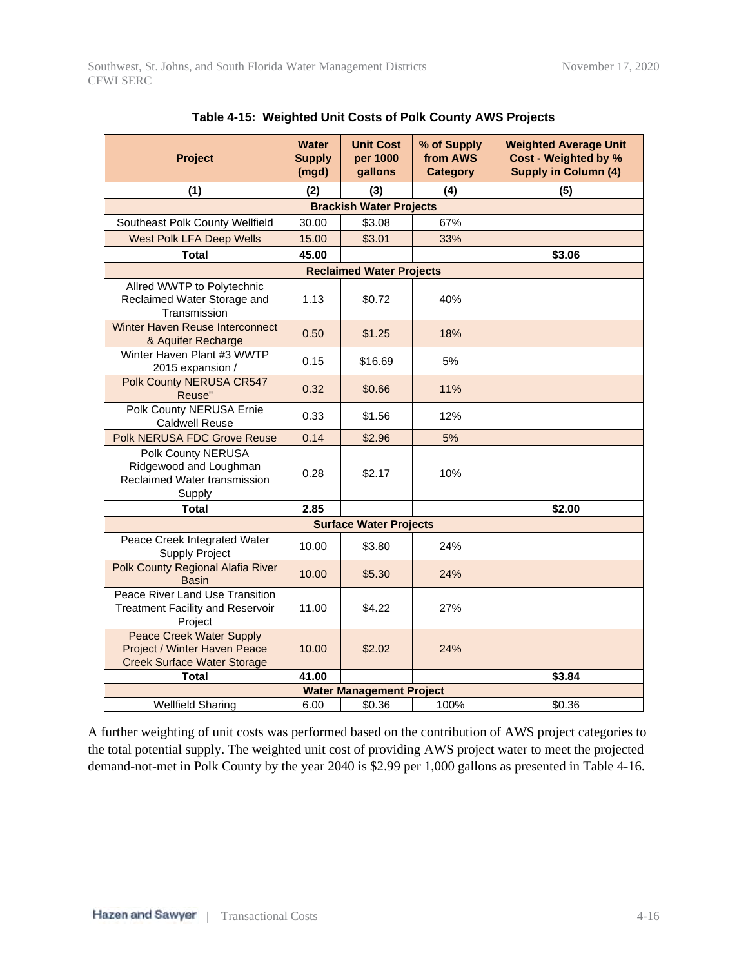| <b>Project</b>                                                                                        | <b>Water</b><br><b>Supply</b><br>(mgd) | <b>Unit Cost</b><br>per 1000<br>gallons | % of Supply<br>from AWS<br><b>Category</b> | <b>Weighted Average Unit</b><br>Cost - Weighted by %<br><b>Supply in Column (4)</b> |
|-------------------------------------------------------------------------------------------------------|----------------------------------------|-----------------------------------------|--------------------------------------------|-------------------------------------------------------------------------------------|
| (1)                                                                                                   | (2)                                    | (3)                                     | (4)                                        | (5)                                                                                 |
|                                                                                                       |                                        | <b>Brackish Water Projects</b>          |                                            |                                                                                     |
| Southeast Polk County Wellfield                                                                       | 30.00                                  | \$3.08                                  | 67%                                        |                                                                                     |
| <b>West Polk LFA Deep Wells</b>                                                                       | 15.00                                  | \$3.01                                  | 33%                                        |                                                                                     |
| <b>Total</b>                                                                                          | 45.00                                  |                                         |                                            | \$3.06                                                                              |
|                                                                                                       |                                        | <b>Reclaimed Water Projects</b>         |                                            |                                                                                     |
| Allred WWTP to Polytechnic<br>Reclaimed Water Storage and<br>Transmission                             | 1.13                                   | \$0.72                                  | 40%                                        |                                                                                     |
| Winter Haven Reuse Interconnect<br>& Aquifer Recharge                                                 | 0.50                                   | \$1.25                                  | 18%                                        |                                                                                     |
| Winter Haven Plant #3 WWTP<br>2015 expansion /                                                        | 0.15                                   | \$16.69                                 | 5%                                         |                                                                                     |
| Polk County NERUSA CR547<br>Reuse"                                                                    | 0.32                                   | \$0.66                                  | 11%                                        |                                                                                     |
| Polk County NERUSA Ernie<br><b>Caldwell Reuse</b>                                                     | 0.33                                   | \$1.56                                  | 12%                                        |                                                                                     |
| Polk NERUSA FDC Grove Reuse                                                                           | 0.14                                   | \$2.96                                  | 5%                                         |                                                                                     |
| Polk County NERUSA<br>Ridgewood and Loughman<br>Reclaimed Water transmission<br>Supply                | 0.28                                   | \$2.17                                  | 10%                                        |                                                                                     |
| <b>Total</b>                                                                                          | 2.85                                   |                                         |                                            | \$2.00                                                                              |
|                                                                                                       |                                        | <b>Surface Water Projects</b>           |                                            |                                                                                     |
| Peace Creek Integrated Water<br><b>Supply Project</b>                                                 | 10.00                                  | \$3.80                                  | 24%                                        |                                                                                     |
| Polk County Regional Alafia River<br><b>Basin</b>                                                     | 10.00                                  | \$5.30                                  | 24%                                        |                                                                                     |
| Peace River Land Use Transition<br><b>Treatment Facility and Reservoir</b><br>Project                 | 11.00                                  | \$4.22                                  | 27%                                        |                                                                                     |
| <b>Peace Creek Water Supply</b><br>Project / Winter Haven Peace<br><b>Creek Surface Water Storage</b> | 10.00                                  | \$2.02                                  | 24%                                        |                                                                                     |
| <b>Total</b>                                                                                          | 41.00                                  |                                         |                                            | \$3.84                                                                              |
|                                                                                                       |                                        | <b>Water Management Project</b>         |                                            |                                                                                     |
| <b>Wellfield Sharing</b>                                                                              | 6.00                                   | \$0.36                                  | 100%                                       | \$0.36                                                                              |

|  |  | Table 4-15:  Weighted Unit Costs of Polk County AWS Projects |  |  |  |
|--|--|--------------------------------------------------------------|--|--|--|
|--|--|--------------------------------------------------------------|--|--|--|

A further weighting of unit costs was performed based on the contribution of AWS project categories to the total potential supply. The weighted unit cost of providing AWS project water to meet the projected demand-not-met in Polk County by the year 2040 is \$2.99 per 1,000 gallons as presented in Table 4-16.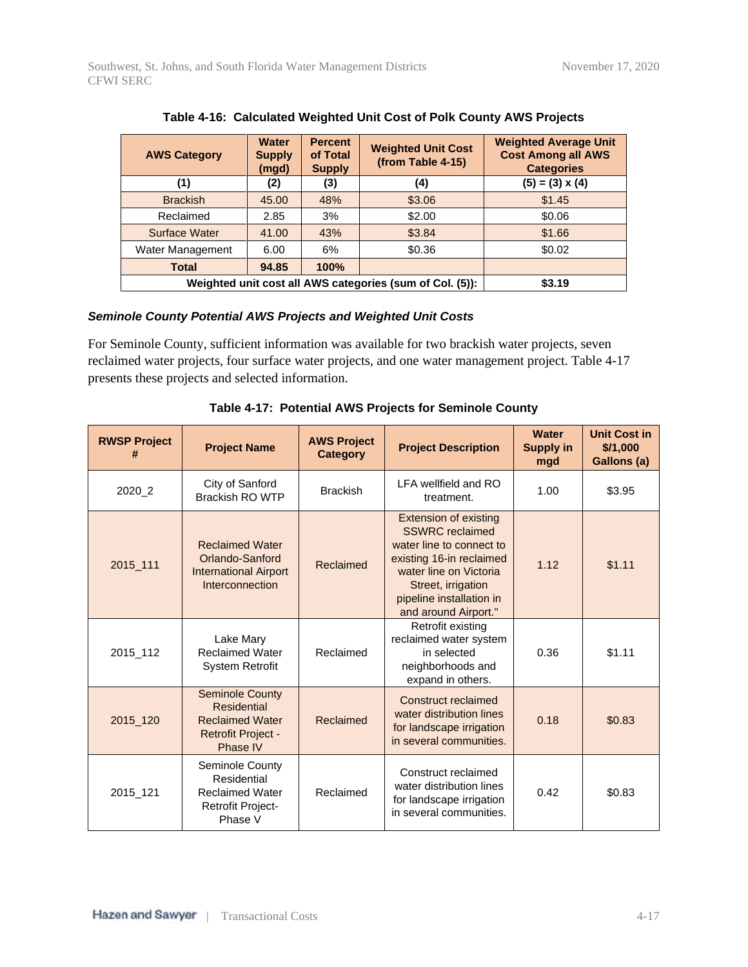| <b>AWS Category</b>                                      | <b>Water</b><br><b>Supply</b><br>(mgd) | <b>Percent</b><br>of Total<br><b>Supply</b> | <b>Weighted Unit Cost</b><br>(from Table 4-15) | <b>Weighted Average Unit</b><br><b>Cost Among all AWS</b><br><b>Categories</b> |
|----------------------------------------------------------|----------------------------------------|---------------------------------------------|------------------------------------------------|--------------------------------------------------------------------------------|
| (1)                                                      | (2)                                    | (3)                                         | (4)                                            | $(5) = (3) \times (4)$                                                         |
| <b>Brackish</b>                                          | 45.00                                  | 48%                                         | \$3.06                                         | \$1.45                                                                         |
| Reclaimed                                                | 2.85                                   | 3%                                          | \$2.00                                         | \$0.06                                                                         |
| Surface Water                                            | 41.00                                  | 43%                                         | \$3.84                                         | \$1.66                                                                         |
| Water Management                                         | 6.00                                   | 6%                                          | \$0.36                                         | \$0.02                                                                         |
| <b>Total</b>                                             | 94.85                                  | 100%                                        |                                                |                                                                                |
| Weighted unit cost all AWS categories (sum of Col. (5)): | \$3.19                                 |                                             |                                                |                                                                                |

#### **Table 4-16: Calculated Weighted Unit Cost of Polk County AWS Projects**

#### *Seminole County Potential AWS Projects and Weighted Unit Costs*

For Seminole County, sufficient information was available for two brackish water projects, seven reclaimed water projects, four surface water projects, and one water management project. Table 4-17 presents these projects and selected information.

| <b>RWSP Project</b><br># | <b>Project Name</b>                                                                                             | <b>AWS Project</b><br><b>Category</b> | <b>Project Description</b>                                                                                                                                                                                         | <b>Water</b><br><b>Supply in</b><br>mgd | <b>Unit Cost in</b><br>\$/1,000<br>Gallons (a) |
|--------------------------|-----------------------------------------------------------------------------------------------------------------|---------------------------------------|--------------------------------------------------------------------------------------------------------------------------------------------------------------------------------------------------------------------|-----------------------------------------|------------------------------------------------|
| 2020_2                   | City of Sanford<br><b>Brackish RO WTP</b>                                                                       | <b>Brackish</b>                       | LFA wellfield and RO<br>treatment.                                                                                                                                                                                 | 1.00                                    | \$3.95                                         |
| 2015 111                 | <b>Reclaimed Water</b><br>Orlando-Sanford<br><b>International Airport</b><br>Interconnection                    | Reclaimed                             | <b>Extension of existing</b><br><b>SSWRC</b> reclaimed<br>water line to connect to<br>existing 16-in reclaimed<br>water line on Victoria<br>Street, irrigation<br>pipeline installation in<br>and around Airport." | 1.12                                    | \$1.11                                         |
| 2015_112                 | Lake Mary<br><b>Reclaimed Water</b><br><b>System Retrofit</b>                                                   | Reclaimed                             | Retrofit existing<br>reclaimed water system<br>in selected<br>neighborhoods and<br>expand in others.                                                                                                               | 0.36                                    | \$1.11                                         |
| 2015_120                 | <b>Seminole County</b><br><b>Residential</b><br><b>Reclaimed Water</b><br><b>Retrofit Project -</b><br>Phase IV | Reclaimed                             | Construct reclaimed<br>water distribution lines<br>for landscape irrigation<br>in several communities.                                                                                                             | 0.18                                    | \$0.83                                         |
| 2015_121                 | Seminole County<br>Residential<br><b>Reclaimed Water</b><br><b>Retrofit Project-</b><br>Phase V                 | Reclaimed                             | Construct reclaimed<br>water distribution lines<br>for landscape irrigation<br>in several communities.                                                                                                             | 0.42                                    | \$0.83                                         |

**Table 4-17: Potential AWS Projects for Seminole County**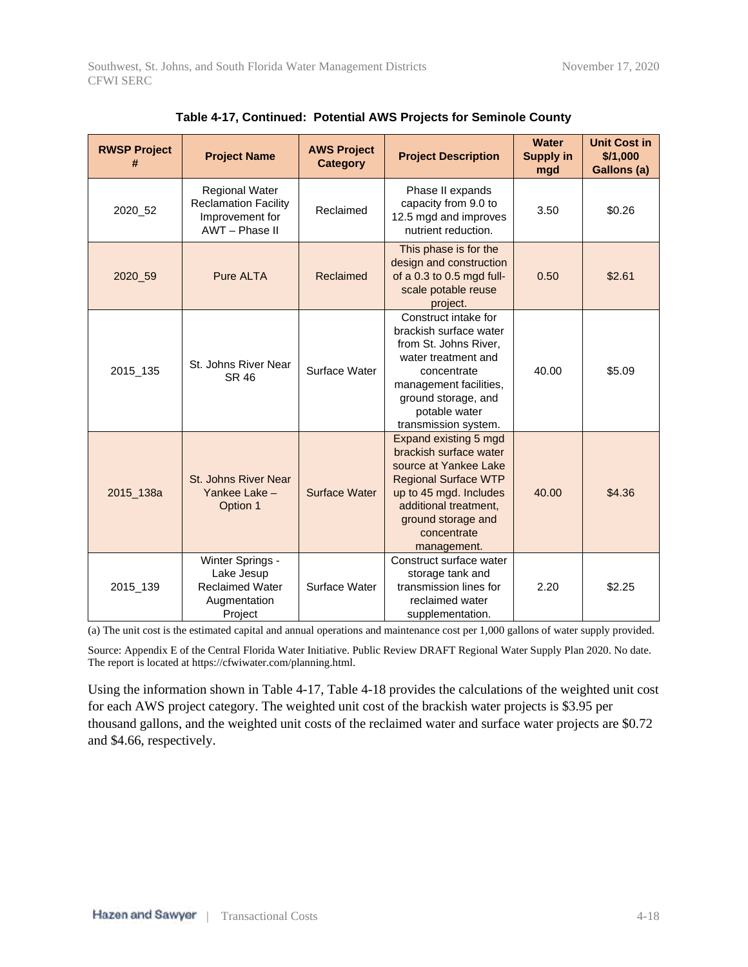| <b>RWSP Project</b><br># | <b>Project Name</b>                                                                       | <b>AWS Project</b><br><b>Category</b> | <b>Project Description</b>                                                                                                                                                                                     | <b>Water</b><br><b>Supply in</b><br>mgd | <b>Unit Cost in</b><br>\$/1,000<br>Gallons (a) |
|--------------------------|-------------------------------------------------------------------------------------------|---------------------------------------|----------------------------------------------------------------------------------------------------------------------------------------------------------------------------------------------------------------|-----------------------------------------|------------------------------------------------|
| 2020_52                  | <b>Regional Water</b><br><b>Reclamation Facility</b><br>Improvement for<br>AWT - Phase II | Reclaimed                             | Phase II expands<br>capacity from 9.0 to<br>12.5 mgd and improves<br>nutrient reduction.                                                                                                                       | 3.50                                    | \$0.26                                         |
| 2020_59                  | <b>Pure ALTA</b>                                                                          | Reclaimed                             | This phase is for the<br>design and construction<br>of a 0.3 to 0.5 mgd full-<br>scale potable reuse<br>project.                                                                                               | 0.50                                    | \$2.61                                         |
| 2015_135                 | St. Johns River Near<br>SR 46                                                             | Surface Water                         | Construct intake for<br>brackish surface water<br>from St. Johns River,<br>water treatment and<br>concentrate<br>management facilities,<br>ground storage, and<br>potable water<br>transmission system.        | 40.00                                   | \$5.09                                         |
| 2015_138a                | St. Johns River Near<br>Yankee Lake -<br>Option 1                                         | Surface Water                         | Expand existing 5 mgd<br>brackish surface water<br>source at Yankee Lake<br><b>Regional Surface WTP</b><br>up to 45 mgd. Includes<br>additional treatment,<br>ground storage and<br>concentrate<br>management. | 40.00                                   | \$4.36                                         |
| 2015_139                 | Winter Springs -<br>Lake Jesup<br><b>Reclaimed Water</b><br>Augmentation<br>Project       | Surface Water                         | Construct surface water<br>storage tank and<br>transmission lines for<br>reclaimed water<br>supplementation.                                                                                                   | 2.20                                    | \$2.25                                         |

|  | Table 4-17, Continued: Potential AWS Projects for Seminole County |  |
|--|-------------------------------------------------------------------|--|
|--|-------------------------------------------------------------------|--|

(a) The unit cost is the estimated capital and annual operations and maintenance cost per 1,000 gallons of water supply provided.

Source: Appendix E of the Central Florida Water Initiative. Public Review DRAFT Regional Water Supply Plan 2020. No date. The report is located at https://cfwiwater.com/planning.html.

Using the information shown in Table 4-17, Table 4-18 provides the calculations of the weighted unit cost for each AWS project category. The weighted unit cost of the brackish water projects is \$3.95 per thousand gallons, and the weighted unit costs of the reclaimed water and surface water projects are \$0.72 and \$4.66, respectively.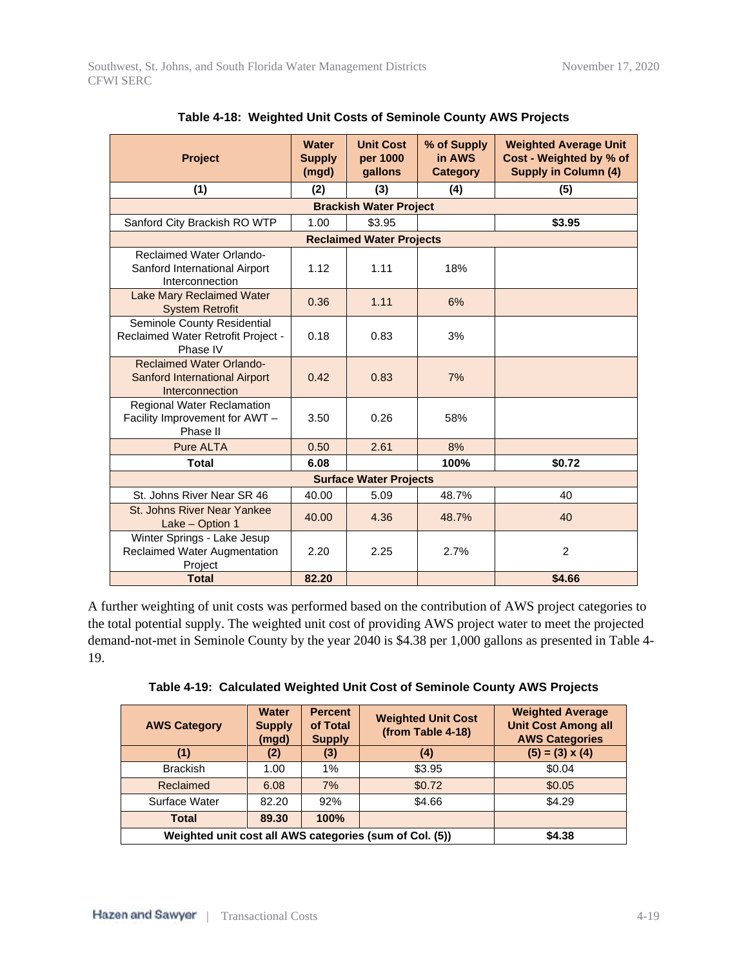| <b>Project</b><br>(1)                                                                      | <b>Water</b><br><b>Supply</b><br>(mgd)<br>(2) | <b>Unit Cost</b><br>per 1000<br>gallons<br>(3)<br><b>Brackish Water Project</b> | % of Supply<br>in AWS<br><b>Category</b><br>(4) | <b>Weighted Average Unit</b><br>Cost - Weighted by % of<br><b>Supply in Column (4)</b><br>(5) |
|--------------------------------------------------------------------------------------------|-----------------------------------------------|---------------------------------------------------------------------------------|-------------------------------------------------|-----------------------------------------------------------------------------------------------|
| Sanford City Brackish RO WTP                                                               | 1.00                                          | \$3.95                                                                          |                                                 | \$3.95                                                                                        |
|                                                                                            |                                               | <b>Reclaimed Water Projects</b>                                                 |                                                 |                                                                                               |
| <b>Reclaimed Water Orlando-</b><br>Sanford International Airport<br>Interconnection        | 1.12                                          | 1.11                                                                            | 18%                                             |                                                                                               |
| <b>Lake Mary Reclaimed Water</b><br><b>System Retrofit</b>                                 | 0.36                                          | 1.11                                                                            | 6%                                              |                                                                                               |
| Seminole County Residential<br>Reclaimed Water Retrofit Project -<br>Phase IV              | 0.18                                          | 0.83                                                                            | 3%                                              |                                                                                               |
| <b>Reclaimed Water Orlando-</b><br><b>Sanford International Airport</b><br>Interconnection | 0.42                                          | 0.83                                                                            | 7%                                              |                                                                                               |
| <b>Regional Water Reclamation</b><br>Facility Improvement for AWT -<br>Phase II            | 3.50                                          | 0.26                                                                            | 58%                                             |                                                                                               |
| <b>Pure ALTA</b>                                                                           | 0.50                                          | 2.61                                                                            | 8%                                              |                                                                                               |
| <b>Total</b>                                                                               | 6.08                                          |                                                                                 | 100%                                            | \$0.72                                                                                        |
|                                                                                            |                                               | <b>Surface Water Projects</b>                                                   |                                                 |                                                                                               |
| St. Johns River Near SR 46                                                                 | 40.00                                         | 5.09                                                                            | 48.7%                                           | 40                                                                                            |
| <b>St. Johns River Near Yankee</b><br>Lake - Option 1                                      | 40.00                                         | 4.36                                                                            | 48.7%                                           | 40                                                                                            |
| Winter Springs - Lake Jesup<br>Reclaimed Water Augmentation<br>Project                     | 2.20                                          | 2.25                                                                            | 2.7%                                            | 2                                                                                             |
| <b>Total</b>                                                                               | 82.20                                         |                                                                                 |                                                 | \$4.66                                                                                        |

| Table 4-18: Weighted Unit Costs of Seminole County AWS Projects |  |  |
|-----------------------------------------------------------------|--|--|
|-----------------------------------------------------------------|--|--|

A further weighting of unit costs was performed based on the contribution of AWS project categories to the total potential supply. The weighted unit cost of providing AWS project water to meet the projected demand-not-met in Seminole County by the year 2040 is \$4.38 per 1,000 gallons as presented in Table 4- 19.

|  |  | Table 4-19: Calculated Weighted Unit Cost of Seminole County AWS Projects |  |  |
|--|--|---------------------------------------------------------------------------|--|--|
|  |  |                                                                           |  |  |

| <b>AWS Category</b>                                     | <b>Water</b><br><b>Supply</b><br>(mgd) | <b>Percent</b><br>of Total<br><b>Supply</b> | <b>Weighted Unit Cost</b><br>(from Table 4-18) | <b>Weighted Average</b><br><b>Unit Cost Among all</b><br><b>AWS Categories</b> |
|---------------------------------------------------------|----------------------------------------|---------------------------------------------|------------------------------------------------|--------------------------------------------------------------------------------|
| (1)                                                     | (2)                                    | (3)                                         | (4)                                            | $(5) = (3) \times (4)$                                                         |
| <b>Brackish</b>                                         | 1.00                                   | 1%                                          | \$3.95                                         | \$0.04                                                                         |
| Reclaimed                                               | 6.08                                   | 7%                                          | \$0.72                                         | \$0.05                                                                         |
| Surface Water                                           | 82.20                                  | 92%                                         | \$4.66                                         | \$4.29                                                                         |
| <b>Total</b>                                            | 89.30                                  | 100%                                        |                                                |                                                                                |
| Weighted unit cost all AWS categories (sum of Col. (5)) | \$4.38                                 |                                             |                                                |                                                                                |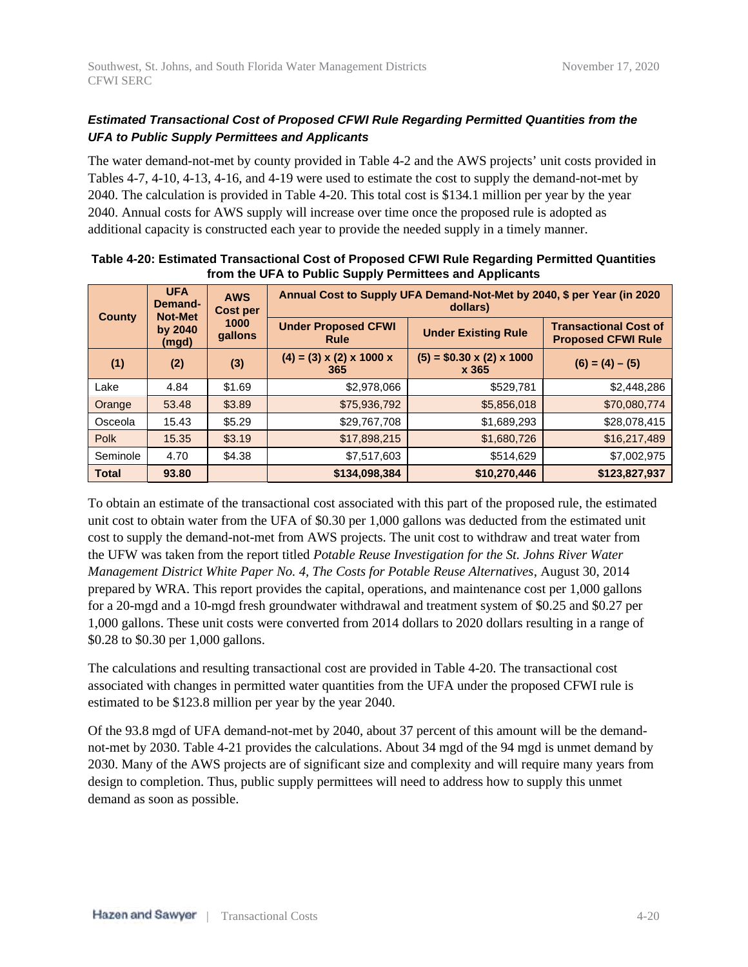#### *Estimated Transactional Cost of Proposed CFWI Rule Regarding Permitted Quantities from the UFA to Public Supply Permittees and Applicants*

The water demand-not-met by county provided in Table 4-2 and the AWS projects' unit costs provided in Tables 4-7, 4-10, 4-13, 4-16, and 4-19 were used to estimate the cost to supply the demand-not-met by 2040. The calculation is provided in Table 4-20. This total cost is \$134.1 million per year by the year 2040. Annual costs for AWS supply will increase over time once the proposed rule is adopted as additional capacity is constructed each year to provide the needed supply in a timely manner.

| County       | <b>UFA</b><br>Demand-<br><b>Not-Met</b> | <b>AWS</b><br>Cost per | Annual Cost to Supply UFA Demand-Not-Met by 2040, \$ per Year (in 2020<br>dollars) |                                               |                                                           |  |
|--------------|-----------------------------------------|------------------------|------------------------------------------------------------------------------------|-----------------------------------------------|-----------------------------------------------------------|--|
|              | by 2040<br><u>(mgd)</u>                 | 1000<br>qallons        | <b>Under Proposed CFWI</b><br><b>Under Existing Rule</b><br>Rule                   |                                               | <b>Transactional Cost of</b><br><b>Proposed CFWI Rule</b> |  |
| (1)          | (2)                                     | (3)                    | $(4) = (3) \times (2) \times 1000 \times$<br>365                                   | $(5) = $0.30 \times (2) \times 1000$<br>x 365 | $(6) = (4) - (5)$                                         |  |
| Lake         | 4.84                                    | \$1.69                 | \$2,978,066                                                                        | \$529,781                                     | \$2,448,286                                               |  |
| Orange       | 53.48                                   | \$3.89                 | \$75,936,792                                                                       | \$5,856,018                                   | \$70,080,774                                              |  |
| Osceola      | 15.43                                   | \$5.29                 | \$29,767,708                                                                       | \$1,689,293                                   | \$28,078,415                                              |  |
| Polk         | 15.35                                   | \$3.19                 | \$17,898,215                                                                       | \$1,680,726                                   | \$16,217,489                                              |  |
| Seminole     | 4.70                                    | \$4.38                 | \$7,517,603                                                                        | \$514,629                                     | \$7,002,975                                               |  |
| <b>Total</b> | 93.80                                   |                        | \$134,098,384                                                                      | \$10,270,446                                  | \$123,827,937                                             |  |

| Table 4-20: Estimated Transactional Cost of Proposed CFWI Rule Regarding Permitted Quantities |
|-----------------------------------------------------------------------------------------------|
| from the UFA to Public Supply Permittees and Applicants                                       |

To obtain an estimate of the transactional cost associated with this part of the proposed rule, the estimated unit cost to obtain water from the UFA of \$0.30 per 1,000 gallons was deducted from the estimated unit cost to supply the demand-not-met from AWS projects. The unit cost to withdraw and treat water from the UFW was taken from the report titled *Potable Reuse Investigation for the St. Johns River Water Management District White Paper No. 4, The Costs for Potable Reuse Alternatives*, August 30, 2014 prepared by WRA. This report provides the capital, operations, and maintenance cost per 1,000 gallons for a 20-mgd and a 10-mgd fresh groundwater withdrawal and treatment system of \$0.25 and \$0.27 per 1,000 gallons. These unit costs were converted from 2014 dollars to 2020 dollars resulting in a range of \$0.28 to \$0.30 per 1,000 gallons.

The calculations and resulting transactional cost are provided in Table 4-20. The transactional cost associated with changes in permitted water quantities from the UFA under the proposed CFWI rule is estimated to be \$123.8 million per year by the year 2040.

Of the 93.8 mgd of UFA demand-not-met by 2040, about 37 percent of this amount will be the demandnot-met by 2030. Table 4-21 provides the calculations. About 34 mgd of the 94 mgd is unmet demand by 2030. Many of the AWS projects are of significant size and complexity and will require many years from design to completion. Thus, public supply permittees will need to address how to supply this unmet demand as soon as possible.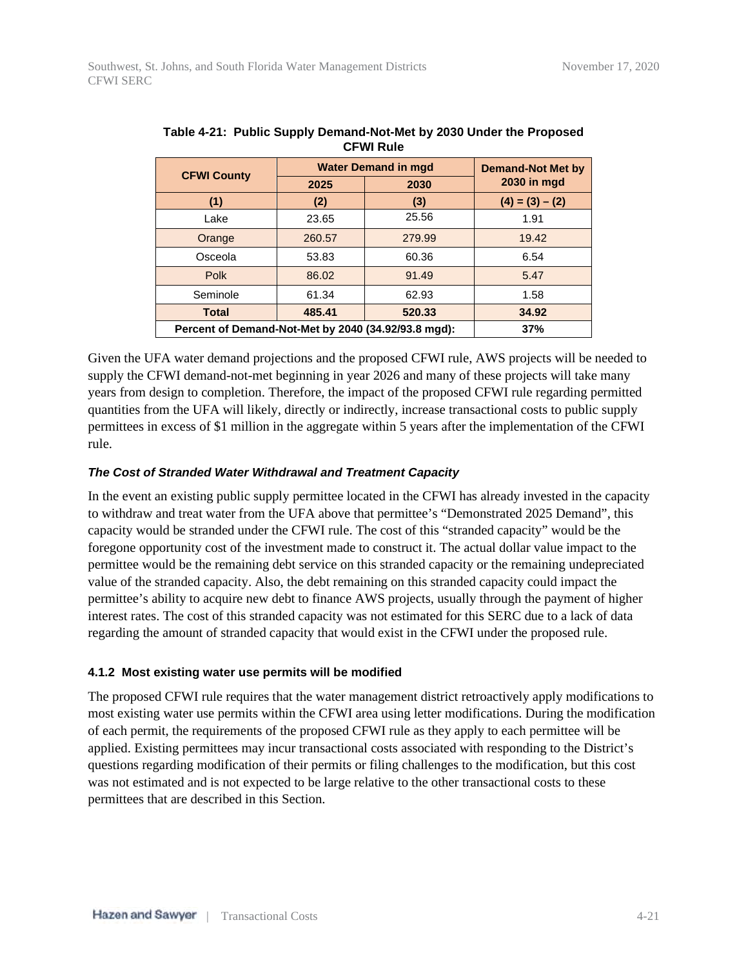| <b>CFWI County</b>                                  | <b>Water Demand in mgd</b> | <b>Demand-Not Met by</b> |                    |
|-----------------------------------------------------|----------------------------|--------------------------|--------------------|
|                                                     | 2025                       | 2030                     | <b>2030 in mgd</b> |
| (1)                                                 | (2)                        | (3)                      | $(4) = (3) - (2)$  |
| Lake                                                | 23.65                      | 25.56                    | 1.91               |
| Orange                                              | 260.57                     | 279.99                   | 19.42              |
| Osceola                                             | 53.83                      | 60.36                    | 6.54               |
| Polk                                                | 86.02                      | 91.49                    | 5.47               |
| Seminole                                            | 61.34                      | 62.93                    | 1.58               |
| <b>Total</b>                                        | 485.41                     | 520.33                   | 34.92              |
| Percent of Demand-Not-Met by 2040 (34.92/93.8 mgd): | 37%                        |                          |                    |

| Table 4-21: Public Supply Demand-Not-Met by 2030 Under the Proposed |  |
|---------------------------------------------------------------------|--|
| <b>CFWI Rule</b>                                                    |  |

Given the UFA water demand projections and the proposed CFWI rule, AWS projects will be needed to supply the CFWI demand-not-met beginning in year 2026 and many of these projects will take many years from design to completion. Therefore, the impact of the proposed CFWI rule regarding permitted quantities from the UFA will likely, directly or indirectly, increase transactional costs to public supply permittees in excess of \$1 million in the aggregate within 5 years after the implementation of the CFWI rule.

#### *The Cost of Stranded Water Withdrawal and Treatment Capacity*

In the event an existing public supply permittee located in the CFWI has already invested in the capacity to withdraw and treat water from the UFA above that permittee's "Demonstrated 2025 Demand", this capacity would be stranded under the CFWI rule. The cost of this "stranded capacity" would be the foregone opportunity cost of the investment made to construct it. The actual dollar value impact to the permittee would be the remaining debt service on this stranded capacity or the remaining undepreciated value of the stranded capacity. Also, the debt remaining on this stranded capacity could impact the permittee's ability to acquire new debt to finance AWS projects, usually through the payment of higher interest rates. The cost of this stranded capacity was not estimated for this SERC due to a lack of data regarding the amount of stranded capacity that would exist in the CFWI under the proposed rule.

#### **4.1.2 Most existing water use permits will be modified**

The proposed CFWI rule requires that the water management district retroactively apply modifications to most existing water use permits within the CFWI area using letter modifications. During the modification of each permit, the requirements of the proposed CFWI rule as they apply to each permittee will be applied. Existing permittees may incur transactional costs associated with responding to the District's questions regarding modification of their permits or filing challenges to the modification, but this cost was not estimated and is not expected to be large relative to the other transactional costs to these permittees that are described in this Section.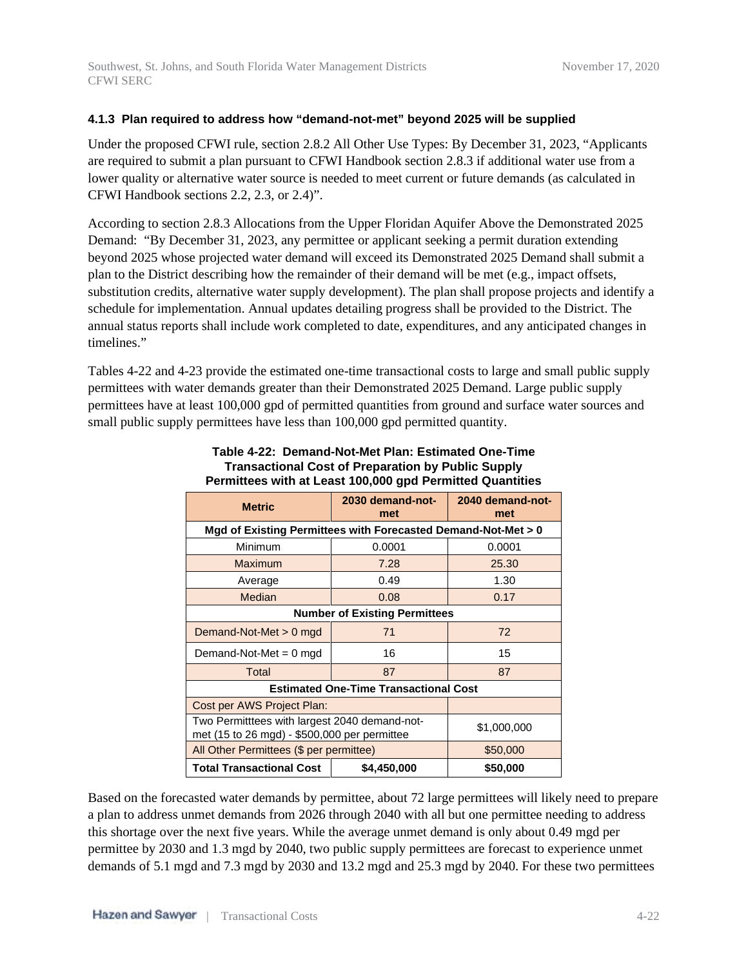#### **4.1.3 Plan required to address how "demand-not-met" beyond 2025 will be supplied**

Under the proposed CFWI rule, section 2.8.2 All Other Use Types: By December 31, 2023, "Applicants are required to submit a plan pursuant to CFWI Handbook section 2.8.3 if additional water use from a lower quality or alternative water source is needed to meet current or future demands (as calculated in CFWI Handbook sections 2.2, 2.3, or 2.4)".

According to section 2.8.3 Allocations from the Upper Floridan Aquifer Above the Demonstrated 2025 Demand: "By December 31, 2023, any permittee or applicant seeking a permit duration extending beyond 2025 whose projected water demand will exceed its Demonstrated 2025 Demand shall submit a plan to the District describing how the remainder of their demand will be met (e.g., impact offsets, substitution credits, alternative water supply development). The plan shall propose projects and identify a schedule for implementation. Annual updates detailing progress shall be provided to the District. The annual status reports shall include work completed to date, expenditures, and any anticipated changes in timelines."

Tables 4-22 and 4-23 provide the estimated one-time transactional costs to large and small public supply permittees with water demands greater than their Demonstrated 2025 Demand. Large public supply permittees have at least 100,000 gpd of permitted quantities from ground and surface water sources and small public supply permittees have less than 100,000 gpd permitted quantity.

|                                                                                               | at model tooled about t                      |                         |  |  |  |
|-----------------------------------------------------------------------------------------------|----------------------------------------------|-------------------------|--|--|--|
| <b>Metric</b>                                                                                 | 2030 demand-not-<br>met                      | 2040 demand-not-<br>met |  |  |  |
| Mgd of Existing Permittees with Forecasted Demand-Not-Met > 0                                 |                                              |                         |  |  |  |
| Minimum                                                                                       | 0.0001                                       | 0.0001                  |  |  |  |
| Maximum                                                                                       | 7.28                                         | 25.30                   |  |  |  |
| Average                                                                                       | 0.49                                         | 1.30                    |  |  |  |
| Median                                                                                        | 0.08                                         | 0.17                    |  |  |  |
|                                                                                               | <b>Number of Existing Permittees</b>         |                         |  |  |  |
| Demand-Not-Met > 0 mgd                                                                        | 71                                           | 72                      |  |  |  |
| Demand-Not-Met = $0$ mgd                                                                      | 16                                           | 15                      |  |  |  |
| <b>Total</b>                                                                                  | 87                                           | 87                      |  |  |  |
|                                                                                               | <b>Estimated One-Time Transactional Cost</b> |                         |  |  |  |
| Cost per AWS Project Plan:                                                                    |                                              |                         |  |  |  |
| Two Permitttees with largest 2040 demand-not-<br>met (15 to 26 mgd) - \$500,000 per permittee | \$1,000,000                                  |                         |  |  |  |
| All Other Permittees (\$ per permittee)                                                       | \$50,000                                     |                         |  |  |  |
| <b>Total Transactional Cost</b>                                                               | \$4,450,000                                  | \$50,000                |  |  |  |

#### **Table 4-22: Demand-Not-Met Plan: Estimated One-Time Transactional Cost of Preparation by Public Supply Permittees with at Least 100,000 gpd Permitted Quantities**

Based on the forecasted water demands by permittee, about 72 large permittees will likely need to prepare a plan to address unmet demands from 2026 through 2040 with all but one permittee needing to address this shortage over the next five years. While the average unmet demand is only about 0.49 mgd per permittee by 2030 and 1.3 mgd by 2040, two public supply permittees are forecast to experience unmet demands of 5.1 mgd and 7.3 mgd by 2030 and 13.2 mgd and 25.3 mgd by 2040. For these two permittees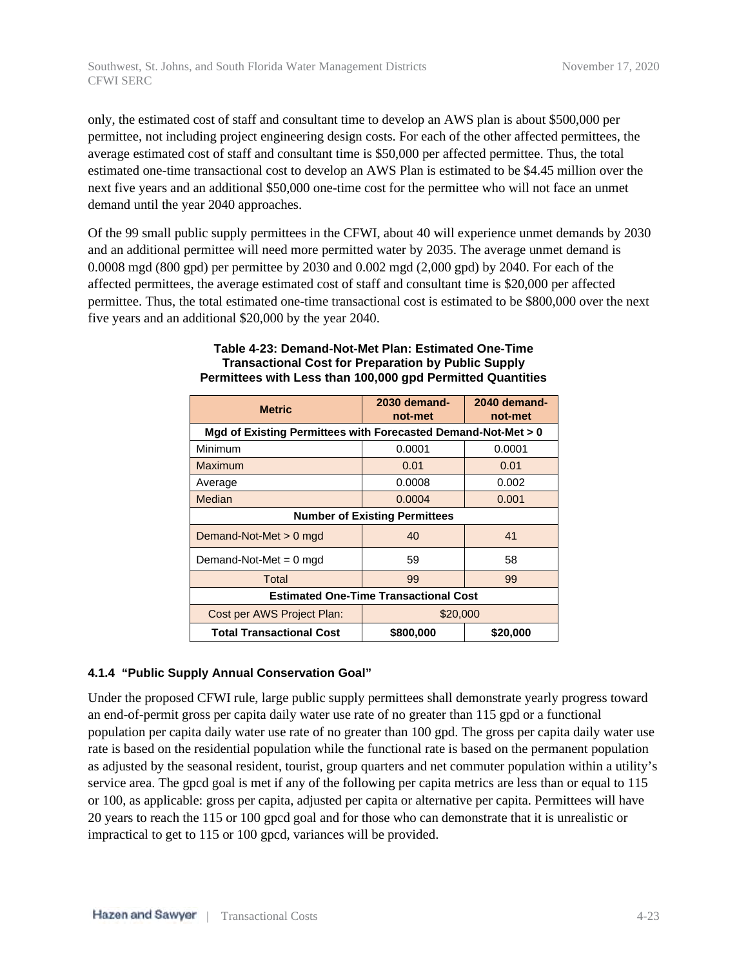only, the estimated cost of staff and consultant time to develop an AWS plan is about \$500,000 per permittee, not including project engineering design costs. For each of the other affected permittees, the average estimated cost of staff and consultant time is \$50,000 per affected permittee. Thus, the total estimated one-time transactional cost to develop an AWS Plan is estimated to be \$4.45 million over the next five years and an additional \$50,000 one-time cost for the permittee who will not face an unmet demand until the year 2040 approaches.

Of the 99 small public supply permittees in the CFWI, about 40 will experience unmet demands by 2030 and an additional permittee will need more permitted water by 2035. The average unmet demand is 0.0008 mgd (800 gpd) per permittee by 2030 and 0.002 mgd (2,000 gpd) by 2040. For each of the affected permittees, the average estimated cost of staff and consultant time is \$20,000 per affected permittee. Thus, the total estimated one-time transactional cost is estimated to be \$800,000 over the next five years and an additional \$20,000 by the year 2040.

| <b>Metric</b>                                                 | 2030 demand-<br>not-met | 2040 demand-<br>not-met |  |  |  |
|---------------------------------------------------------------|-------------------------|-------------------------|--|--|--|
| Mgd of Existing Permittees with Forecasted Demand-Not-Met > 0 |                         |                         |  |  |  |
| Minimum                                                       | 0.0001                  | 0.0001                  |  |  |  |
| Maximum                                                       | 0.01                    | 0.01                    |  |  |  |
| Average                                                       | 0.0008                  | 0.002                   |  |  |  |
| Median                                                        | 0.0004                  | 0.001                   |  |  |  |
| <b>Number of Existing Permittees</b>                          |                         |                         |  |  |  |
| Demand-Not-Met $> 0$ mgd                                      | 40                      | 41                      |  |  |  |
| Demand-Not-Met $= 0$ mgd                                      | 59                      | 58                      |  |  |  |
| Total                                                         | 99                      | 99                      |  |  |  |
| <b>Estimated One-Time Transactional Cost</b>                  |                         |                         |  |  |  |
| Cost per AWS Project Plan:                                    | \$20,000                |                         |  |  |  |
| <b>Total Transactional Cost</b>                               | \$800,000               | \$20,000                |  |  |  |

#### **Table 4-23: Demand-Not-Met Plan: Estimated One-Time Transactional Cost for Preparation by Public Supply Permittees with Less than 100,000 gpd Permitted Quantities**

#### **4.1.4 "Public Supply Annual Conservation Goal"**

Under the proposed CFWI rule, large public supply permittees shall demonstrate yearly progress toward an end-of-permit gross per capita daily water use rate of no greater than 115 gpd or a functional population per capita daily water use rate of no greater than 100 gpd. The gross per capita daily water use rate is based on the residential population while the functional rate is based on the permanent population as adjusted by the seasonal resident, tourist, group quarters and net commuter population within a utility's service area. The gpcd goal is met if any of the following per capita metrics are less than or equal to 115 or 100, as applicable: gross per capita, adjusted per capita or alternative per capita. Permittees will have 20 years to reach the 115 or 100 gpcd goal and for those who can demonstrate that it is unrealistic or impractical to get to 115 or 100 gpcd, variances will be provided.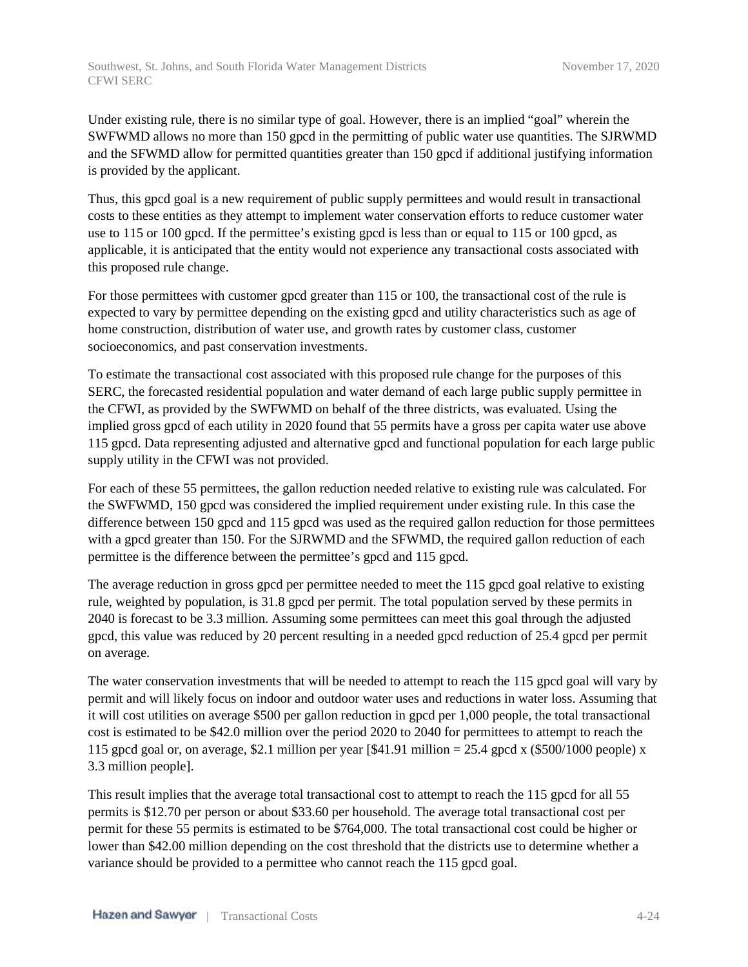Under existing rule, there is no similar type of goal. However, there is an implied "goal" wherein the SWFWMD allows no more than 150 gpcd in the permitting of public water use quantities. The SJRWMD and the SFWMD allow for permitted quantities greater than 150 gpcd if additional justifying information is provided by the applicant.

Thus, this gpcd goal is a new requirement of public supply permittees and would result in transactional costs to these entities as they attempt to implement water conservation efforts to reduce customer water use to 115 or 100 gpcd. If the permittee's existing gpcd is less than or equal to 115 or 100 gpcd, as applicable, it is anticipated that the entity would not experience any transactional costs associated with this proposed rule change.

For those permittees with customer gpcd greater than 115 or 100, the transactional cost of the rule is expected to vary by permittee depending on the existing gpcd and utility characteristics such as age of home construction, distribution of water use, and growth rates by customer class, customer socioeconomics, and past conservation investments.

To estimate the transactional cost associated with this proposed rule change for the purposes of this SERC, the forecasted residential population and water demand of each large public supply permittee in the CFWI, as provided by the SWFWMD on behalf of the three districts, was evaluated. Using the implied gross gpcd of each utility in 2020 found that 55 permits have a gross per capita water use above 115 gpcd. Data representing adjusted and alternative gpcd and functional population for each large public supply utility in the CFWI was not provided.

For each of these 55 permittees, the gallon reduction needed relative to existing rule was calculated. For the SWFWMD, 150 gpcd was considered the implied requirement under existing rule. In this case the difference between 150 gpcd and 115 gpcd was used as the required gallon reduction for those permittees with a gpcd greater than 150. For the SJRWMD and the SFWMD, the required gallon reduction of each permittee is the difference between the permittee's gpcd and 115 gpcd.

The average reduction in gross gpcd per permittee needed to meet the 115 gpcd goal relative to existing rule, weighted by population, is 31.8 gpcd per permit. The total population served by these permits in 2040 is forecast to be 3.3 million. Assuming some permittees can meet this goal through the adjusted gpcd, this value was reduced by 20 percent resulting in a needed gpcd reduction of 25.4 gpcd per permit on average.

The water conservation investments that will be needed to attempt to reach the 115 gpcd goal will vary by permit and will likely focus on indoor and outdoor water uses and reductions in water loss. Assuming that it will cost utilities on average \$500 per gallon reduction in gpcd per 1,000 people, the total transactional cost is estimated to be \$42.0 million over the period 2020 to 2040 for permittees to attempt to reach the 115 gpcd goal or, on average, \$2.1 million per year  $[$41.91$  million = 25.4 gpcd x  $$500/1000$  people) x 3.3 million people].

This result implies that the average total transactional cost to attempt to reach the 115 gpcd for all 55 permits is \$12.70 per person or about \$33.60 per household. The average total transactional cost per permit for these 55 permits is estimated to be \$764,000. The total transactional cost could be higher or lower than \$42.00 million depending on the cost threshold that the districts use to determine whether a variance should be provided to a permittee who cannot reach the 115 gpcd goal.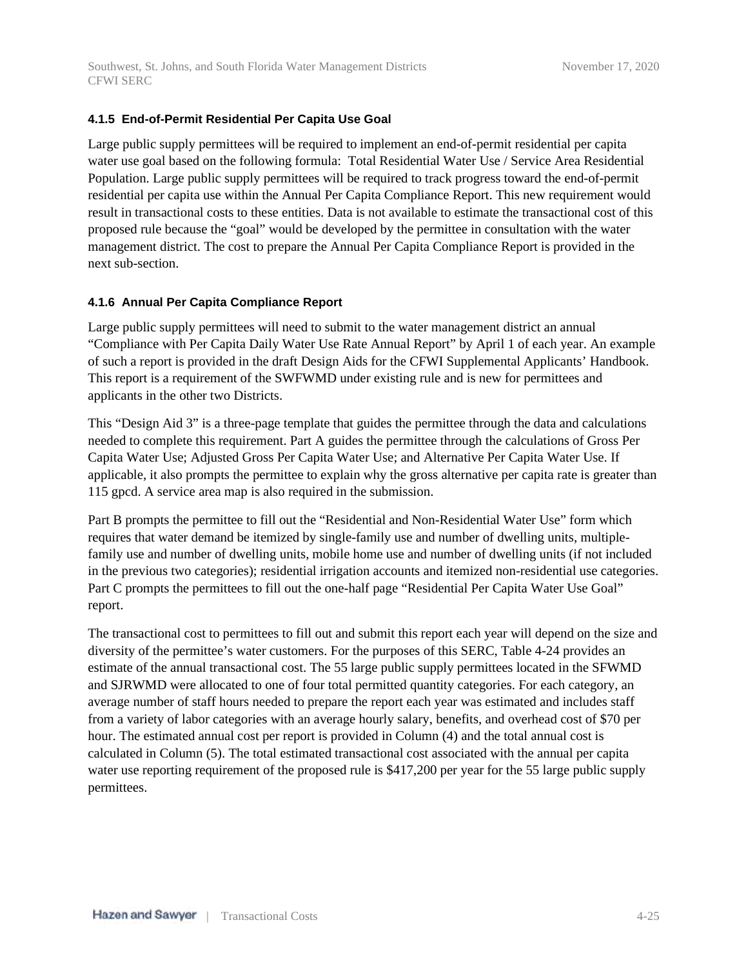#### **4.1.5 End-of-Permit Residential Per Capita Use Goal**

Large public supply permittees will be required to implement an end-of-permit residential per capita water use goal based on the following formula: Total Residential Water Use / Service Area Residential Population. Large public supply permittees will be required to track progress toward the end-of-permit residential per capita use within the Annual Per Capita Compliance Report. This new requirement would result in transactional costs to these entities. Data is not available to estimate the transactional cost of this proposed rule because the "goal" would be developed by the permittee in consultation with the water management district. The cost to prepare the Annual Per Capita Compliance Report is provided in the next sub-section.

#### **4.1.6 Annual Per Capita Compliance Report**

Large public supply permittees will need to submit to the water management district an annual "Compliance with Per Capita Daily Water Use Rate Annual Report" by April 1 of each year. An example of such a report is provided in the draft Design Aids for the CFWI Supplemental Applicants' Handbook. This report is a requirement of the SWFWMD under existing rule and is new for permittees and applicants in the other two Districts.

This "Design Aid 3" is a three-page template that guides the permittee through the data and calculations needed to complete this requirement. Part A guides the permittee through the calculations of Gross Per Capita Water Use; Adjusted Gross Per Capita Water Use; and Alternative Per Capita Water Use. If applicable, it also prompts the permittee to explain why the gross alternative per capita rate is greater than 115 gpcd. A service area map is also required in the submission.

Part B prompts the permittee to fill out the "Residential and Non-Residential Water Use" form which requires that water demand be itemized by single-family use and number of dwelling units, multiplefamily use and number of dwelling units, mobile home use and number of dwelling units (if not included in the previous two categories); residential irrigation accounts and itemized non-residential use categories. Part C prompts the permittees to fill out the one-half page "Residential Per Capita Water Use Goal" report.

The transactional cost to permittees to fill out and submit this report each year will depend on the size and diversity of the permittee's water customers. For the purposes of this SERC, Table 4-24 provides an estimate of the annual transactional cost. The 55 large public supply permittees located in the SFWMD and SJRWMD were allocated to one of four total permitted quantity categories. For each category, an average number of staff hours needed to prepare the report each year was estimated and includes staff from a variety of labor categories with an average hourly salary, benefits, and overhead cost of \$70 per hour. The estimated annual cost per report is provided in Column (4) and the total annual cost is calculated in Column (5). The total estimated transactional cost associated with the annual per capita water use reporting requirement of the proposed rule is \$417,200 per year for the 55 large public supply permittees.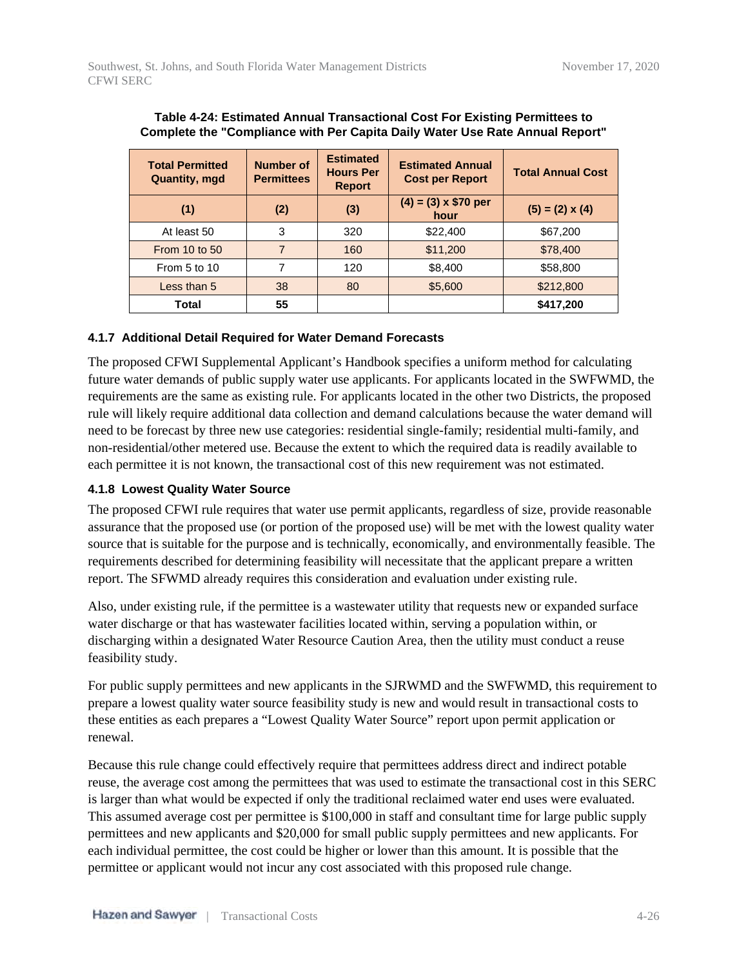| <b>Total Permitted</b><br><b>Quantity, mgd</b> | <b>Number of</b><br><b>Permittees</b> | <b>Estimated</b><br><b>Hours Per</b><br><b>Report</b> | <b>Estimated Annual</b><br><b>Cost per Report</b> | <b>Total Annual Cost</b> |
|------------------------------------------------|---------------------------------------|-------------------------------------------------------|---------------------------------------------------|--------------------------|
| (1)                                            | (2)                                   | (3)                                                   | $(4) = (3) \times $70$ per<br>hour                | $(5) = (2) \times (4)$   |
| At least 50                                    | 3                                     | 320                                                   | \$22,400                                          | \$67,200                 |
| <b>From 10 to 50</b>                           |                                       | 160                                                   | \$11,200                                          | \$78,400                 |
| From 5 to 10                                   |                                       | 120                                                   | \$8,400                                           | \$58,800                 |
| Less than 5                                    | 38                                    | 80                                                    | \$5,600                                           | \$212,800                |
| Total                                          | 55                                    |                                                       |                                                   | \$417,200                |

#### **Table 4-24: Estimated Annual Transactional Cost For Existing Permittees to Complete the "Compliance with Per Capita Daily Water Use Rate Annual Report"**

#### **4.1.7 Additional Detail Required for Water Demand Forecasts**

The proposed CFWI Supplemental Applicant's Handbook specifies a uniform method for calculating future water demands of public supply water use applicants. For applicants located in the SWFWMD, the requirements are the same as existing rule. For applicants located in the other two Districts, the proposed rule will likely require additional data collection and demand calculations because the water demand will need to be forecast by three new use categories: residential single-family; residential multi-family, and non-residential/other metered use. Because the extent to which the required data is readily available to each permittee it is not known, the transactional cost of this new requirement was not estimated.

#### **4.1.8 Lowest Quality Water Source**

The proposed CFWI rule requires that water use permit applicants, regardless of size, provide reasonable assurance that the proposed use (or portion of the proposed use) will be met with the lowest quality water source that is suitable for the purpose and is technically, economically, and environmentally feasible. The requirements described for determining feasibility will necessitate that the applicant prepare a written report. The SFWMD already requires this consideration and evaluation under existing rule.

Also, under existing rule, if the permittee is a wastewater utility that requests new or expanded surface water discharge or that has wastewater facilities located within, serving a population within, or discharging within a designated Water Resource Caution Area, then the utility must conduct a reuse feasibility study.

For public supply permittees and new applicants in the SJRWMD and the SWFWMD, this requirement to prepare a lowest quality water source feasibility study is new and would result in transactional costs to these entities as each prepares a "Lowest Quality Water Source" report upon permit application or renewal.

Because this rule change could effectively require that permittees address direct and indirect potable reuse, the average cost among the permittees that was used to estimate the transactional cost in this SERC is larger than what would be expected if only the traditional reclaimed water end uses were evaluated. This assumed average cost per permittee is \$100,000 in staff and consultant time for large public supply permittees and new applicants and \$20,000 for small public supply permittees and new applicants. For each individual permittee, the cost could be higher or lower than this amount. It is possible that the permittee or applicant would not incur any cost associated with this proposed rule change.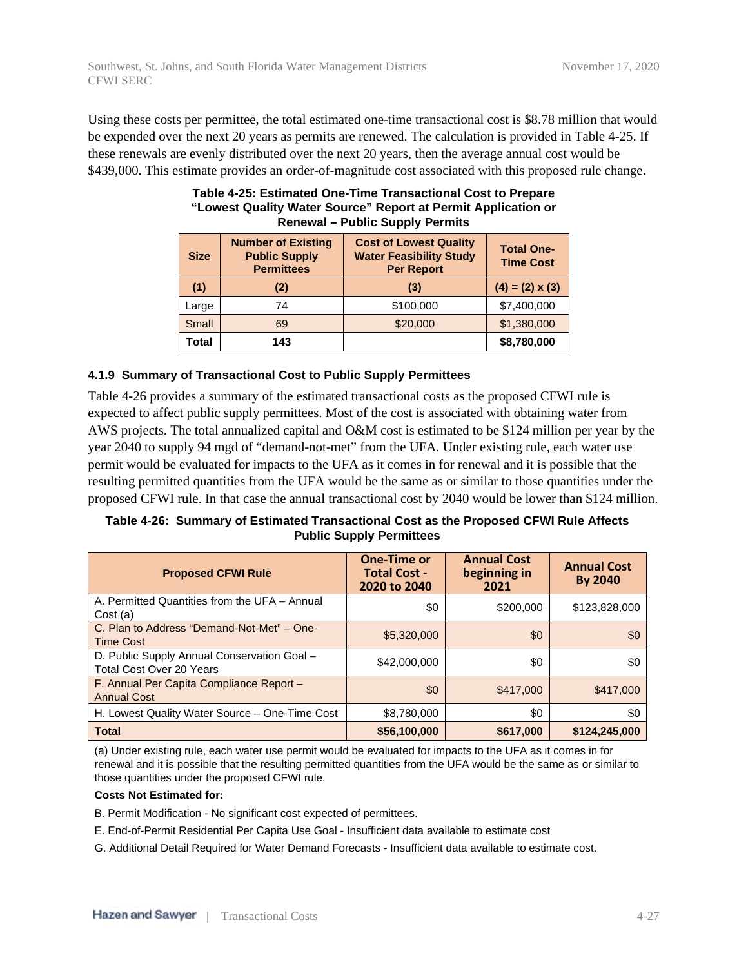Using these costs per permittee, the total estimated one-time transactional cost is \$8.78 million that would be expended over the next 20 years as permits are renewed. The calculation is provided in Table 4-25. If these renewals are evenly distributed over the next 20 years, then the average annual cost would be \$439,000. This estimate provides an order-of-magnitude cost associated with this proposed rule change.

| <b>Size</b>  | <b>Number of Existing</b><br><b>Public Supply</b><br><b>Permittees</b> | <b>Cost of Lowest Quality</b><br><b>Water Feasibility Study</b><br><b>Per Report</b> | <b>Total One-</b><br><b>Time Cost</b> |
|--------------|------------------------------------------------------------------------|--------------------------------------------------------------------------------------|---------------------------------------|
| (1)          | (2)                                                                    | (3)                                                                                  | $(4) = (2) \times (3)$                |
| Large        | 74                                                                     | \$100,000                                                                            | \$7,400,000                           |
| Small        | 69                                                                     | \$20,000                                                                             | \$1,380,000                           |
| <b>Total</b> | 143                                                                    |                                                                                      | \$8,780,000                           |

#### **Table 4-25: Estimated One-Time Transactional Cost to Prepare "Lowest Quality Water Source" Report at Permit Application or Renewal – Public Supply Permits**

#### **4.1.9 Summary of Transactional Cost to Public Supply Permittees**

Table 4-26 provides a summary of the estimated transactional costs as the proposed CFWI rule is expected to affect public supply permittees. Most of the cost is associated with obtaining water from AWS projects. The total annualized capital and O&M cost is estimated to be \$124 million per year by the year 2040 to supply 94 mgd of "demand-not-met" from the UFA. Under existing rule, each water use permit would be evaluated for impacts to the UFA as it comes in for renewal and it is possible that the resulting permitted quantities from the UFA would be the same as or similar to those quantities under the proposed CFWI rule. In that case the annual transactional cost by 2040 would be lower than \$124 million.

#### **Table 4-26: Summary of Estimated Transactional Cost as the Proposed CFWI Rule Affects Public Supply Permittees**

| <b>Proposed CFWI Rule</b>                                                      | <b>One-Time or</b><br><b>Total Cost -</b><br>2020 to 2040 | <b>Annual Cost</b><br>beginning in<br>2021 | <b>Annual Cost</b><br><b>By 2040</b> |
|--------------------------------------------------------------------------------|-----------------------------------------------------------|--------------------------------------------|--------------------------------------|
| A. Permitted Quantities from the UFA - Annual<br>Cost(a)                       | \$0                                                       | \$200,000                                  | \$123,828,000                        |
| C. Plan to Address "Demand-Not-Met" - One-<br><b>Time Cost</b>                 | \$5,320,000                                               | \$0                                        | \$0                                  |
| D. Public Supply Annual Conservation Goal -<br><b>Total Cost Over 20 Years</b> | \$42,000,000                                              | \$0                                        | \$0                                  |
| F. Annual Per Capita Compliance Report -<br><b>Annual Cost</b>                 | \$0                                                       | \$417,000                                  | \$417,000                            |
| H. Lowest Quality Water Source - One-Time Cost                                 | \$8,780,000                                               | \$0                                        | \$0                                  |
| <b>Total</b>                                                                   | \$56,100,000                                              | \$617,000                                  | \$124,245,000                        |

(a) Under existing rule, each water use permit would be evaluated for impacts to the UFA as it comes in for renewal and it is possible that the resulting permitted quantities from the UFA would be the same as or similar to those quantities under the proposed CFWI rule.

#### **Costs Not Estimated for:**

- B. Permit Modification No significant cost expected of permittees.
- E. End-of-Permit Residential Per Capita Use Goal Insufficient data available to estimate cost
- G. Additional Detail Required for Water Demand Forecasts Insufficient data available to estimate cost.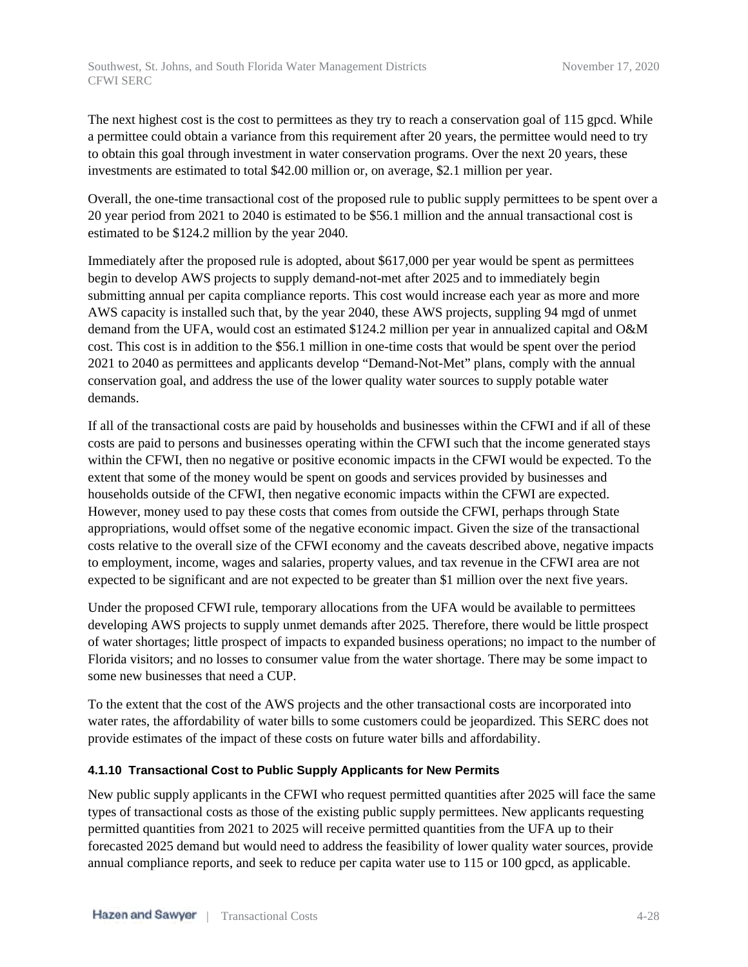The next highest cost is the cost to permittees as they try to reach a conservation goal of 115 gpcd. While a permittee could obtain a variance from this requirement after 20 years, the permittee would need to try to obtain this goal through investment in water conservation programs. Over the next 20 years, these investments are estimated to total \$42.00 million or, on average, \$2.1 million per year.

Overall, the one-time transactional cost of the proposed rule to public supply permittees to be spent over a 20 year period from 2021 to 2040 is estimated to be \$56.1 million and the annual transactional cost is estimated to be \$124.2 million by the year 2040.

Immediately after the proposed rule is adopted, about \$617,000 per year would be spent as permittees begin to develop AWS projects to supply demand-not-met after 2025 and to immediately begin submitting annual per capita compliance reports. This cost would increase each year as more and more AWS capacity is installed such that, by the year 2040, these AWS projects, suppling 94 mgd of unmet demand from the UFA, would cost an estimated \$124.2 million per year in annualized capital and O&M cost. This cost is in addition to the \$56.1 million in one-time costs that would be spent over the period 2021 to 2040 as permittees and applicants develop "Demand-Not-Met" plans, comply with the annual conservation goal, and address the use of the lower quality water sources to supply potable water demands.

If all of the transactional costs are paid by households and businesses within the CFWI and if all of these costs are paid to persons and businesses operating within the CFWI such that the income generated stays within the CFWI, then no negative or positive economic impacts in the CFWI would be expected. To the extent that some of the money would be spent on goods and services provided by businesses and households outside of the CFWI, then negative economic impacts within the CFWI are expected. However, money used to pay these costs that comes from outside the CFWI, perhaps through State appropriations, would offset some of the negative economic impact. Given the size of the transactional costs relative to the overall size of the CFWI economy and the caveats described above, negative impacts to employment, income, wages and salaries, property values, and tax revenue in the CFWI area are not expected to be significant and are not expected to be greater than \$1 million over the next five years.

Under the proposed CFWI rule, temporary allocations from the UFA would be available to permittees developing AWS projects to supply unmet demands after 2025. Therefore, there would be little prospect of water shortages; little prospect of impacts to expanded business operations; no impact to the number of Florida visitors; and no losses to consumer value from the water shortage. There may be some impact to some new businesses that need a CUP.

To the extent that the cost of the AWS projects and the other transactional costs are incorporated into water rates, the affordability of water bills to some customers could be jeopardized. This SERC does not provide estimates of the impact of these costs on future water bills and affordability.

#### **4.1.10 Transactional Cost to Public Supply Applicants for New Permits**

New public supply applicants in the CFWI who request permitted quantities after 2025 will face the same types of transactional costs as those of the existing public supply permittees. New applicants requesting permitted quantities from 2021 to 2025 will receive permitted quantities from the UFA up to their forecasted 2025 demand but would need to address the feasibility of lower quality water sources, provide annual compliance reports, and seek to reduce per capita water use to 115 or 100 gpcd, as applicable.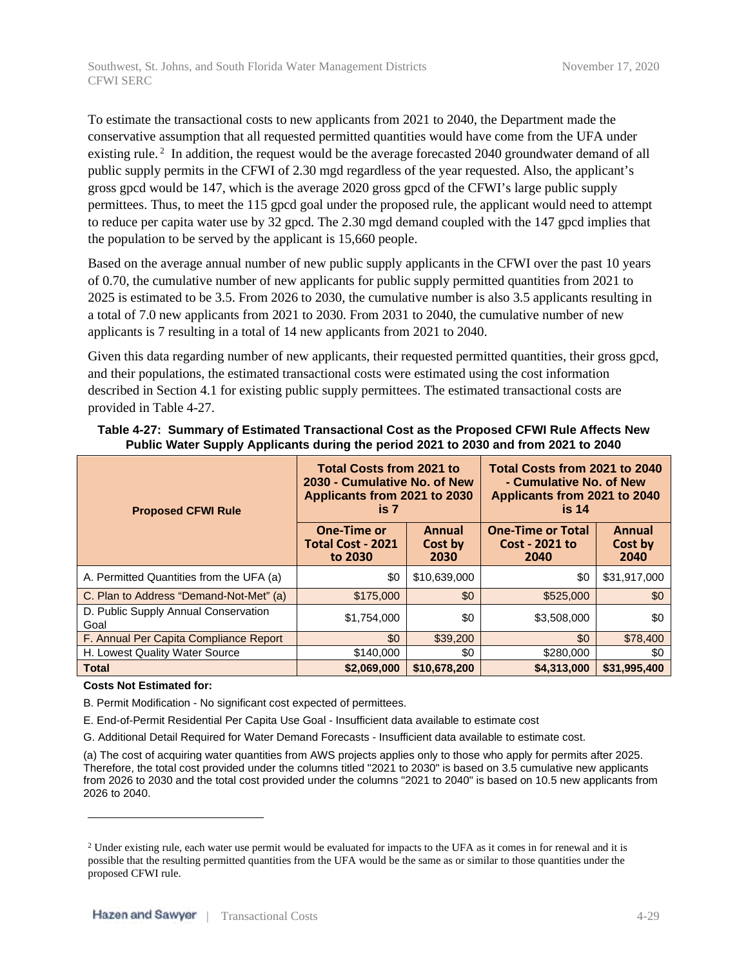To estimate the transactional costs to new applicants from 2021 to 2040, the Department made the conservative assumption that all requested permitted quantities would have come from the UFA under existing rule.<sup>2</sup> In addition, the request would be the average forecasted 2040 groundwater demand of all public supply permits in the CFWI of 2.30 mgd regardless of the year requested. Also, the applicant's gross gpcd would be 147, which is the average 2020 gross gpcd of the CFWI's large public supply permittees. Thus, to meet the 115 gpcd goal under the proposed rule, the applicant would need to attempt to reduce per capita water use by 32 gpcd. The 2.30 mgd demand coupled with the 147 gpcd implies that the population to be served by the applicant is 15,660 people.

Based on the average annual number of new public supply applicants in the CFWI over the past 10 years of 0.70, the cumulative number of new applicants for public supply permitted quantities from 2021 to 2025 is estimated to be 3.5. From 2026 to 2030, the cumulative number is also 3.5 applicants resulting in a total of 7.0 new applicants from 2021 to 2030. From 2031 to 2040, the cumulative number of new applicants is 7 resulting in a total of 14 new applicants from 2021 to 2040.

Given this data regarding number of new applicants, their requested permitted quantities, their gross gpcd, and their populations, the estimated transactional costs were estimated using the cost information described in Section 4.1 for existing public supply permittees. The estimated transactional costs are provided in Table 4-27.

| <b>Proposed CFWI Rule</b>                    | <b>Total Costs from 2021 to</b><br>2030 - Cumulative No. of New<br>Applicants from 2021 to 2030<br>is 7 |                           | Total Costs from 2021 to 2040<br>- Cumulative No. of New<br>Applicants from 2021 to 2040<br>is <sub>14</sub> |                           |
|----------------------------------------------|---------------------------------------------------------------------------------------------------------|---------------------------|--------------------------------------------------------------------------------------------------------------|---------------------------|
|                                              | One-Time or<br><b>Total Cost - 2021</b><br>to 2030                                                      | Annual<br>Cost by<br>2030 | <b>One-Time or Total</b><br>Cost - 2021 to<br>2040                                                           | Annual<br>Cost by<br>2040 |
| A. Permitted Quantities from the UFA (a)     | \$0                                                                                                     | \$10,639,000              | \$0                                                                                                          | \$31,917,000              |
| C. Plan to Address "Demand-Not-Met" (a)      | \$175,000                                                                                               | \$0                       | \$525,000                                                                                                    | \$0                       |
| D. Public Supply Annual Conservation<br>Goal | \$1,754,000                                                                                             | \$0                       | \$3,508,000                                                                                                  | \$0                       |
| F. Annual Per Capita Compliance Report       | \$0                                                                                                     | \$39,200                  | \$0                                                                                                          | \$78,400                  |
| H. Lowest Quality Water Source               | \$140,000                                                                                               | \$0                       | \$280,000                                                                                                    | \$0                       |
| <b>Total</b>                                 | \$2,069,000                                                                                             | \$10,678,200              | \$4,313,000                                                                                                  | \$31,995,400              |

**Table 4-27: Summary of Estimated Transactional Cost as the Proposed CFWI Rule Affects New Public Water Supply Applicants during the period 2021 to 2030 and from 2021 to 2040**

#### **Costs Not Estimated for:**

B. Permit Modification - No significant cost expected of permittees.

E. End-of-Permit Residential Per Capita Use Goal - Insufficient data available to estimate cost

G. Additional Detail Required for Water Demand Forecasts - Insufficient data available to estimate cost.

(a) The cost of acquiring water quantities from AWS projects applies only to those who apply for permits after 2025. Therefore, the total cost provided under the columns titled "2021 to 2030" is based on 3.5 cumulative new applicants from 2026 to 2030 and the total cost provided under the columns "2021 to 2040" is based on 10.5 new applicants from 2026 to 2040.

<sup>&</sup>lt;sup>2</sup> Under existing rule, each water use permit would be evaluated for impacts to the UFA as it comes in for renewal and it is possible that the resulting permitted quantities from the UFA would be the same as or similar to those quantities under the proposed CFWI rule.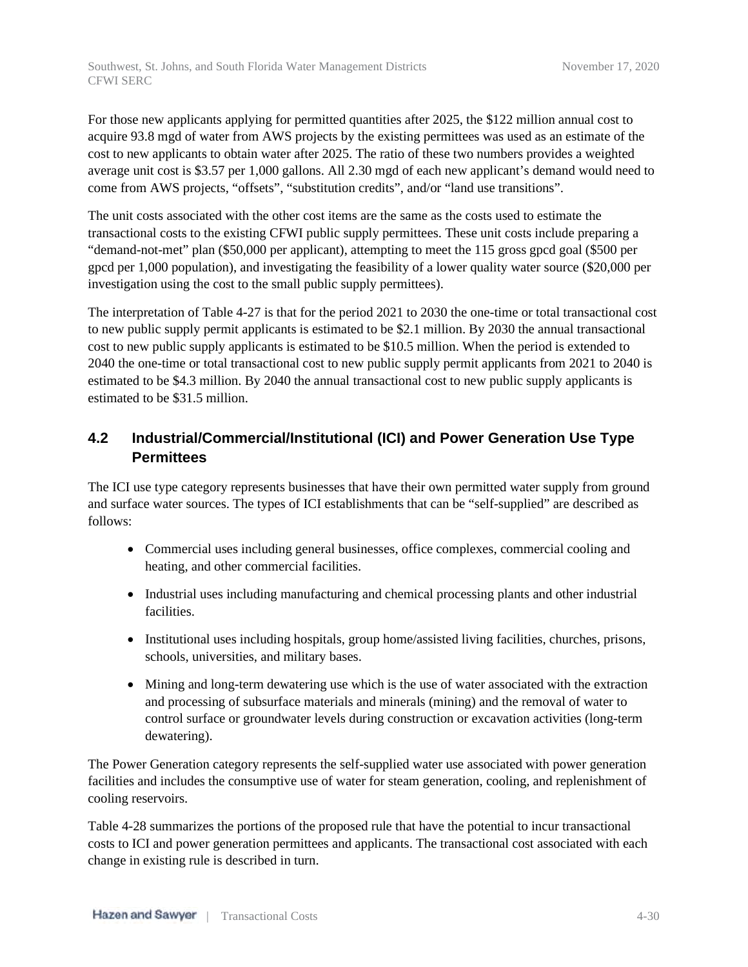Southwest, St. Johns, and South Florida Water Management Districts November 17, 2020 CFWI SERC

For those new applicants applying for permitted quantities after 2025, the \$122 million annual cost to acquire 93.8 mgd of water from AWS projects by the existing permittees was used as an estimate of the cost to new applicants to obtain water after 2025. The ratio of these two numbers provides a weighted average unit cost is \$3.57 per 1,000 gallons. All 2.30 mgd of each new applicant's demand would need to come from AWS projects, "offsets", "substitution credits", and/or "land use transitions".

The unit costs associated with the other cost items are the same as the costs used to estimate the transactional costs to the existing CFWI public supply permittees. These unit costs include preparing a "demand-not-met" plan (\$50,000 per applicant), attempting to meet the 115 gross gpcd goal (\$500 per gpcd per 1,000 population), and investigating the feasibility of a lower quality water source (\$20,000 per investigation using the cost to the small public supply permittees).

The interpretation of Table 4-27 is that for the period 2021 to 2030 the one-time or total transactional cost to new public supply permit applicants is estimated to be \$2.1 million. By 2030 the annual transactional cost to new public supply applicants is estimated to be \$10.5 million. When the period is extended to 2040 the one-time or total transactional cost to new public supply permit applicants from 2021 to 2040 is estimated to be \$4.3 million. By 2040 the annual transactional cost to new public supply applicants is estimated to be \$31.5 million.

# **4.2 Industrial/Commercial/Institutional (ICI) and Power Generation Use Type Permittees**

The ICI use type category represents businesses that have their own permitted water supply from ground and surface water sources. The types of ICI establishments that can be "self-supplied" are described as follows:

- Commercial uses including general businesses, office complexes, commercial cooling and heating, and other commercial facilities.
- Industrial uses including manufacturing and chemical processing plants and other industrial facilities.
- Institutional uses including hospitals, group home/assisted living facilities, churches, prisons, schools, universities, and military bases.
- Mining and long-term dewatering use which is the use of water associated with the extraction and processing of subsurface materials and minerals (mining) and the removal of water to control surface or groundwater levels during construction or excavation activities (long-term dewatering).

The Power Generation category represents the self-supplied water use associated with power generation facilities and includes the consumptive use of water for steam generation, cooling, and replenishment of cooling reservoirs.

Table 4-28 summarizes the portions of the proposed rule that have the potential to incur transactional costs to ICI and power generation permittees and applicants. The transactional cost associated with each change in existing rule is described in turn.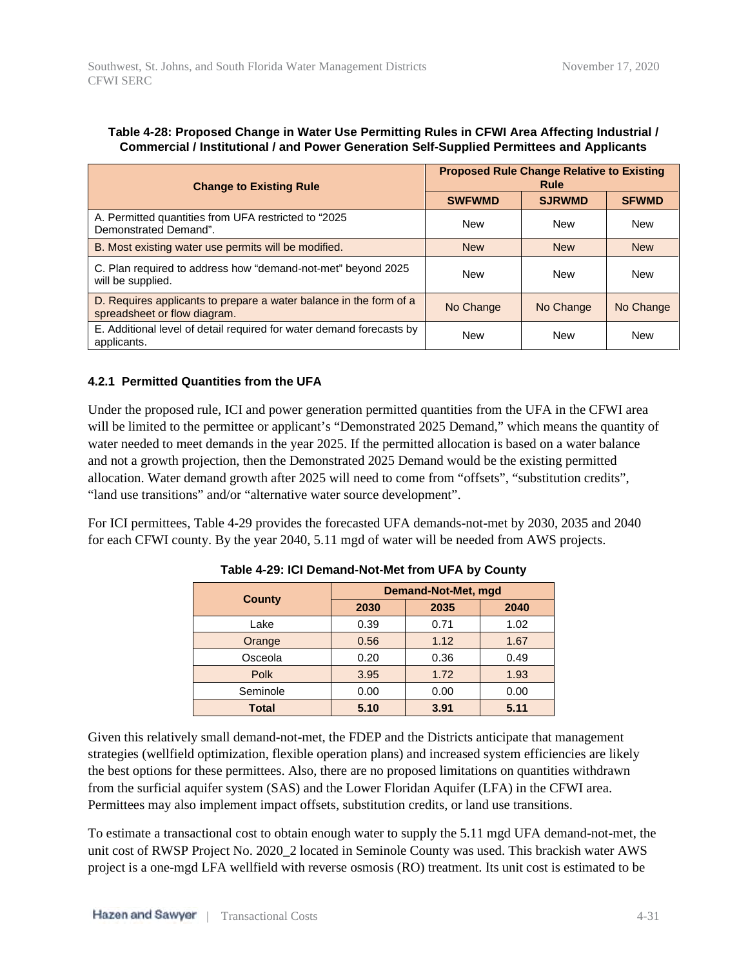| <b>Change to Existing Rule</b>                                                                     | <b>Proposed Rule Change Relative to Existing</b><br>Rule |               |              |  |
|----------------------------------------------------------------------------------------------------|----------------------------------------------------------|---------------|--------------|--|
|                                                                                                    | <b>SWFWMD</b>                                            | <b>SJRWMD</b> | <b>SFWMD</b> |  |
| A. Permitted quantities from UFA restricted to "2025"<br>Demonstrated Demand".                     | <b>New</b>                                               | <b>New</b>    | New          |  |
| B. Most existing water use permits will be modified.                                               | <b>New</b>                                               | <b>New</b>    | <b>New</b>   |  |
| C. Plan required to address how "demand-not-met" beyond 2025<br>will be supplied.                  | <b>New</b>                                               | <b>New</b>    | New          |  |
| D. Requires applicants to prepare a water balance in the form of a<br>spreadsheet or flow diagram. | No Change                                                | No Change     | No Change    |  |
| E. Additional level of detail required for water demand forecasts by<br>applicants.                | <b>New</b>                                               | <b>New</b>    | <b>New</b>   |  |

#### **Table 4-28: Proposed Change in Water Use Permitting Rules in CFWI Area Affecting Industrial / Commercial / Institutional / and Power Generation Self-Supplied Permittees and Applicants**

#### **4.2.1 Permitted Quantities from the UFA**

Under the proposed rule, ICI and power generation permitted quantities from the UFA in the CFWI area will be limited to the permittee or applicant's "Demonstrated 2025 Demand," which means the quantity of water needed to meet demands in the year 2025. If the permitted allocation is based on a water balance and not a growth projection, then the Demonstrated 2025 Demand would be the existing permitted allocation. Water demand growth after 2025 will need to come from "offsets", "substitution credits", "land use transitions" and/or "alternative water source development".

For ICI permittees, Table 4-29 provides the forecasted UFA demands-not-met by 2030, 2035 and 2040 for each CFWI county. By the year 2040, 5.11 mgd of water will be needed from AWS projects.

| County       |      | <b>Demand-Not-Met, mgd</b> |      |  |  |
|--------------|------|----------------------------|------|--|--|
|              | 2030 | 2035                       | 2040 |  |  |
| Lake         | 0.39 | 0.71                       | 1.02 |  |  |
| Orange       | 0.56 | 1.12                       | 1.67 |  |  |
| Osceola      | 0.20 | 0.36                       | 0.49 |  |  |
| <b>Polk</b>  | 3.95 | 1.72                       | 1.93 |  |  |
| Seminole     | 0.00 | 0.00                       | 0.00 |  |  |
| <b>Total</b> | 5.10 | 3.91                       | 5.11 |  |  |

**Table 4-29: ICI Demand-Not-Met from UFA by County**

Given this relatively small demand-not-met, the FDEP and the Districts anticipate that management strategies (wellfield optimization, flexible operation plans) and increased system efficiencies are likely the best options for these permittees. Also, there are no proposed limitations on quantities withdrawn from the surficial aquifer system (SAS) and the Lower Floridan Aquifer (LFA) in the CFWI area. Permittees may also implement impact offsets, substitution credits, or land use transitions.

To estimate a transactional cost to obtain enough water to supply the 5.11 mgd UFA demand-not-met, the unit cost of RWSP Project No. 2020\_2 located in Seminole County was used. This brackish water AWS project is a one-mgd LFA wellfield with reverse osmosis (RO) treatment. Its unit cost is estimated to be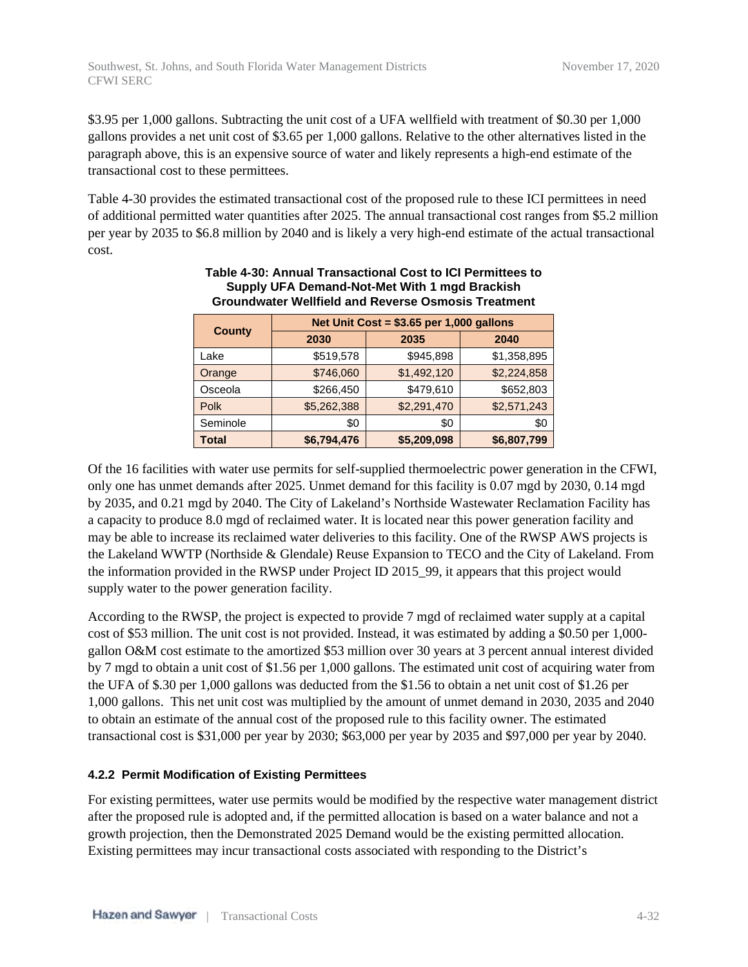\$3.95 per 1,000 gallons. Subtracting the unit cost of a UFA wellfield with treatment of \$0.30 per 1,000 gallons provides a net unit cost of \$3.65 per 1,000 gallons. Relative to the other alternatives listed in the paragraph above, this is an expensive source of water and likely represents a high-end estimate of the transactional cost to these permittees.

Table 4-30 provides the estimated transactional cost of the proposed rule to these ICI permittees in need of additional permitted water quantities after 2025. The annual transactional cost ranges from \$5.2 million per year by 2035 to \$6.8 million by 2040 and is likely a very high-end estimate of the actual transactional cost.

|               | Net Unit Cost = $$3.65$ per 1,000 gallons |             |             |  |  |  |  |
|---------------|-------------------------------------------|-------------|-------------|--|--|--|--|
| <b>County</b> | 2030                                      | 2035        | 2040        |  |  |  |  |
| Lake          | \$519,578                                 | \$945,898   | \$1,358,895 |  |  |  |  |
| Orange        | \$746,060                                 | \$1,492,120 | \$2,224,858 |  |  |  |  |
| Osceola       | \$266,450                                 | \$479,610   | \$652,803   |  |  |  |  |
| <b>Polk</b>   | \$5,262,388                               | \$2,291,470 | \$2,571,243 |  |  |  |  |
| Seminole      | \$0                                       | \$0         | \$0         |  |  |  |  |
| Total         | \$6,794,476                               | \$5,209,098 | \$6,807,799 |  |  |  |  |

#### **Table 4-30: Annual Transactional Cost to ICI Permittees to Supply UFA Demand-Not-Met With 1 mgd Brackish Groundwater Wellfield and Reverse Osmosis Treatment**

Of the 16 facilities with water use permits for self-supplied thermoelectric power generation in the CFWI, only one has unmet demands after 2025. Unmet demand for this facility is 0.07 mgd by 2030, 0.14 mgd by 2035, and 0.21 mgd by 2040. The City of Lakeland's Northside Wastewater Reclamation Facility has a capacity to produce 8.0 mgd of reclaimed water. It is located near this power generation facility and may be able to increase its reclaimed water deliveries to this facility. One of the RWSP AWS projects is the Lakeland WWTP (Northside & Glendale) Reuse Expansion to TECO and the City of Lakeland. From the information provided in the RWSP under Project ID 2015\_99, it appears that this project would supply water to the power generation facility.

According to the RWSP, the project is expected to provide 7 mgd of reclaimed water supply at a capital cost of \$53 million. The unit cost is not provided. Instead, it was estimated by adding a \$0.50 per 1,000 gallon O&M cost estimate to the amortized \$53 million over 30 years at 3 percent annual interest divided by 7 mgd to obtain a unit cost of \$1.56 per 1,000 gallons. The estimated unit cost of acquiring water from the UFA of \$.30 per 1,000 gallons was deducted from the \$1.56 to obtain a net unit cost of \$1.26 per 1,000 gallons. This net unit cost was multiplied by the amount of unmet demand in 2030, 2035 and 2040 to obtain an estimate of the annual cost of the proposed rule to this facility owner. The estimated transactional cost is \$31,000 per year by 2030; \$63,000 per year by 2035 and \$97,000 per year by 2040.

#### **4.2.2 Permit Modification of Existing Permittees**

For existing permittees, water use permits would be modified by the respective water management district after the proposed rule is adopted and, if the permitted allocation is based on a water balance and not a growth projection, then the Demonstrated 2025 Demand would be the existing permitted allocation. Existing permittees may incur transactional costs associated with responding to the District's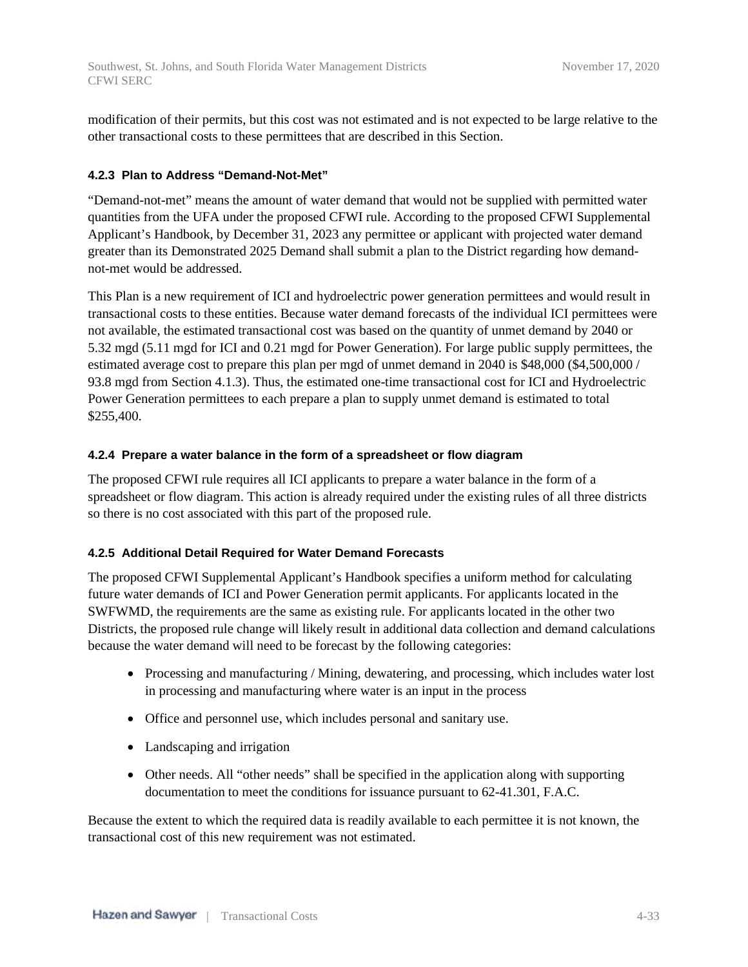modification of their permits, but this cost was not estimated and is not expected to be large relative to the other transactional costs to these permittees that are described in this Section.

#### **4.2.3 Plan to Address "Demand-Not-Met"**

"Demand-not-met" means the amount of water demand that would not be supplied with permitted water quantities from the UFA under the proposed CFWI rule. According to the proposed CFWI Supplemental Applicant's Handbook, by December 31, 2023 any permittee or applicant with projected water demand greater than its Demonstrated 2025 Demand shall submit a plan to the District regarding how demandnot-met would be addressed.

This Plan is a new requirement of ICI and hydroelectric power generation permittees and would result in transactional costs to these entities. Because water demand forecasts of the individual ICI permittees were not available, the estimated transactional cost was based on the quantity of unmet demand by 2040 or 5.32 mgd (5.11 mgd for ICI and 0.21 mgd for Power Generation). For large public supply permittees, the estimated average cost to prepare this plan per mgd of unmet demand in 2040 is \$48,000 (\$4,500,000 / 93.8 mgd from Section 4.1.3). Thus, the estimated one-time transactional cost for ICI and Hydroelectric Power Generation permittees to each prepare a plan to supply unmet demand is estimated to total \$255,400.

#### **4.2.4 Prepare a water balance in the form of a spreadsheet or flow diagram**

The proposed CFWI rule requires all ICI applicants to prepare a water balance in the form of a spreadsheet or flow diagram. This action is already required under the existing rules of all three districts so there is no cost associated with this part of the proposed rule.

#### **4.2.5 Additional Detail Required for Water Demand Forecasts**

The proposed CFWI Supplemental Applicant's Handbook specifies a uniform method for calculating future water demands of ICI and Power Generation permit applicants. For applicants located in the SWFWMD, the requirements are the same as existing rule. For applicants located in the other two Districts, the proposed rule change will likely result in additional data collection and demand calculations because the water demand will need to be forecast by the following categories:

- Processing and manufacturing / Mining, dewatering, and processing, which includes water lost in processing and manufacturing where water is an input in the process
- Office and personnel use, which includes personal and sanitary use.
- Landscaping and irrigation
- Other needs. All "other needs" shall be specified in the application along with supporting documentation to meet the conditions for issuance pursuant to 62-41.301, F.A.C.

Because the extent to which the required data is readily available to each permittee it is not known, the transactional cost of this new requirement was not estimated.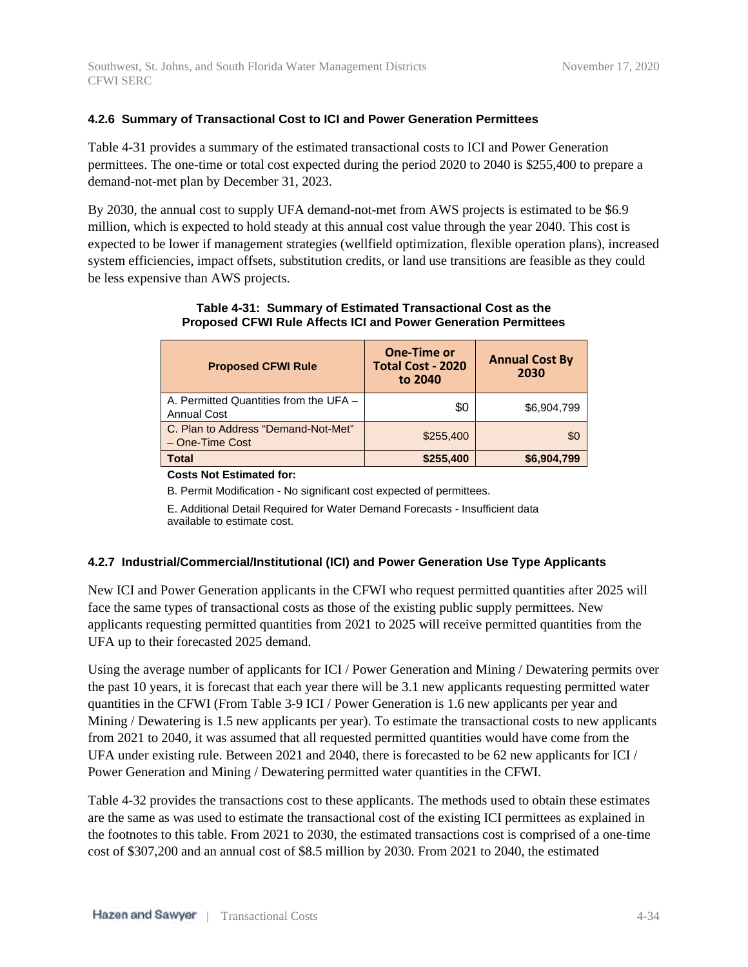#### **4.2.6 Summary of Transactional Cost to ICI and Power Generation Permittees**

Table 4-31 provides a summary of the estimated transactional costs to ICI and Power Generation permittees. The one-time or total cost expected during the period 2020 to 2040 is \$255,400 to prepare a demand-not-met plan by December 31, 2023.

By 2030, the annual cost to supply UFA demand-not-met from AWS projects is estimated to be \$6.9 million, which is expected to hold steady at this annual cost value through the year 2040. This cost is expected to be lower if management strategies (wellfield optimization, flexible operation plans), increased system efficiencies, impact offsets, substitution credits, or land use transitions are feasible as they could be less expensive than AWS projects.

| <b>Proposed CFWI Rule</b>                                    | <b>One-Time or</b><br><b>Total Cost - 2020</b><br>to 2040 | <b>Annual Cost By</b><br>2030 |
|--------------------------------------------------------------|-----------------------------------------------------------|-------------------------------|
| A. Permitted Quantities from the UFA -<br><b>Annual Cost</b> | \$0                                                       | \$6,904,799                   |
| C. Plan to Address "Demand-Not-Met"<br>- One-Time Cost       | \$255,400                                                 | \$0                           |
| <b>Total</b>                                                 | \$255,400                                                 | \$6,904,799                   |

#### **Table 4-31: Summary of Estimated Transactional Cost as the Proposed CFWI Rule Affects ICI and Power Generation Permittees**

**Costs Not Estimated for:**

B. Permit Modification - No significant cost expected of permittees.

E. Additional Detail Required for Water Demand Forecasts - Insufficient data available to estimate cost.

#### **4.2.7 Industrial/Commercial/Institutional (ICI) and Power Generation Use Type Applicants**

New ICI and Power Generation applicants in the CFWI who request permitted quantities after 2025 will face the same types of transactional costs as those of the existing public supply permittees. New applicants requesting permitted quantities from 2021 to 2025 will receive permitted quantities from the UFA up to their forecasted 2025 demand.

Using the average number of applicants for ICI / Power Generation and Mining / Dewatering permits over the past 10 years, it is forecast that each year there will be 3.1 new applicants requesting permitted water quantities in the CFWI (From Table 3-9 ICI / Power Generation is 1.6 new applicants per year and Mining / Dewatering is 1.5 new applicants per year). To estimate the transactional costs to new applicants from 2021 to 2040, it was assumed that all requested permitted quantities would have come from the UFA under existing rule. Between 2021 and 2040, there is forecasted to be 62 new applicants for ICI / Power Generation and Mining / Dewatering permitted water quantities in the CFWI.

Table 4-32 provides the transactions cost to these applicants. The methods used to obtain these estimates are the same as was used to estimate the transactional cost of the existing ICI permittees as explained in the footnotes to this table. From 2021 to 2030, the estimated transactions cost is comprised of a one-time cost of \$307,200 and an annual cost of \$8.5 million by 2030. From 2021 to 2040, the estimated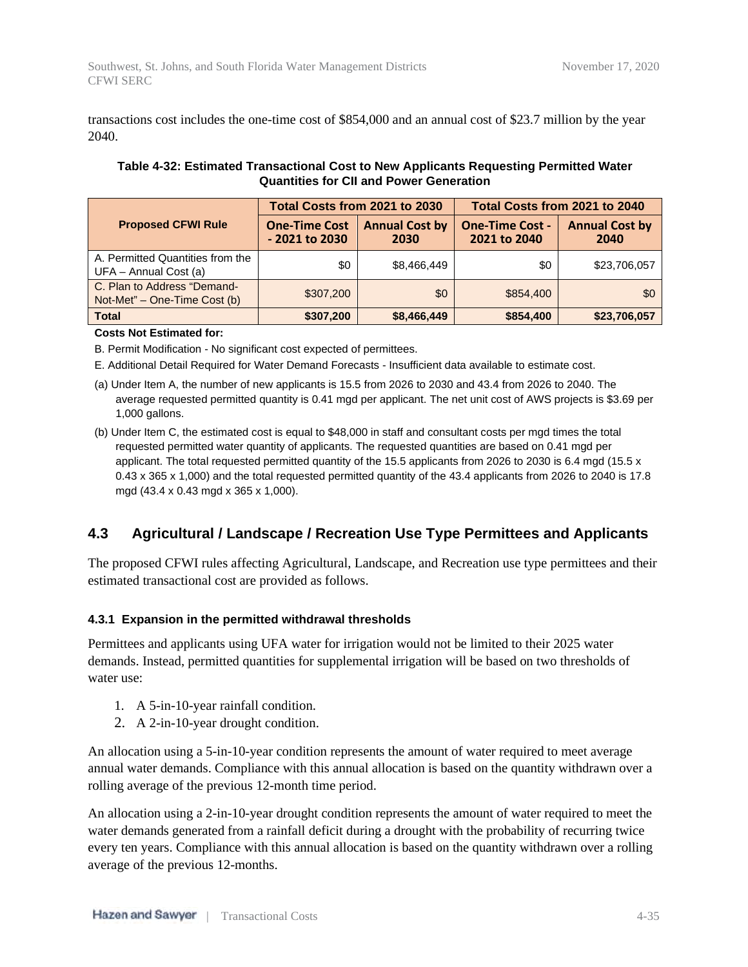transactions cost includes the one-time cost of \$854,000 and an annual cost of \$23.7 million by the year 2040.

#### **Table 4-32: Estimated Transactional Cost to New Applicants Requesting Permitted Water Quantities for CII and Power Generation**

|                                                             | Total Costs from 2021 to 2030          |                               | Total Costs from 2021 to 2040          |                               |  |
|-------------------------------------------------------------|----------------------------------------|-------------------------------|----------------------------------------|-------------------------------|--|
| <b>Proposed CFWI Rule</b>                                   | <b>One-Time Cost</b><br>- 2021 to 2030 | <b>Annual Cost by</b><br>2030 | <b>One-Time Cost -</b><br>2021 to 2040 | <b>Annual Cost by</b><br>2040 |  |
| A. Permitted Quantities from the<br>UFA - Annual Cost (a)   | \$0                                    | \$8,466,449                   | \$0                                    | \$23,706,057                  |  |
| C. Plan to Address "Demand-<br>Not-Met" – One-Time Cost (b) | \$307,200                              | \$0                           | \$854,400                              | \$0                           |  |
| <b>Total</b>                                                | \$307,200                              | \$8,466,449                   | \$854,400                              | \$23,706,057                  |  |

#### **Costs Not Estimated for:**

B. Permit Modification - No significant cost expected of permittees.

E. Additional Detail Required for Water Demand Forecasts - Insufficient data available to estimate cost.

- (a) Under Item A, the number of new applicants is 15.5 from 2026 to 2030 and 43.4 from 2026 to 2040. The average requested permitted quantity is 0.41 mgd per applicant. The net unit cost of AWS projects is \$3.69 per 1,000 gallons.
- (b) Under Item C, the estimated cost is equal to \$48,000 in staff and consultant costs per mgd times the total requested permitted water quantity of applicants. The requested quantities are based on 0.41 mgd per applicant. The total requested permitted quantity of the 15.5 applicants from 2026 to 2030 is 6.4 mgd (15.5 x 0.43 x 365 x 1,000) and the total requested permitted quantity of the 43.4 applicants from 2026 to 2040 is 17.8 mgd (43.4 x 0.43 mgd x 365 x 1,000).

# **4.3 Agricultural / Landscape / Recreation Use Type Permittees and Applicants**

The proposed CFWI rules affecting Agricultural, Landscape, and Recreation use type permittees and their estimated transactional cost are provided as follows.

#### **4.3.1 Expansion in the permitted withdrawal thresholds**

Permittees and applicants using UFA water for irrigation would not be limited to their 2025 water demands. Instead, permitted quantities for supplemental irrigation will be based on two thresholds of water use:

- 1. A 5-in-10-year rainfall condition.
- 2. A 2-in-10-year drought condition.

An allocation using a 5-in-10-year condition represents the amount of water required to meet average annual water demands. Compliance with this annual allocation is based on the quantity withdrawn over a rolling average of the previous 12-month time period.

An allocation using a 2-in-10-year drought condition represents the amount of water required to meet the water demands generated from a rainfall deficit during a drought with the probability of recurring twice every ten years. Compliance with this annual allocation is based on the quantity withdrawn over a rolling average of the previous 12-months.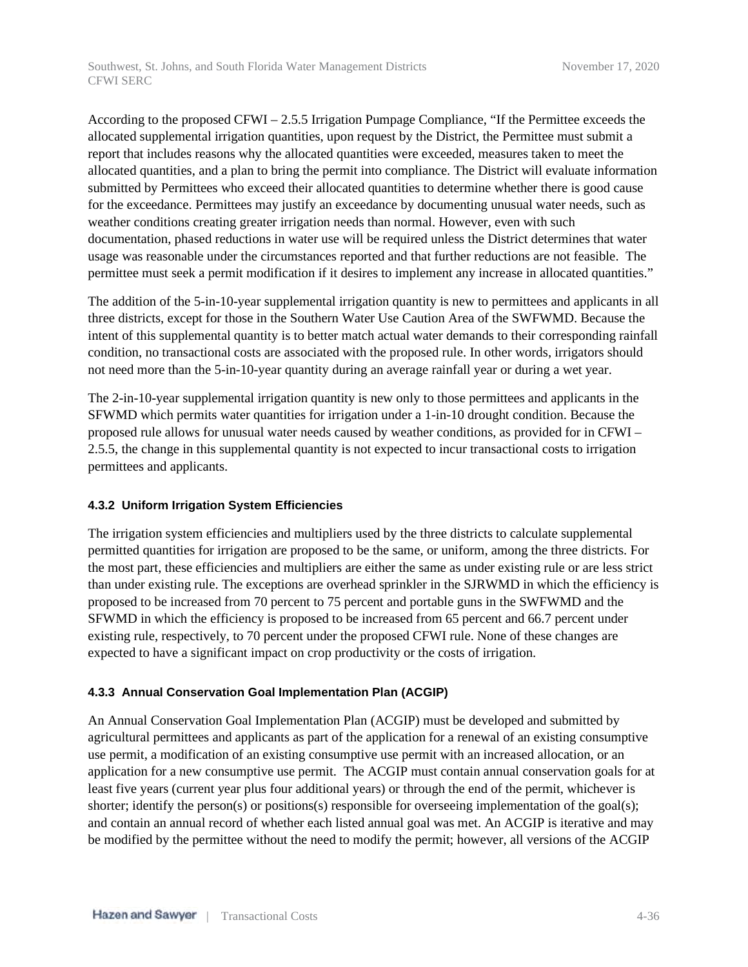According to the proposed CFWI – 2.5.5 Irrigation Pumpage Compliance, "If the Permittee exceeds the allocated supplemental irrigation quantities, upon request by the District, the Permittee must submit a report that includes reasons why the allocated quantities were exceeded, measures taken to meet the allocated quantities, and a plan to bring the permit into compliance. The District will evaluate information submitted by Permittees who exceed their allocated quantities to determine whether there is good cause for the exceedance. Permittees may justify an exceedance by documenting unusual water needs, such as weather conditions creating greater irrigation needs than normal. However, even with such documentation, phased reductions in water use will be required unless the District determines that water usage was reasonable under the circumstances reported and that further reductions are not feasible. The permittee must seek a permit modification if it desires to implement any increase in allocated quantities."

The addition of the 5-in-10-year supplemental irrigation quantity is new to permittees and applicants in all three districts, except for those in the Southern Water Use Caution Area of the SWFWMD. Because the intent of this supplemental quantity is to better match actual water demands to their corresponding rainfall condition, no transactional costs are associated with the proposed rule. In other words, irrigators should not need more than the 5-in-10-year quantity during an average rainfall year or during a wet year.

The 2-in-10-year supplemental irrigation quantity is new only to those permittees and applicants in the SFWMD which permits water quantities for irrigation under a 1-in-10 drought condition. Because the proposed rule allows for unusual water needs caused by weather conditions, as provided for in CFWI – 2.5.5, the change in this supplemental quantity is not expected to incur transactional costs to irrigation permittees and applicants.

#### **4.3.2 Uniform Irrigation System Efficiencies**

The irrigation system efficiencies and multipliers used by the three districts to calculate supplemental permitted quantities for irrigation are proposed to be the same, or uniform, among the three districts. For the most part, these efficiencies and multipliers are either the same as under existing rule or are less strict than under existing rule. The exceptions are overhead sprinkler in the SJRWMD in which the efficiency is proposed to be increased from 70 percent to 75 percent and portable guns in the SWFWMD and the SFWMD in which the efficiency is proposed to be increased from 65 percent and 66.7 percent under existing rule, respectively, to 70 percent under the proposed CFWI rule. None of these changes are expected to have a significant impact on crop productivity or the costs of irrigation.

#### **4.3.3 Annual Conservation Goal Implementation Plan (ACGIP)**

An Annual Conservation Goal Implementation Plan (ACGIP) must be developed and submitted by agricultural permittees and applicants as part of the application for a renewal of an existing consumptive use permit, a modification of an existing consumptive use permit with an increased allocation, or an application for a new consumptive use permit. The ACGIP must contain annual conservation goals for at least five years (current year plus four additional years) or through the end of the permit, whichever is shorter; identify the person(s) or positions(s) responsible for overseeing implementation of the goal(s); and contain an annual record of whether each listed annual goal was met. An ACGIP is iterative and may be modified by the permittee without the need to modify the permit; however, all versions of the ACGIP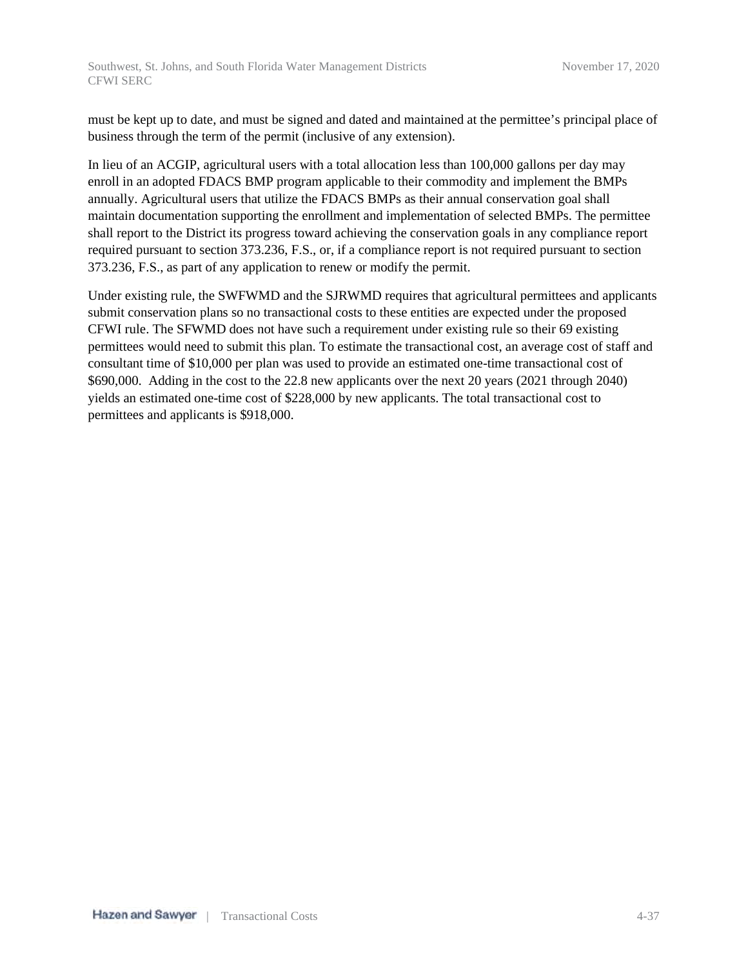must be kept up to date, and must be signed and dated and maintained at the permittee's principal place of business through the term of the permit (inclusive of any extension).

In lieu of an ACGIP, agricultural users with a total allocation less than 100,000 gallons per day may enroll in an adopted FDACS BMP program applicable to their commodity and implement the BMPs annually. Agricultural users that utilize the FDACS BMPs as their annual conservation goal shall maintain documentation supporting the enrollment and implementation of selected BMPs. The permittee shall report to the District its progress toward achieving the conservation goals in any compliance report required pursuant to section 373.236, F.S., or, if a compliance report is not required pursuant to section 373.236, F.S., as part of any application to renew or modify the permit.

Under existing rule, the SWFWMD and the SJRWMD requires that agricultural permittees and applicants submit conservation plans so no transactional costs to these entities are expected under the proposed CFWI rule. The SFWMD does not have such a requirement under existing rule so their 69 existing permittees would need to submit this plan. To estimate the transactional cost, an average cost of staff and consultant time of \$10,000 per plan was used to provide an estimated one-time transactional cost of \$690,000. Adding in the cost to the 22.8 new applicants over the next 20 years (2021 through 2040) yields an estimated one-time cost of \$228,000 by new applicants. The total transactional cost to permittees and applicants is \$918,000.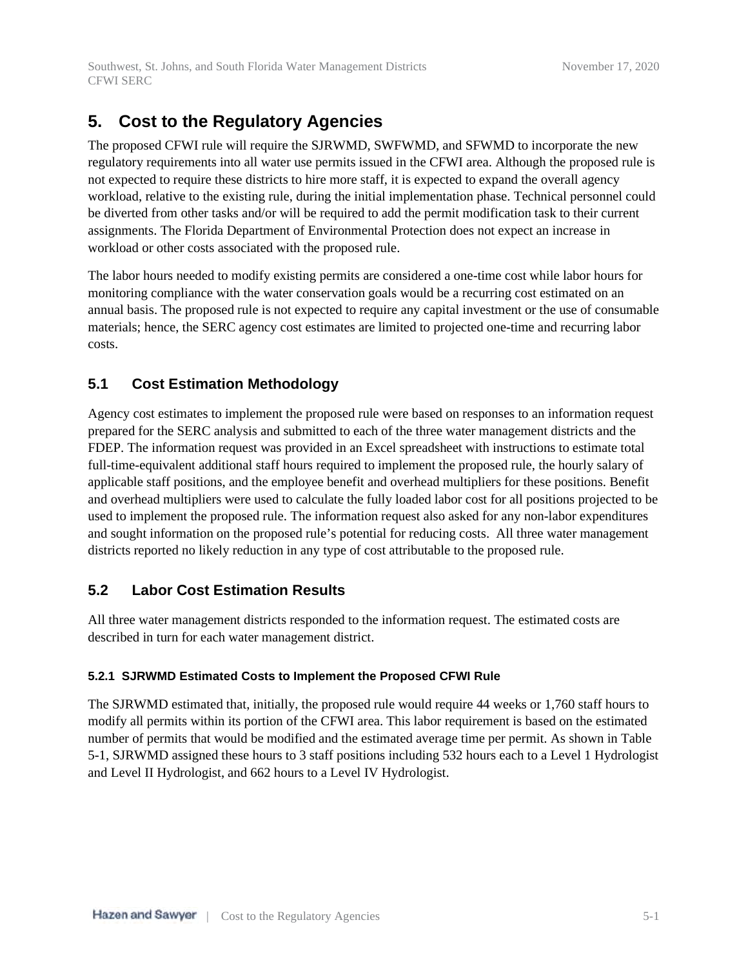# **5. Cost to the Regulatory Agencies**

The proposed CFWI rule will require the SJRWMD, SWFWMD, and SFWMD to incorporate the new regulatory requirements into all water use permits issued in the CFWI area. Although the proposed rule is not expected to require these districts to hire more staff, it is expected to expand the overall agency workload, relative to the existing rule, during the initial implementation phase. Technical personnel could be diverted from other tasks and/or will be required to add the permit modification task to their current assignments. The Florida Department of Environmental Protection does not expect an increase in workload or other costs associated with the proposed rule.

The labor hours needed to modify existing permits are considered a one-time cost while labor hours for monitoring compliance with the water conservation goals would be a recurring cost estimated on an annual basis. The proposed rule is not expected to require any capital investment or the use of consumable materials; hence, the SERC agency cost estimates are limited to projected one-time and recurring labor costs.

# **5.1 Cost Estimation Methodology**

Agency cost estimates to implement the proposed rule were based on responses to an information request prepared for the SERC analysis and submitted to each of the three water management districts and the FDEP. The information request was provided in an Excel spreadsheet with instructions to estimate total full-time-equivalent additional staff hours required to implement the proposed rule, the hourly salary of applicable staff positions, and the employee benefit and overhead multipliers for these positions. Benefit and overhead multipliers were used to calculate the fully loaded labor cost for all positions projected to be used to implement the proposed rule. The information request also asked for any non-labor expenditures and sought information on the proposed rule's potential for reducing costs. All three water management districts reported no likely reduction in any type of cost attributable to the proposed rule.

# **5.2 Labor Cost Estimation Results**

All three water management districts responded to the information request. The estimated costs are described in turn for each water management district.

## **5.2.1 SJRWMD Estimated Costs to Implement the Proposed CFWI Rule**

The SJRWMD estimated that, initially, the proposed rule would require 44 weeks or 1,760 staff hours to modify all permits within its portion of the CFWI area. This labor requirement is based on the estimated number of permits that would be modified and the estimated average time per permit. As shown in Table 5-1, SJRWMD assigned these hours to 3 staff positions including 532 hours each to a Level 1 Hydrologist and Level II Hydrologist, and 662 hours to a Level IV Hydrologist.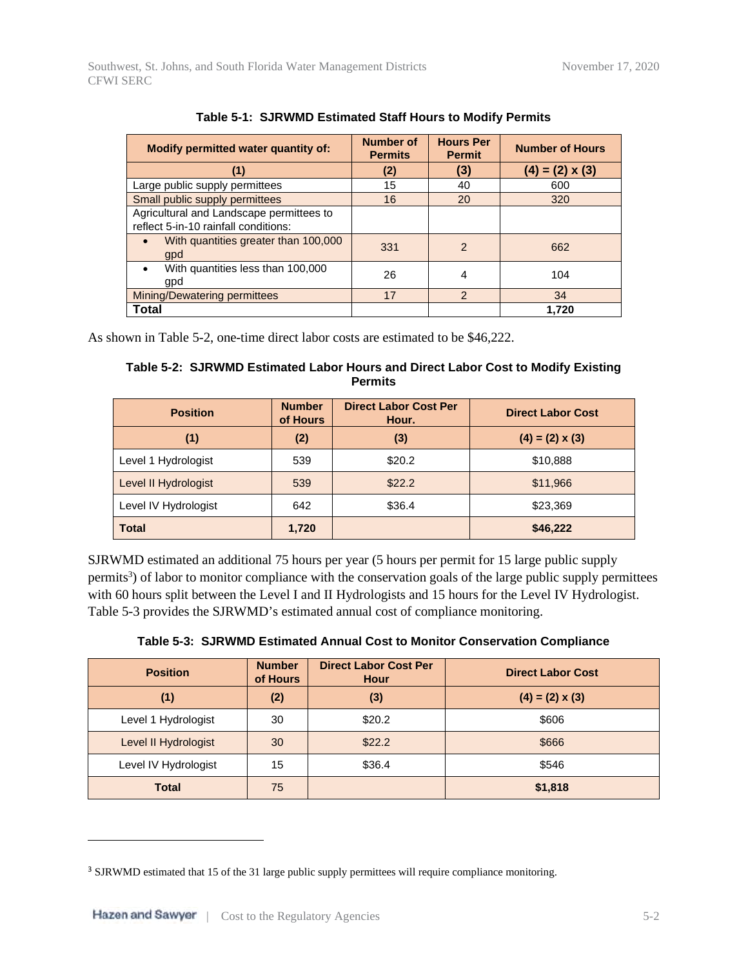| Modify permitted water quantity of:                                              | <b>Number of</b><br><b>Permits</b> | <b>Hours Per</b><br><b>Permit</b> | <b>Number of Hours</b> |
|----------------------------------------------------------------------------------|------------------------------------|-----------------------------------|------------------------|
| (1)                                                                              | (2)                                | (3)                               | $(4) = (2) \times (3)$ |
| Large public supply permittees                                                   | 15                                 | 40                                | 600                    |
| Small public supply permittees                                                   | 16                                 | 20                                | 320                    |
| Agricultural and Landscape permittees to<br>reflect 5-in-10 rainfall conditions: |                                    |                                   |                        |
| With quantities greater than 100,000<br>$\bullet$<br>gpd                         | 331                                | $\mathcal{P}$                     | 662                    |
| With quantities less than 100,000<br>$\bullet$<br>gpd                            | 26                                 | 4                                 | 104                    |
| <b>Mining/Dewatering permittees</b>                                              | 17                                 | $\mathcal{P}$                     | 34                     |
| Total                                                                            |                                    |                                   | 1.720                  |

**Table 5-1: SJRWMD Estimated Staff Hours to Modify Permits**

As shown in Table 5-2, one-time direct labor costs are estimated to be \$46,222.

#### **Table 5-2: SJRWMD Estimated Labor Hours and Direct Labor Cost to Modify Existing Permits**

| <b>Position</b>      | <b>Number</b><br>of Hours | <b>Direct Labor Cost Per</b><br>Hour. | <b>Direct Labor Cost</b> |
|----------------------|---------------------------|---------------------------------------|--------------------------|
| (1)                  | (2)                       | (3)                                   | $(4) = (2) \times (3)$   |
| Level 1 Hydrologist  | 539                       | \$20.2                                | \$10,888                 |
| Level II Hydrologist | 539                       | \$22.2                                | \$11,966                 |
| Level IV Hydrologist | 642                       | \$36.4                                | \$23,369                 |
| <b>Total</b>         | 1,720                     |                                       | \$46,222                 |

SJRWMD estimated an additional 75 hours per year (5 hours per permit for 15 large public supply permits<sup>3</sup>) of labor to monitor compliance with the conservation goals of the large public supply permittees with 60 hours split between the Level I and II Hydrologists and 15 hours for the Level IV Hydrologist. Table 5-3 provides the SJRWMD's estimated annual cost of compliance monitoring.

|  |  |  |  |  |  | Table 5-3: SJRWMD Estimated Annual Cost to Monitor Conservation Compliance |  |
|--|--|--|--|--|--|----------------------------------------------------------------------------|--|
|--|--|--|--|--|--|----------------------------------------------------------------------------|--|

| <b>Position</b>      | <b>Number</b><br>of Hours | <b>Direct Labor Cost Per</b><br>Hour | <b>Direct Labor Cost</b> |
|----------------------|---------------------------|--------------------------------------|--------------------------|
| (1)                  | (2)                       | (3)                                  | $(4) = (2) \times (3)$   |
| Level 1 Hydrologist  | 30                        | \$20.2                               | \$606                    |
| Level II Hydrologist | 30                        | \$22.2                               | \$666                    |
| Level IV Hydrologist | 15                        | \$36.4                               | \$546                    |
| <b>Total</b>         | 75                        |                                      | \$1,818                  |

<sup>&</sup>lt;sup>3</sup> SJRWMD estimated that 15 of the 31 large public supply permittees will require compliance monitoring.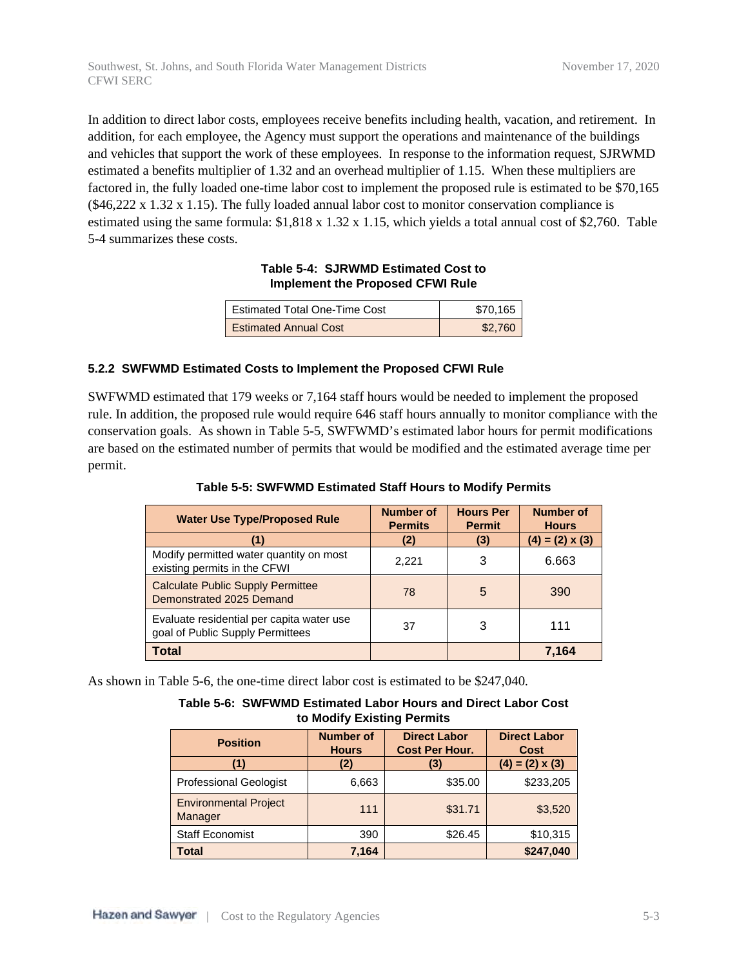In addition to direct labor costs, employees receive benefits including health, vacation, and retirement. In addition, for each employee, the Agency must support the operations and maintenance of the buildings and vehicles that support the work of these employees. In response to the information request, SJRWMD estimated a benefits multiplier of 1.32 and an overhead multiplier of 1.15. When these multipliers are factored in, the fully loaded one-time labor cost to implement the proposed rule is estimated to be \$70,165  $(\$46,222 \times 1.32 \times 1.15)$ . The fully loaded annual labor cost to monitor conservation compliance is estimated using the same formula: \$1,818 x 1.32 x 1.15, which yields a total annual cost of \$2,760. Table 5-4 summarizes these costs.

#### **Table 5-4: SJRWMD Estimated Cost to Implement the Proposed CFWI Rule**

| <b>Estimated Total One-Time Cost</b> | \$70.165 |
|--------------------------------------|----------|
| <b>Estimated Annual Cost</b>         | \$2.760  |

#### **5.2.2 SWFWMD Estimated Costs to Implement the Proposed CFWI Rule**

SWFWMD estimated that 179 weeks or 7,164 staff hours would be needed to implement the proposed rule. In addition, the proposed rule would require 646 staff hours annually to monitor compliance with the conservation goals. As shown in Table 5-5, SWFWMD's estimated labor hours for permit modifications are based on the estimated number of permits that would be modified and the estimated average time per permit.

| <b>Water Use Type/Proposed Rule</b>                                           | <b>Number of</b><br><b>Permits</b> | <b>Hours Per</b><br><b>Permit</b> | <b>Number of</b><br><b>Hours</b> |
|-------------------------------------------------------------------------------|------------------------------------|-----------------------------------|----------------------------------|
|                                                                               | (2)                                | (3)                               | $(4) = (2) \times (3)$           |
| Modify permitted water quantity on most<br>existing permits in the CFWI       | 2,221                              | 3                                 | 6.663                            |
| <b>Calculate Public Supply Permittee</b><br>Demonstrated 2025 Demand          | 78                                 | 5                                 | 390                              |
| Evaluate residential per capita water use<br>goal of Public Supply Permittees | 37                                 | 3                                 | 111                              |
| Total                                                                         |                                    |                                   | 7.164                            |

As shown in Table 5-6, the one-time direct labor cost is estimated to be \$247,040.

| Table 5-6: SWFWMD Estimated Labor Hours and Direct Labor Cost |
|---------------------------------------------------------------|
| to Modify Existing Permits                                    |

| <b>Position</b>                         | <b>Number of</b><br><b>Hours</b> | <b>Direct Labor</b><br><b>Cost Per Hour.</b> | <b>Direct Labor</b><br><b>Cost</b> |
|-----------------------------------------|----------------------------------|----------------------------------------------|------------------------------------|
|                                         | (2)                              | (3)                                          | $(4) = (2) \times (3)$             |
| <b>Professional Geologist</b>           | 6,663                            | \$35.00                                      | \$233,205                          |
| <b>Environmental Project</b><br>Manager | 111                              | \$31.71                                      | \$3,520                            |
| <b>Staff Economist</b>                  | 390                              | \$26.45                                      | \$10,315                           |
| <b>Total</b>                            | 7,164                            |                                              | \$247,040                          |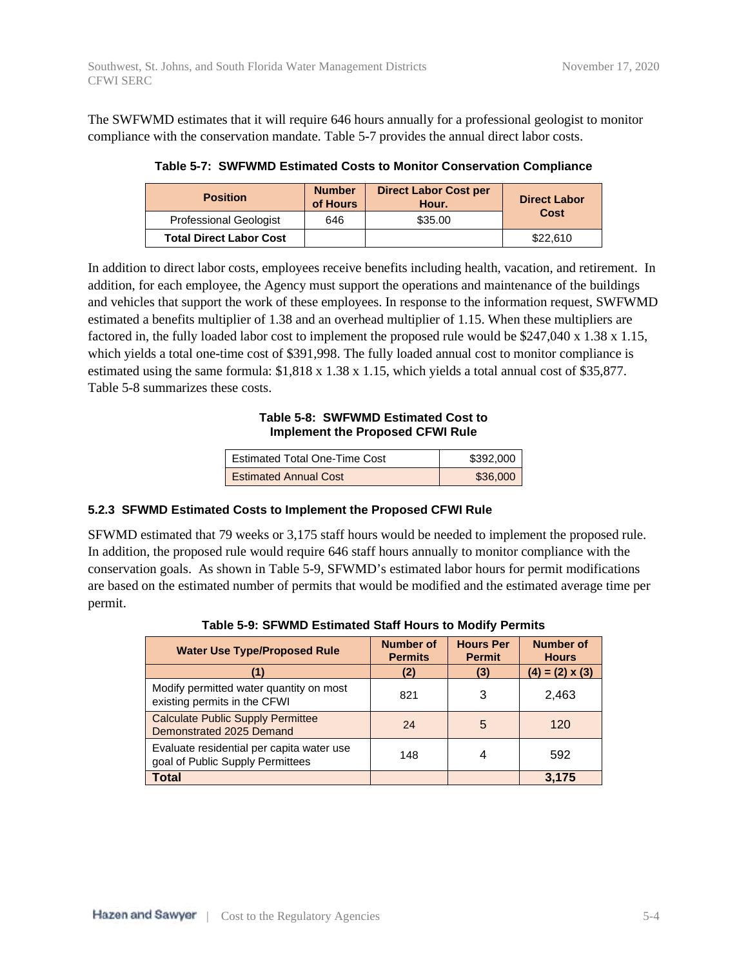The SWFWMD estimates that it will require 646 hours annually for a professional geologist to monitor compliance with the conservation mandate. Table 5-7 provides the annual direct labor costs.

**Table 5-7: SWFWMD Estimated Costs to Monitor Conservation Compliance**

| <b>Position</b>                | <b>Number</b><br>of Hours | <b>Direct Labor Cost per</b><br>Hour. | <b>Direct Labor</b><br>Cost |  |
|--------------------------------|---------------------------|---------------------------------------|-----------------------------|--|
| <b>Professional Geologist</b>  | 646                       | \$35.00                               |                             |  |
| <b>Total Direct Labor Cost</b> |                           |                                       | \$22,610                    |  |

In addition to direct labor costs, employees receive benefits including health, vacation, and retirement. In addition, for each employee, the Agency must support the operations and maintenance of the buildings and vehicles that support the work of these employees. In response to the information request, SWFWMD estimated a benefits multiplier of 1.38 and an overhead multiplier of 1.15. When these multipliers are factored in, the fully loaded labor cost to implement the proposed rule would be \$247,040 x 1.38 x 1.15, which yields a total one-time cost of \$391,998. The fully loaded annual cost to monitor compliance is estimated using the same formula: \$1,818 x 1.38 x 1.15, which yields a total annual cost of \$35,877. Table 5-8 summarizes these costs.

#### **Table 5-8: SWFWMD Estimated Cost to Implement the Proposed CFWI Rule**

| <b>Estimated Total One-Time Cost</b> | \$392,000 |
|--------------------------------------|-----------|
| <b>Estimated Annual Cost</b>         | \$36,000  |

#### **5.2.3 SFWMD Estimated Costs to Implement the Proposed CFWI Rule**

SFWMD estimated that 79 weeks or 3,175 staff hours would be needed to implement the proposed rule. In addition, the proposed rule would require 646 staff hours annually to monitor compliance with the conservation goals. As shown in Table 5-9, SFWMD's estimated labor hours for permit modifications are based on the estimated number of permits that would be modified and the estimated average time per permit.

| <b>Water Use Type/Proposed Rule</b>                                           | <b>Number of</b><br><b>Permits</b> | <b>Hours Per</b><br><b>Permit</b> | <b>Number of</b><br><b>Hours</b> |
|-------------------------------------------------------------------------------|------------------------------------|-----------------------------------|----------------------------------|
|                                                                               | (2)                                | (3)                               | $(4) = (2) \times (3)$           |
| Modify permitted water quantity on most<br>existing permits in the CFWI       | 821                                | 3                                 | 2,463                            |
| <b>Calculate Public Supply Permittee</b><br>Demonstrated 2025 Demand          | 24                                 | 5                                 | 120                              |
| Evaluate residential per capita water use<br>goal of Public Supply Permittees | 148                                | 4                                 | 592                              |
| <b>Total</b>                                                                  |                                    |                                   | 3,175                            |

**Table 5-9: SFWMD Estimated Staff Hours to Modify Permits**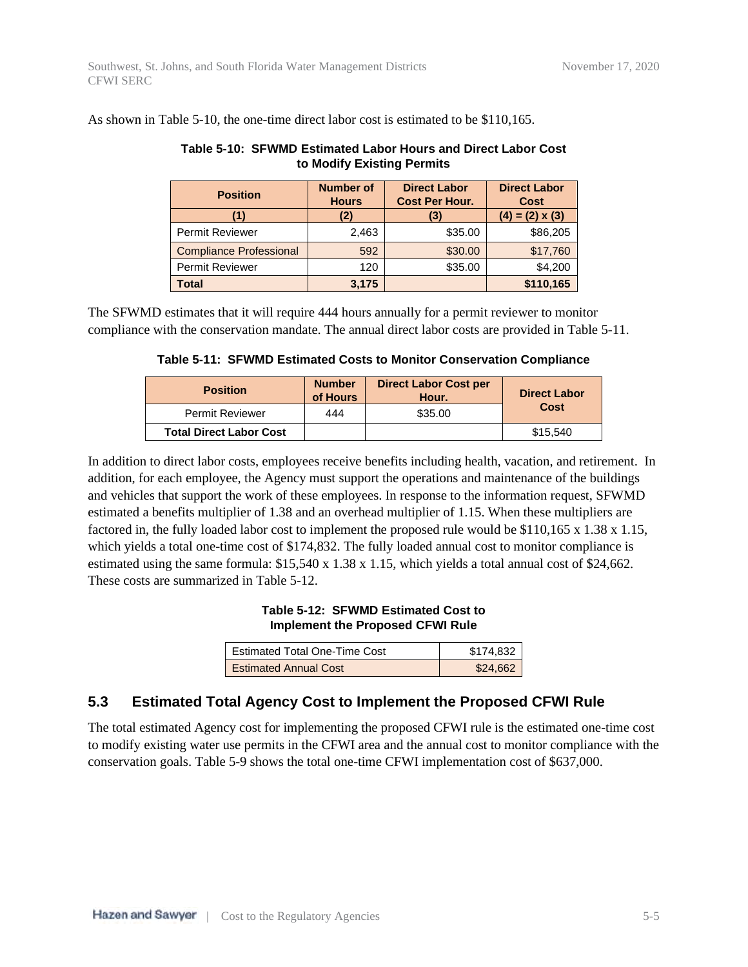| to Modify Existing Permits     |                                  |                                              |                                    |  |  |  |
|--------------------------------|----------------------------------|----------------------------------------------|------------------------------------|--|--|--|
| <b>Position</b>                | <b>Number of</b><br><b>Hours</b> | <b>Direct Labor</b><br><b>Cost Per Hour.</b> | <b>Direct Labor</b><br><b>Cost</b> |  |  |  |
|                                | (2)                              | (3)                                          | $(4) = (2) \times (3)$             |  |  |  |
| <b>Permit Reviewer</b>         | 2,463                            | \$35.00                                      | \$86,205                           |  |  |  |
| <b>Compliance Professional</b> | 592                              | \$30.00                                      | \$17,760                           |  |  |  |
| <b>Permit Reviewer</b>         | 120                              | \$35.00                                      | \$4,200                            |  |  |  |
| <b>Total</b>                   | 3.175                            |                                              | \$110,165                          |  |  |  |

#### As shown in Table 5-10, the one-time direct labor cost is estimated to be \$110,165.

| The SFWMD estimates that it will require 444 hours annually for a permit reviewer to monitor        |
|-----------------------------------------------------------------------------------------------------|
| compliance with the conservation mandate. The annual direct labor costs are provided in Table 5-11. |

# **Table 5-10: SFWMD Estimated Labor Hours and Direct Labor Cost**

|  |  | Table 5-11: SFWMD Estimated Costs to Monitor Conservation Compliance |  |
|--|--|----------------------------------------------------------------------|--|
|  |  |                                                                      |  |

| <b>Position</b>                | <b>Number</b><br>of Hours | <b>Direct Labor Cost per</b><br>Hour. | <b>Direct Labor</b> |  |
|--------------------------------|---------------------------|---------------------------------------|---------------------|--|
| <b>Permit Reviewer</b>         | 444                       | \$35.00                               | Cost                |  |
| <b>Total Direct Labor Cost</b> |                           |                                       | \$15,540            |  |

In addition to direct labor costs, employees receive benefits including health, vacation, and retirement. In addition, for each employee, the Agency must support the operations and maintenance of the buildings and vehicles that support the work of these employees. In response to the information request, SFWMD estimated a benefits multiplier of 1.38 and an overhead multiplier of 1.15. When these multipliers are factored in, the fully loaded labor cost to implement the proposed rule would be \$110,165 x 1.38 x 1.15, which yields a total one-time cost of \$174,832. The fully loaded annual cost to monitor compliance is estimated using the same formula: \$15,540 x 1.38 x 1.15, which yields a total annual cost of \$24,662. These costs are summarized in Table 5-12.

#### **Table 5-12: SFWMD Estimated Cost to Implement the Proposed CFWI Rule**

| Estimated Total One-Time Cost | \$174.832 |
|-------------------------------|-----------|
| <b>Estimated Annual Cost</b>  | \$24,662  |

## **5.3 Estimated Total Agency Cost to Implement the Proposed CFWI Rule**

The total estimated Agency cost for implementing the proposed CFWI rule is the estimated one-time cost to modify existing water use permits in the CFWI area and the annual cost to monitor compliance with the conservation goals. Table 5-9 shows the total one-time CFWI implementation cost of \$637,000.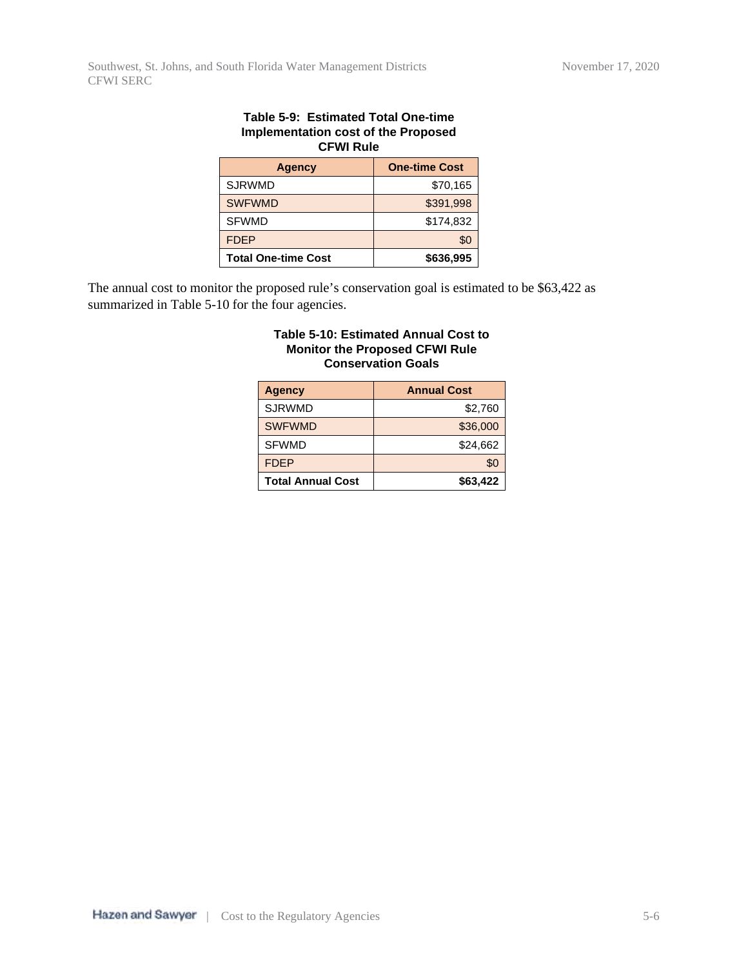| rapic J-3. LSunialcu Tulai Unc-linic<br><b>Implementation cost of the Proposed</b><br><b>CFWI Rule</b> |                      |  |  |  |
|--------------------------------------------------------------------------------------------------------|----------------------|--|--|--|
| <b>Agency</b>                                                                                          | <b>One-time Cost</b> |  |  |  |
| <b>SJRWMD</b>                                                                                          | \$70,165             |  |  |  |
| <b>SWFWMD</b>                                                                                          | \$391,998            |  |  |  |
| <b>SFWMD</b>                                                                                           | \$174.832            |  |  |  |
| <b>FDEP</b>                                                                                            | \$0                  |  |  |  |
| \$636,995<br><b>Total One-time Cost</b>                                                                |                      |  |  |  |

# **Table 5-9: Estimated Total One-time**

The annual cost to monitor the proposed rule's conservation goal is estimated to be \$63,422 as summarized in Table 5-10 for the four agencies.

#### **Table 5-10: Estimated Annual Cost to Monitor the Proposed CFWI Rule Conservation Goals**

| <b>Agency</b>            | <b>Annual Cost</b> |
|--------------------------|--------------------|
| <b>SJRWMD</b>            | \$2,760            |
| <b>SWFWMD</b>            | \$36,000           |
| <b>SFWMD</b>             | \$24,662           |
| <b>FDEP</b>              | \$0                |
| <b>Total Annual Cost</b> | \$63,422           |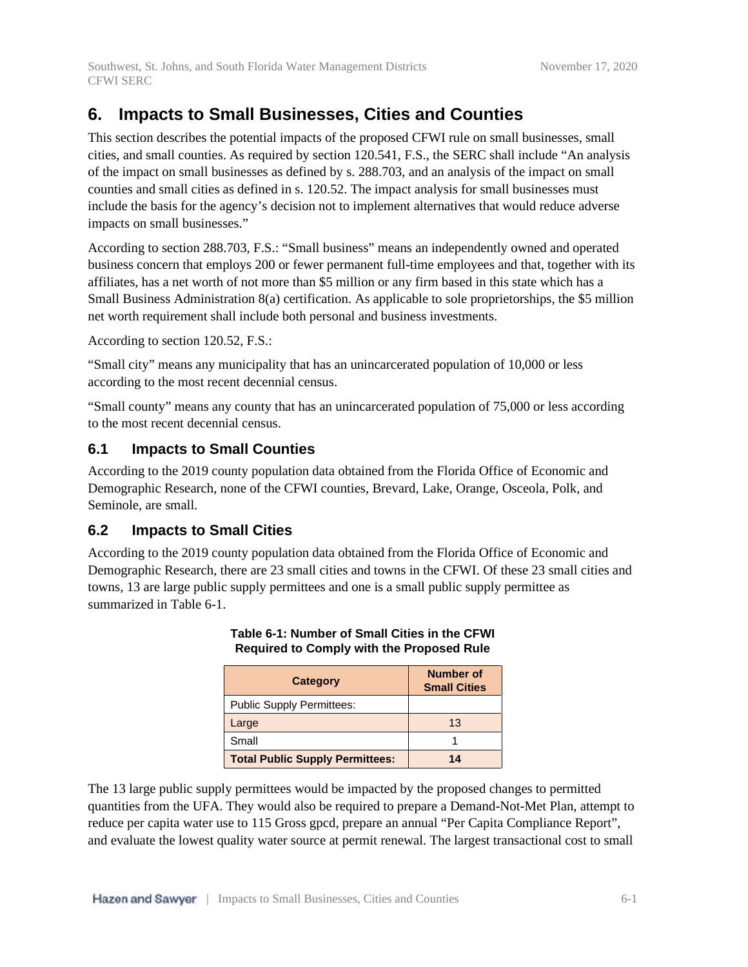## **6. Impacts to Small Businesses, Cities and Counties**

This section describes the potential impacts of the proposed CFWI rule on small businesses, small cities, and small counties. As required by section 120.541, F.S., the SERC shall include "An analysis of the impact on small businesses as defined by s. 288.703, and an analysis of the impact on small counties and small cities as defined in s. 120.52. The impact analysis for small businesses must include the basis for the agency's decision not to implement alternatives that would reduce adverse impacts on small businesses."

According to section 288.703, F.S.: "Small business" means an independently owned and operated business concern that employs 200 or fewer permanent full-time employees and that, together with its affiliates, has a net worth of not more than \$5 million or any firm based in this state which has a Small Business Administration 8(a) certification. As applicable to sole proprietorships, the \$5 million net worth requirement shall include both personal and business investments.

According to section 120.52, F.S.:

"Small city" means any municipality that has an unincarcerated population of 10,000 or less according to the most recent decennial census.

"Small county" means any county that has an unincarcerated population of 75,000 or less according to the most recent decennial census.

## **6.1 Impacts to Small Counties**

According to the 2019 county population data obtained from the Florida Office of Economic and Demographic Research, none of the CFWI counties, Brevard, Lake, Orange, Osceola, Polk, and Seminole, are small.

## **6.2 Impacts to Small Cities**

According to the 2019 county population data obtained from the Florida Office of Economic and Demographic Research, there are 23 small cities and towns in the CFWI. Of these 23 small cities and towns, 13 are large public supply permittees and one is a small public supply permittee as summarized in Table 6-1.

| Category                               | Number of<br><b>Small Cities</b> |
|----------------------------------------|----------------------------------|
| <b>Public Supply Permittees:</b>       |                                  |
| Large                                  | 13                               |
| Small                                  |                                  |
| <b>Total Public Supply Permittees:</b> | 14                               |

### **Table 6-1: Number of Small Cities in the CFWI Required to Comply with the Proposed Rule**

The 13 large public supply permittees would be impacted by the proposed changes to permitted quantities from the UFA. They would also be required to prepare a Demand-Not-Met Plan, attempt to reduce per capita water use to 115 Gross gpcd, prepare an annual "Per Capita Compliance Report", and evaluate the lowest quality water source at permit renewal. The largest transactional cost to small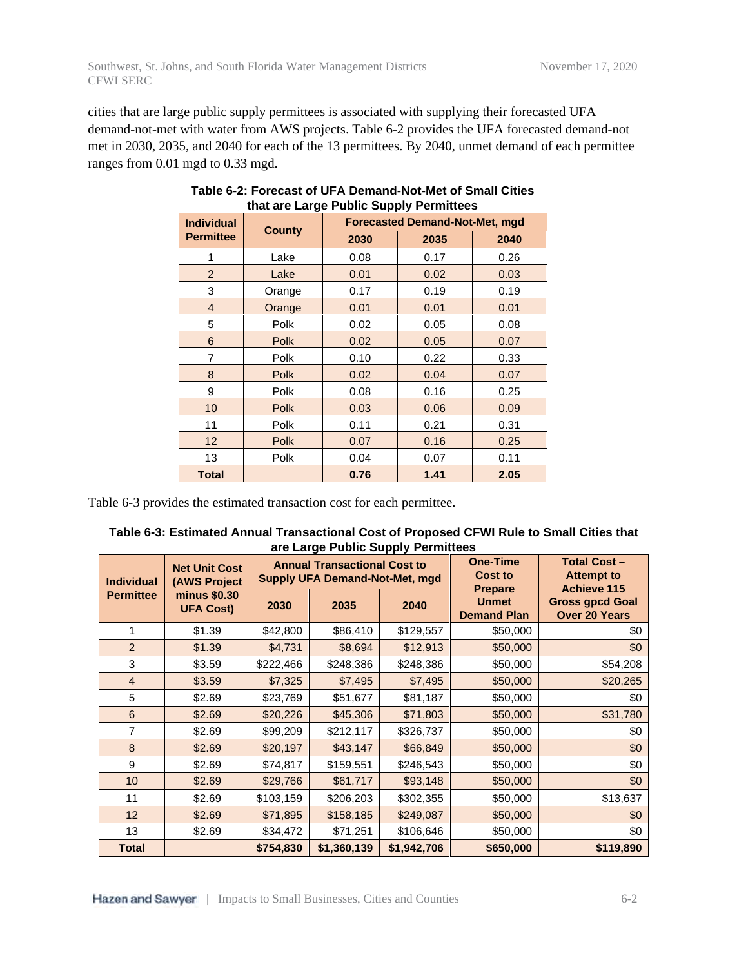cities that are large public supply permittees is associated with supplying their forecasted UFA demand-not-met with water from AWS projects. Table 6-2 provides the UFA forecasted demand-not met in 2030, 2035, and 2040 for each of the 13 permittees. By 2040, unmet demand of each permittee ranges from 0.01 mgd to 0.33 mgd.

| <b>Individual</b> | <b>County</b> | <b>Forecasted Demand-Not-Met, mgd</b> |      |      |  |  |
|-------------------|---------------|---------------------------------------|------|------|--|--|
| <b>Permittee</b>  |               | 2030                                  | 2035 | 2040 |  |  |
| 1                 | Lake          | 0.08                                  | 0.17 | 0.26 |  |  |
| $\overline{2}$    | Lake          | 0.01                                  | 0.02 | 0.03 |  |  |
| 3                 | Orange        | 0.17                                  | 0.19 | 0.19 |  |  |
| 4                 | Orange        | 0.01                                  | 0.01 | 0.01 |  |  |
| 5                 | Polk          | 0.02                                  | 0.05 | 0.08 |  |  |
| 6                 | <b>Polk</b>   | 0.02                                  | 0.05 | 0.07 |  |  |
| 7                 | Polk          | 0.10                                  | 0.22 | 0.33 |  |  |
| 8                 | <b>Polk</b>   | 0.02                                  | 0.04 | 0.07 |  |  |
| 9                 | Polk          | 0.08                                  | 0.16 | 0.25 |  |  |
| 10                | <b>Polk</b>   | 0.03                                  | 0.06 | 0.09 |  |  |
| 11                | Polk          | 0.11                                  | 0.21 | 0.31 |  |  |
| 12                | Polk          | 0.07                                  | 0.16 | 0.25 |  |  |
| 13                | Polk          | 0.04                                  | 0.07 | 0.11 |  |  |
| <b>Total</b>      |               | 0.76                                  | 1.41 | 2.05 |  |  |

#### **Table 6-2: Forecast of UFA Demand-Not-Met of Small Cities that are Large Public Supply Permittees**

Table 6-3 provides the estimated transaction cost for each permittee.

| Table 6-3: Estimated Annual Transactional Cost of Proposed CFWI Rule to Small Cities that |  |
|-------------------------------------------------------------------------------------------|--|
| are Large Public Supply Permittees                                                        |  |

| <b>Individual</b> | <b>Net Unit Cost</b><br>(AWS Project |           | <b>Annual Transactional Cost to</b><br><b>Supply UFA Demand-Not-Met, mgd</b> |             | <b>One-Time</b><br><b>Cost to</b>                    | <b>Total Cost-</b><br><b>Attempt to</b><br><b>Achieve 115</b> |
|-------------------|--------------------------------------|-----------|------------------------------------------------------------------------------|-------------|------------------------------------------------------|---------------------------------------------------------------|
| <b>Permittee</b>  | minus \$0.30<br><b>UFA Cost)</b>     | 2030      | 2035                                                                         | 2040        | <b>Prepare</b><br><b>Unmet</b><br><b>Demand Plan</b> | <b>Gross gpcd Goal</b><br><b>Over 20 Years</b>                |
| 1                 | \$1.39                               | \$42,800  | \$86,410                                                                     | \$129,557   | \$50,000                                             | \$0                                                           |
| $\overline{2}$    | \$1.39                               | \$4,731   | \$8,694                                                                      | \$12,913    | \$50,000                                             | \$0                                                           |
| 3                 | \$3.59                               | \$222,466 | \$248,386                                                                    | \$248,386   | \$50,000                                             | \$54,208                                                      |
| $\overline{4}$    | \$3.59                               | \$7,325   | \$7,495                                                                      | \$7,495     | \$50,000                                             | \$20,265                                                      |
| 5                 | \$2.69                               | \$23,769  | \$51,677                                                                     | \$81,187    | \$50,000                                             | \$0                                                           |
| $6\phantom{1}6$   | \$2.69                               | \$20,226  | \$45,306                                                                     | \$71,803    | \$50,000                                             | \$31,780                                                      |
| 7                 | \$2.69                               | \$99,209  | \$212,117                                                                    | \$326,737   | \$50,000                                             | \$0                                                           |
| 8                 | \$2.69                               | \$20,197  | \$43,147                                                                     | \$66,849    | \$50,000                                             | \$0                                                           |
| 9                 | \$2.69                               | \$74,817  | \$159,551                                                                    | \$246,543   | \$50,000                                             | \$0                                                           |
| 10                | \$2.69                               | \$29,766  | \$61,717                                                                     | \$93,148    | \$50,000                                             | \$0                                                           |
| 11                | \$2.69                               | \$103,159 | \$206,203                                                                    | \$302,355   | \$50,000                                             | \$13,637                                                      |
| 12                | \$2.69                               | \$71,895  | \$158,185                                                                    | \$249,087   | \$50,000                                             | \$0                                                           |
| 13                | \$2.69                               | \$34,472  | \$71,251                                                                     | \$106,646   | \$50,000                                             | \$0                                                           |
| <b>Total</b>      |                                      | \$754,830 | \$1,360,139                                                                  | \$1,942,706 | \$650,000                                            | \$119,890                                                     |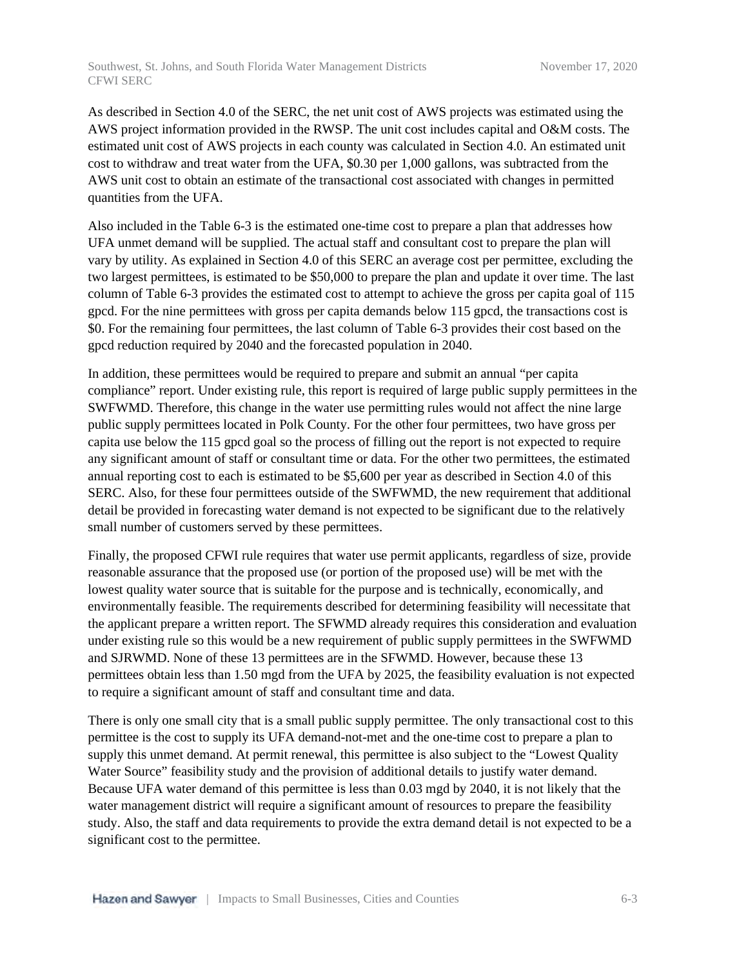As described in Section 4.0 of the SERC, the net unit cost of AWS projects was estimated using the AWS project information provided in the RWSP. The unit cost includes capital and O&M costs. The estimated unit cost of AWS projects in each county was calculated in Section 4.0. An estimated unit cost to withdraw and treat water from the UFA, \$0.30 per 1,000 gallons, was subtracted from the AWS unit cost to obtain an estimate of the transactional cost associated with changes in permitted quantities from the UFA.

Also included in the Table 6-3 is the estimated one-time cost to prepare a plan that addresses how UFA unmet demand will be supplied. The actual staff and consultant cost to prepare the plan will vary by utility. As explained in Section 4.0 of this SERC an average cost per permittee, excluding the two largest permittees, is estimated to be \$50,000 to prepare the plan and update it over time. The last column of Table 6-3 provides the estimated cost to attempt to achieve the gross per capita goal of 115 gpcd. For the nine permittees with gross per capita demands below 115 gpcd, the transactions cost is \$0. For the remaining four permittees, the last column of Table 6-3 provides their cost based on the gpcd reduction required by 2040 and the forecasted population in 2040.

In addition, these permittees would be required to prepare and submit an annual "per capita compliance" report. Under existing rule, this report is required of large public supply permittees in the SWFWMD. Therefore, this change in the water use permitting rules would not affect the nine large public supply permittees located in Polk County. For the other four permittees, two have gross per capita use below the 115 gpcd goal so the process of filling out the report is not expected to require any significant amount of staff or consultant time or data. For the other two permittees, the estimated annual reporting cost to each is estimated to be \$5,600 per year as described in Section 4.0 of this SERC. Also, for these four permittees outside of the SWFWMD, the new requirement that additional detail be provided in forecasting water demand is not expected to be significant due to the relatively small number of customers served by these permittees.

Finally, the proposed CFWI rule requires that water use permit applicants, regardless of size, provide reasonable assurance that the proposed use (or portion of the proposed use) will be met with the lowest quality water source that is suitable for the purpose and is technically, economically, and environmentally feasible. The requirements described for determining feasibility will necessitate that the applicant prepare a written report. The SFWMD already requires this consideration and evaluation under existing rule so this would be a new requirement of public supply permittees in the SWFWMD and SJRWMD. None of these 13 permittees are in the SFWMD. However, because these 13 permittees obtain less than 1.50 mgd from the UFA by 2025, the feasibility evaluation is not expected to require a significant amount of staff and consultant time and data.

There is only one small city that is a small public supply permittee. The only transactional cost to this permittee is the cost to supply its UFA demand-not-met and the one-time cost to prepare a plan to supply this unmet demand. At permit renewal, this permittee is also subject to the "Lowest Quality Water Source" feasibility study and the provision of additional details to justify water demand. Because UFA water demand of this permittee is less than 0.03 mgd by 2040, it is not likely that the water management district will require a significant amount of resources to prepare the feasibility study. Also, the staff and data requirements to provide the extra demand detail is not expected to be a significant cost to the permittee.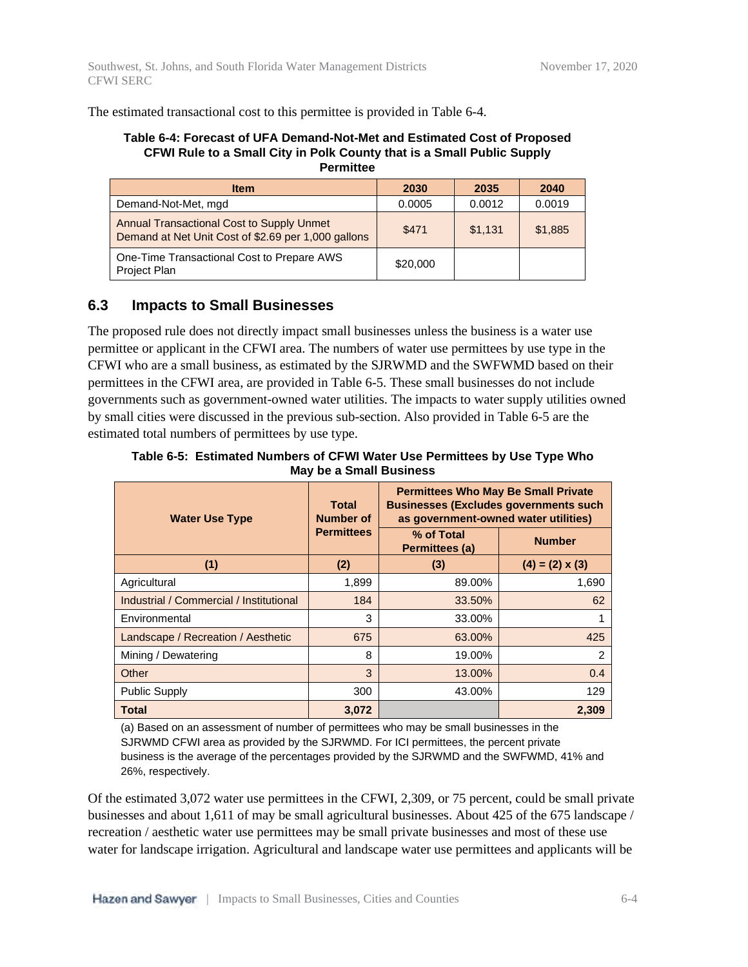The estimated transactional cost to this permittee is provided in Table 6-4.

#### **Table 6-4: Forecast of UFA Demand-Not-Met and Estimated Cost of Proposed CFWI Rule to a Small City in Polk County that is a Small Public Supply Permittee**

| <b>Item</b>                                                                                             | 2030     | 2035    | 2040    |
|---------------------------------------------------------------------------------------------------------|----------|---------|---------|
| Demand-Not-Met, mgd                                                                                     | 0.0005   | 0.0012  | 0.0019  |
| <b>Annual Transactional Cost to Supply Unmet</b><br>Demand at Net Unit Cost of \$2.69 per 1,000 gallons | \$471    | \$1,131 | \$1,885 |
| One-Time Transactional Cost to Prepare AWS<br>Project Plan                                              | \$20,000 |         |         |

## **6.3 Impacts to Small Businesses**

The proposed rule does not directly impact small businesses unless the business is a water use permittee or applicant in the CFWI area. The numbers of water use permittees by use type in the CFWI who are a small business, as estimated by the SJRWMD and the SWFWMD based on their permittees in the CFWI area, are provided in Table 6-5. These small businesses do not include governments such as government-owned water utilities. The impacts to water supply utilities owned by small cities were discussed in the previous sub-section. Also provided in Table 6-5 are the estimated total numbers of permittees by use type.

**Table 6-5: Estimated Numbers of CFWI Water Use Permittees by Use Type Who May be a Small Business**

| <b>Water Use Type</b>                   | <b>Total</b><br><b>Number of</b> | <b>Permittees Who May Be Small Private</b><br><b>Businesses (Excludes governments such</b><br>as government-owned water utilities) |                        |
|-----------------------------------------|----------------------------------|------------------------------------------------------------------------------------------------------------------------------------|------------------------|
|                                         | <b>Permittees</b>                | % of Total<br>Permittees (a)                                                                                                       | <b>Number</b>          |
| (1)                                     | (2)                              | (3)                                                                                                                                | $(4) = (2) \times (3)$ |
| Agricultural                            | 1,899                            | 89.00%                                                                                                                             | 1,690                  |
| Industrial / Commercial / Institutional | 184                              | 33.50%                                                                                                                             | 62                     |
| Environmental                           | 3                                | 33.00%                                                                                                                             |                        |
| Landscape / Recreation / Aesthetic      | 675                              | 63.00%                                                                                                                             | 425                    |
| Mining / Dewatering                     | 8                                | 19.00%                                                                                                                             | $\overline{2}$         |
| Other                                   | 3                                | 13.00%                                                                                                                             | 0.4                    |
| <b>Public Supply</b>                    | 300                              | 43.00%                                                                                                                             | 129                    |
| <b>Total</b>                            | 3,072                            |                                                                                                                                    | 2,309                  |

(a) Based on an assessment of number of permittees who may be small businesses in the SJRWMD CFWI area as provided by the SJRWMD. For ICI permittees, the percent private business is the average of the percentages provided by the SJRWMD and the SWFWMD, 41% and 26%, respectively.

Of the estimated 3,072 water use permittees in the CFWI, 2,309, or 75 percent, could be small private businesses and about 1,611 of may be small agricultural businesses. About 425 of the 675 landscape / recreation / aesthetic water use permittees may be small private businesses and most of these use water for landscape irrigation. Agricultural and landscape water use permittees and applicants will be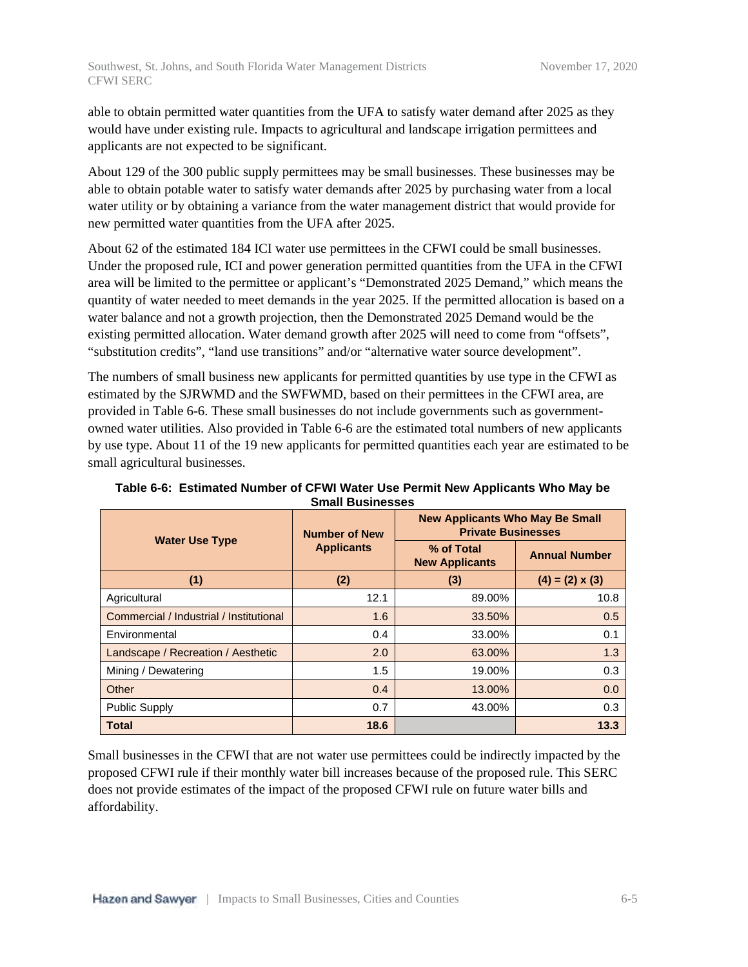able to obtain permitted water quantities from the UFA to satisfy water demand after 2025 as they would have under existing rule. Impacts to agricultural and landscape irrigation permittees and applicants are not expected to be significant.

About 129 of the 300 public supply permittees may be small businesses. These businesses may be able to obtain potable water to satisfy water demands after 2025 by purchasing water from a local water utility or by obtaining a variance from the water management district that would provide for new permitted water quantities from the UFA after 2025.

About 62 of the estimated 184 ICI water use permittees in the CFWI could be small businesses. Under the proposed rule, ICI and power generation permitted quantities from the UFA in the CFWI area will be limited to the permittee or applicant's "Demonstrated 2025 Demand," which means the quantity of water needed to meet demands in the year 2025. If the permitted allocation is based on a water balance and not a growth projection, then the Demonstrated 2025 Demand would be the existing permitted allocation. Water demand growth after 2025 will need to come from "offsets", "substitution credits", "land use transitions" and/or "alternative water source development".

The numbers of small business new applicants for permitted quantities by use type in the CFWI as estimated by the SJRWMD and the SWFWMD, based on their permittees in the CFWI area, are provided in Table 6-6. These small businesses do not include governments such as governmentowned water utilities. Also provided in Table 6-6 are the estimated total numbers of new applicants by use type. About 11 of the 19 new applicants for permitted quantities each year are estimated to be small agricultural businesses.

| <b>Water Use Type</b>                   | <b>Number of New</b> | <b>New Applicants Who May Be Small</b><br><b>Private Businesses</b> |                        |  |
|-----------------------------------------|----------------------|---------------------------------------------------------------------|------------------------|--|
|                                         | <b>Applicants</b>    | % of Total<br><b>New Applicants</b>                                 | <b>Annual Number</b>   |  |
| (1)                                     | (2)                  | (3)                                                                 | $(4) = (2) \times (3)$ |  |
| Agricultural                            | 12.1                 | 89.00%                                                              | 10.8                   |  |
| Commercial / Industrial / Institutional | 1.6                  | 33.50%                                                              | 0.5                    |  |
| Environmental                           | 0.4                  | 33.00%                                                              | 0.1                    |  |
| Landscape / Recreation / Aesthetic      | 2.0                  | 63.00%                                                              | 1.3                    |  |
| Mining / Dewatering                     | 1.5                  | 19.00%                                                              | 0.3                    |  |
| Other                                   | 0.4                  | 13.00%                                                              | 0.0                    |  |
| <b>Public Supply</b>                    | 0.7                  | 43.00%                                                              | 0.3                    |  |
| <b>Total</b>                            | 18.6                 |                                                                     | 13.3                   |  |

**Table 6-6: Estimated Number of CFWI Water Use Permit New Applicants Who May be Small Businesses**

Small businesses in the CFWI that are not water use permittees could be indirectly impacted by the proposed CFWI rule if their monthly water bill increases because of the proposed rule. This SERC does not provide estimates of the impact of the proposed CFWI rule on future water bills and affordability.